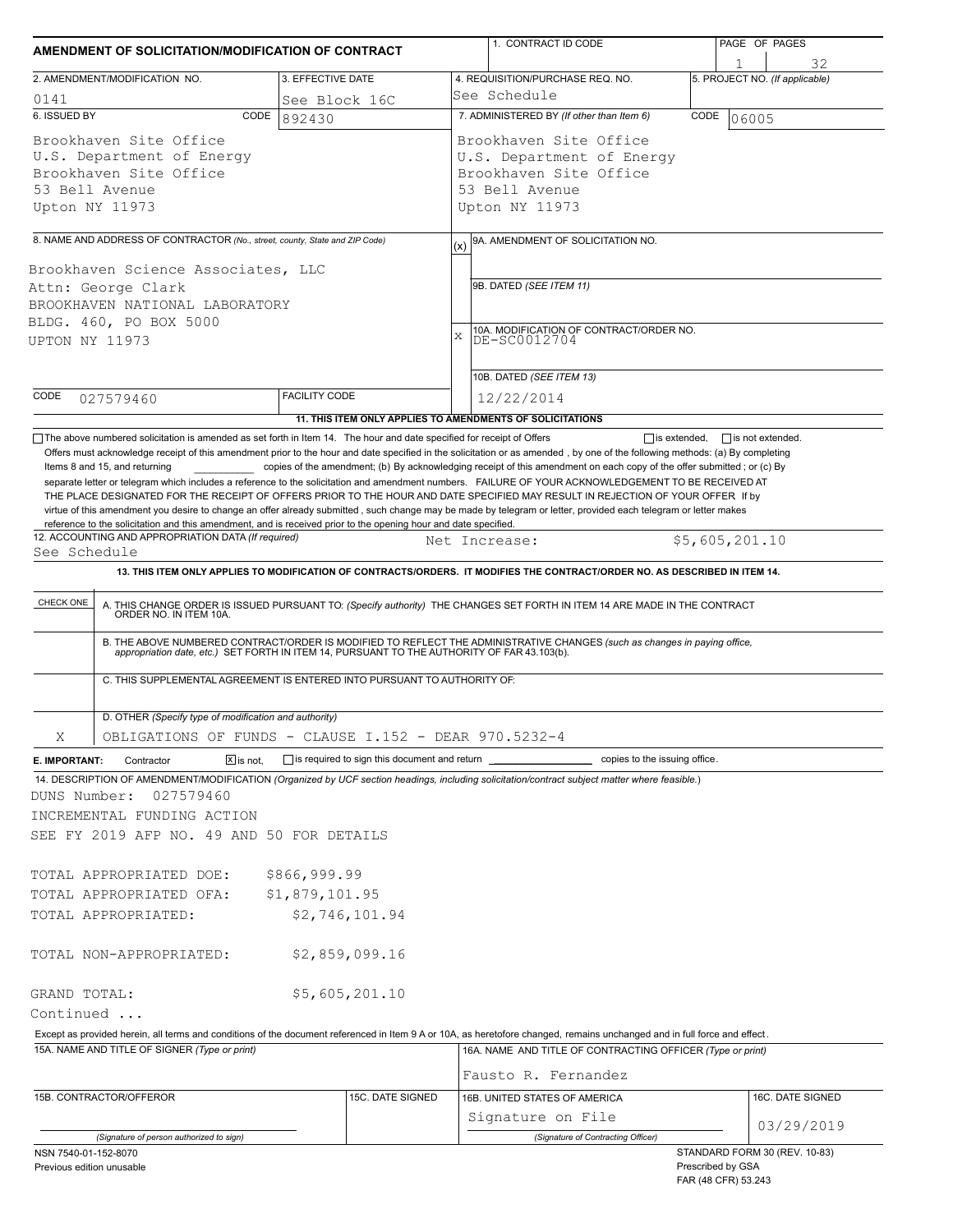| AMENDMENT OF SOLICITATION/MODIFICATION OF CONTRACT                                                                                                                                                                                                    |                      |                  |          | 1. CONTRACT ID CODE                                                                                                                                                                                                                                                                                                                                                                                                                                                                                      |      | PAGE OF PAGES                                                             |
|-------------------------------------------------------------------------------------------------------------------------------------------------------------------------------------------------------------------------------------------------------|----------------------|------------------|----------|----------------------------------------------------------------------------------------------------------------------------------------------------------------------------------------------------------------------------------------------------------------------------------------------------------------------------------------------------------------------------------------------------------------------------------------------------------------------------------------------------------|------|---------------------------------------------------------------------------|
|                                                                                                                                                                                                                                                       |                      |                  |          |                                                                                                                                                                                                                                                                                                                                                                                                                                                                                                          |      | 32                                                                        |
| 2. AMENDMENT/MODIFICATION NO.                                                                                                                                                                                                                         | 3. EFFECTIVE DATE    |                  |          | 4. REQUISITION/PURCHASE REQ. NO.<br>See Schedule                                                                                                                                                                                                                                                                                                                                                                                                                                                         |      | 5. PROJECT NO. (If applicable)                                            |
| 0141<br>6. ISSUED BY<br>CODE                                                                                                                                                                                                                          | See Block 16C        |                  |          | 7. ADMINISTERED BY (If other than Item 6)                                                                                                                                                                                                                                                                                                                                                                                                                                                                | CODE |                                                                           |
| Brookhaven Site Office<br>U.S. Department of Energy<br>Brookhaven Site Office<br>53 Bell Avenue<br>Upton NY 11973                                                                                                                                     | 892430               |                  |          | Brookhaven Site Office<br>U.S. Department of Energy<br>Brookhaven Site Office<br>53 Bell Avenue<br>Upton NY 11973                                                                                                                                                                                                                                                                                                                                                                                        |      | 06005                                                                     |
|                                                                                                                                                                                                                                                       |                      |                  |          |                                                                                                                                                                                                                                                                                                                                                                                                                                                                                                          |      |                                                                           |
| 8. NAME AND ADDRESS OF CONTRACTOR (No., street, county, State and ZIP Code)<br>Brookhaven Science Associates, LLC<br>Attn: George Clark<br>BROOKHAVEN NATIONAL LABORATORY<br>BLDG. 460, PO BOX 5000<br>UPTON NY 11973                                 |                      |                  | (x)<br>X | 9A. AMENDMENT OF SOLICITATION NO.<br>9B. DATED (SEE ITEM 11)<br>10A. MODIFICATION OF CONTRACT/ORDER NO.<br>DE-SC0012704<br>10B. DATED (SEE ITEM 13)                                                                                                                                                                                                                                                                                                                                                      |      |                                                                           |
| CODE<br>027579460                                                                                                                                                                                                                                     | <b>FACILITY CODE</b> |                  |          | 12/22/2014                                                                                                                                                                                                                                                                                                                                                                                                                                                                                               |      |                                                                           |
|                                                                                                                                                                                                                                                       |                      |                  |          | 11. THIS ITEM ONLY APPLIES TO AMENDMENTS OF SOLICITATIONS                                                                                                                                                                                                                                                                                                                                                                                                                                                |      |                                                                           |
| CHECK ONE<br>C. THIS SUPPLEMENTAL AGREEMENT IS ENTERED INTO PURSUANT TO AUTHORITY OF:                                                                                                                                                                 |                      |                  |          | 13. THIS ITEM ONLY APPLIES TO MODIFICATION OF CONTRACTS/ORDERS. IT MODIFIES THE CONTRACT/ORDER NO. AS DESCRIBED IN ITEM 14.<br>A. THIS CHANGE ORDER IS ISSUED PURSUANT TO: (Specify authority) THE CHANGES SET FORTH IN ITEM 14 ARE MADE IN THE CONTRACT ORDER NO. IN ITEM 10A.<br>B. THE ABOVE NUMBERED CONTRACT/ORDER IS MODIFIED TO REFLECT THE ADMINISTRATIVE CHANGES (such as changes in paying office, appropriation date, etc.) SET FORTH IN ITEM 14, PURSUANT TO THE AUTHORITY OF FAR 43.103(b). |      |                                                                           |
| D. OTHER (Specify type of modification and authority)                                                                                                                                                                                                 |                      |                  |          |                                                                                                                                                                                                                                                                                                                                                                                                                                                                                                          |      |                                                                           |
| OBLIGATIONS OF FUNDS - CLAUSE I.152 - DEAR 970.5232-4<br>Χ                                                                                                                                                                                            |                      |                  |          |                                                                                                                                                                                                                                                                                                                                                                                                                                                                                                          |      |                                                                           |
| $\boxed{\mathsf{X}}$ is not.<br>E. IMPORTANT:<br>Contractor                                                                                                                                                                                           |                      |                  |          | single is required to sign this document and return service opies to the issuing office.                                                                                                                                                                                                                                                                                                                                                                                                                 |      |                                                                           |
| 14. DESCRIPTION OF AMENDMENT/MODIFICATION (Organized by UCF section headings, including solicitation/contract subject matter where feasible.)<br>DUNS Number:<br>027579460<br>INCREMENTAL FUNDING ACTION<br>SEE FY 2019 AFP NO. 49 AND 50 FOR DETAILS |                      |                  |          |                                                                                                                                                                                                                                                                                                                                                                                                                                                                                                          |      |                                                                           |
| TOTAL APPROPRIATED DOE:                                                                                                                                                                                                                               | \$866,999.99         |                  |          |                                                                                                                                                                                                                                                                                                                                                                                                                                                                                                          |      |                                                                           |
| TOTAL APPROPRIATED OFA:                                                                                                                                                                                                                               | \$1,879,101.95       |                  |          |                                                                                                                                                                                                                                                                                                                                                                                                                                                                                                          |      |                                                                           |
| TOTAL APPROPRIATED:                                                                                                                                                                                                                                   |                      | \$2,746,101.94   |          |                                                                                                                                                                                                                                                                                                                                                                                                                                                                                                          |      |                                                                           |
| TOTAL NON-APPROPRIATED:                                                                                                                                                                                                                               |                      | \$2,859,099.16   |          |                                                                                                                                                                                                                                                                                                                                                                                                                                                                                                          |      |                                                                           |
| GRAND TOTAL:                                                                                                                                                                                                                                          |                      | \$5,605,201.10   |          |                                                                                                                                                                                                                                                                                                                                                                                                                                                                                                          |      |                                                                           |
| Continued                                                                                                                                                                                                                                             |                      |                  |          |                                                                                                                                                                                                                                                                                                                                                                                                                                                                                                          |      |                                                                           |
| Except as provided herein, all terms and conditions of the document referenced in Item 9 A or 10A, as heretofore changed, remains unchanged and in full force and effect.                                                                             |                      |                  |          |                                                                                                                                                                                                                                                                                                                                                                                                                                                                                                          |      |                                                                           |
| 15A. NAME AND TITLE OF SIGNER (Type or print)                                                                                                                                                                                                         |                      |                  |          | 16A. NAME AND TITLE OF CONTRACTING OFFICER (Type or print)<br>Fausto R. Fernandez                                                                                                                                                                                                                                                                                                                                                                                                                        |      |                                                                           |
| 15B. CONTRACTOR/OFFEROR                                                                                                                                                                                                                               |                      | 15C. DATE SIGNED |          | 16B. UNITED STATES OF AMERICA                                                                                                                                                                                                                                                                                                                                                                                                                                                                            |      | 16C. DATE SIGNED                                                          |
|                                                                                                                                                                                                                                                       |                      |                  |          | Signature on File                                                                                                                                                                                                                                                                                                                                                                                                                                                                                        |      | 03/29/2019                                                                |
| (Signature of person authorized to sign)<br>NSN 7540-01-152-8070<br>Previous edition unusable                                                                                                                                                         |                      |                  |          | (Signature of Contracting Officer)                                                                                                                                                                                                                                                                                                                                                                                                                                                                       |      | STANDARD FORM 30 (REV. 10-83)<br>Prescribed by GSA<br>FAR (48 CFR) 53.243 |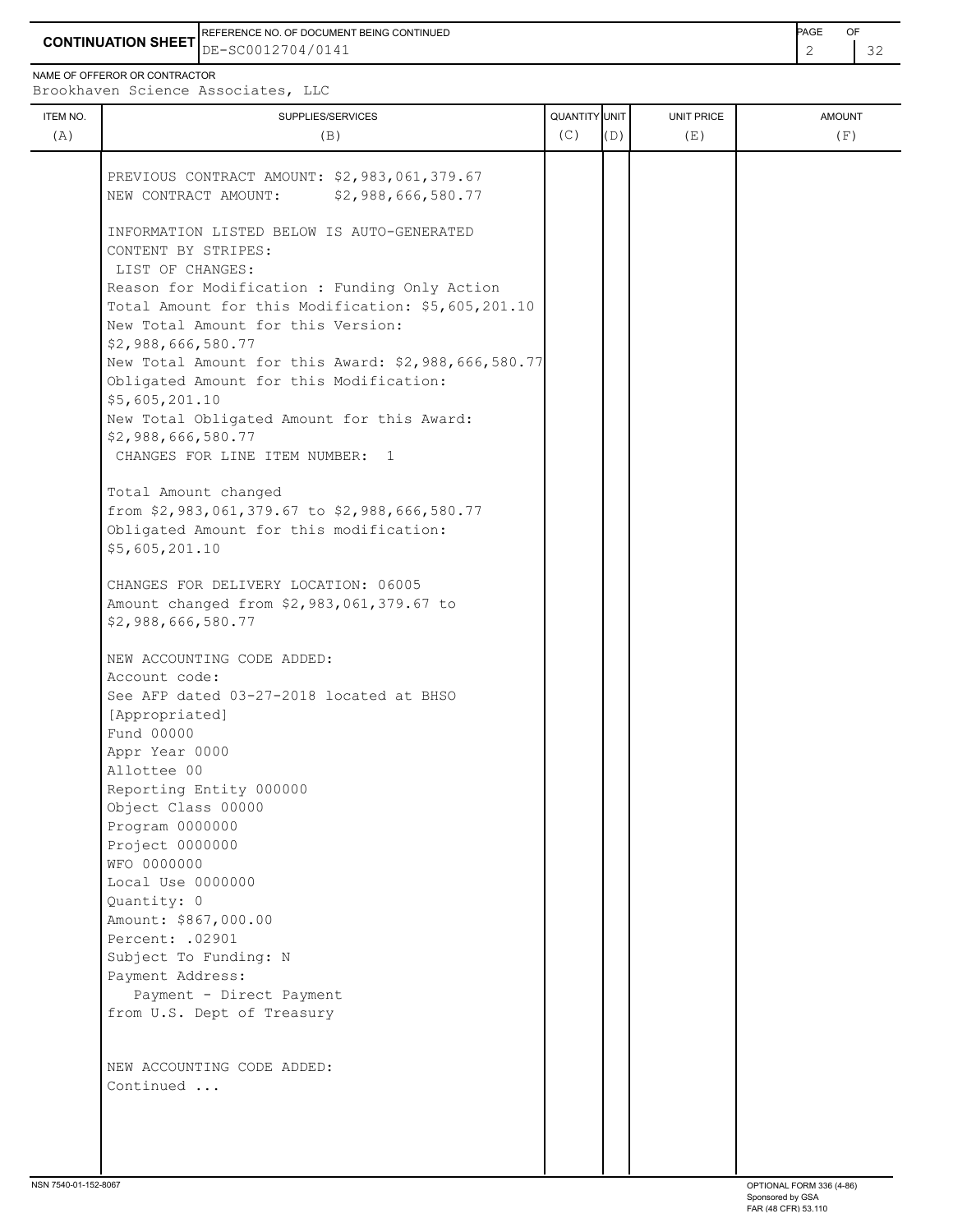**CONTINUATION SHEET** DE-SC0012704/0141 REFERENCE NO. OF DOCUMENT BEING CONTINUED **Example 2008** PAGE OF

NAME OF OFFEROR OR CONTRACTOR

Brookhaven Science Associates, LLC

| ITEM NO.<br>(A) | SUPPLIES/SERVICES<br>(B)                                                                                                                                                                                                                                                                                                                                                                                                                                                                                                                                                                                                                                                                                       | QUANTITY UNIT<br>(C) | (D) | UNIT PRICE<br>(E) | <b>AMOUNT</b><br>(F) |
|-----------------|----------------------------------------------------------------------------------------------------------------------------------------------------------------------------------------------------------------------------------------------------------------------------------------------------------------------------------------------------------------------------------------------------------------------------------------------------------------------------------------------------------------------------------------------------------------------------------------------------------------------------------------------------------------------------------------------------------------|----------------------|-----|-------------------|----------------------|
|                 | PREVIOUS CONTRACT AMOUNT: \$2,983,061,379.67<br>\$2,988,666,580.77<br>NEW CONTRACT AMOUNT:                                                                                                                                                                                                                                                                                                                                                                                                                                                                                                                                                                                                                     |                      |     |                   |                      |
|                 | INFORMATION LISTED BELOW IS AUTO-GENERATED<br>CONTENT BY STRIPES:<br>LIST OF CHANGES:<br>Reason for Modification : Funding Only Action<br>Total Amount for this Modification: \$5,605,201.10<br>New Total Amount for this Version:<br>\$2,988,666,580.77<br>New Total Amount for this Award: \$2,988,666,580.77<br>Obligated Amount for this Modification:<br>\$5,605,201.10<br>New Total Obligated Amount for this Award:<br>\$2,988,666,580.77<br>CHANGES FOR LINE ITEM NUMBER: 1<br>Total Amount changed<br>from \$2,983,061,379.67 to \$2,988,666,580.77<br>Obligated Amount for this modification:<br>\$5,605,201.10<br>CHANGES FOR DELIVERY LOCATION: 06005<br>Amount changed from \$2,983,061,379.67 to |                      |     |                   |                      |
|                 | \$2,988,666,580.77<br>NEW ACCOUNTING CODE ADDED:<br>Account code:<br>See AFP dated 03-27-2018 located at BHSO<br>[Appropriated]<br>Fund 00000<br>Appr Year 0000<br>Allottee 00<br>Reporting Entity 000000<br>Object Class 00000<br>Program 0000000<br>Project 0000000<br>WFO 0000000<br>Local Use 0000000<br>Quantity: 0<br>Amount: \$867,000.00<br>Percent: .02901<br>Subject To Funding: N<br>Payment Address:<br>Payment - Direct Payment<br>from U.S. Dept of Treasury                                                                                                                                                                                                                                     |                      |     |                   |                      |
|                 | NEW ACCOUNTING CODE ADDED:<br>Continued                                                                                                                                                                                                                                                                                                                                                                                                                                                                                                                                                                                                                                                                        |                      |     |                   |                      |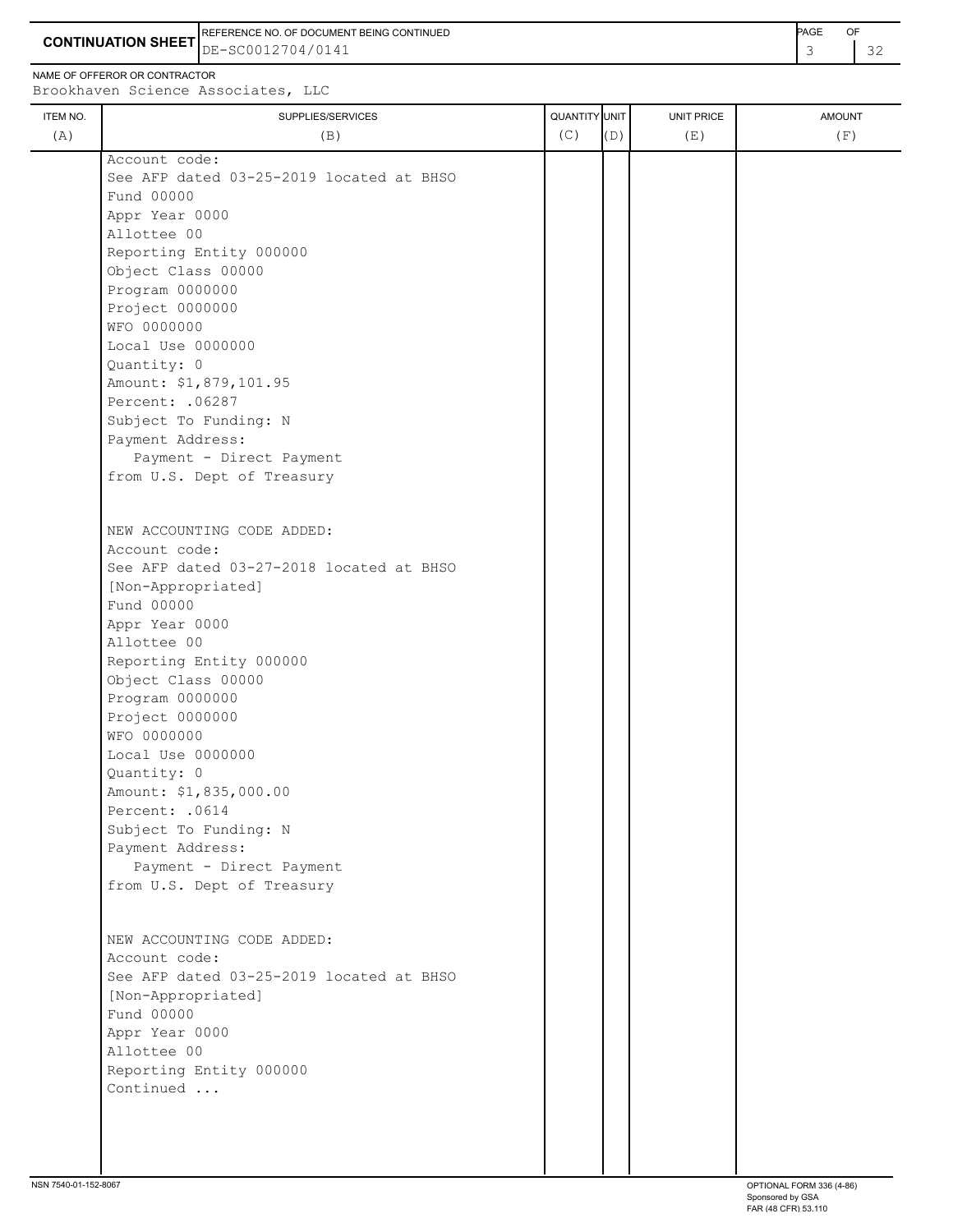**CONTINUATION SHEET** DE-SC0012704/0141 REFERENCE NO. OF DOCUMENT BEING CONTINUED **EXAMPLE 2008** PAGE OF

NAME OF OFFEROR OR CONTRACTOR

| ITEM NO.<br>(A) | SUPPLIES/SERVICES<br>(B)                 | QUANTITY UNIT<br>(C) | (D) | <b>UNIT PRICE</b><br>(E) | <b>AMOUNT</b><br>(F) |
|-----------------|------------------------------------------|----------------------|-----|--------------------------|----------------------|
|                 | Account code:                            |                      |     |                          |                      |
|                 | See AFP dated 03-25-2019 located at BHSO |                      |     |                          |                      |
|                 | Fund 00000                               |                      |     |                          |                      |
|                 | Appr Year 0000                           |                      |     |                          |                      |
|                 | Allottee 00                              |                      |     |                          |                      |
|                 | Reporting Entity 000000                  |                      |     |                          |                      |
|                 | Object Class 00000                       |                      |     |                          |                      |
|                 | Program 0000000                          |                      |     |                          |                      |
|                 | Project 0000000                          |                      |     |                          |                      |
|                 | WFO 0000000                              |                      |     |                          |                      |
|                 | Local Use 0000000                        |                      |     |                          |                      |
|                 | Quantity: 0                              |                      |     |                          |                      |
|                 | Amount: \$1,879,101.95                   |                      |     |                          |                      |
|                 | Percent: .06287                          |                      |     |                          |                      |
|                 | Subject To Funding: N                    |                      |     |                          |                      |
|                 | Payment Address:                         |                      |     |                          |                      |
|                 | Payment - Direct Payment                 |                      |     |                          |                      |
|                 | from U.S. Dept of Treasury               |                      |     |                          |                      |
|                 |                                          |                      |     |                          |                      |
|                 | NEW ACCOUNTING CODE ADDED:               |                      |     |                          |                      |
|                 | Account code:                            |                      |     |                          |                      |
|                 | See AFP dated 03-27-2018 located at BHSO |                      |     |                          |                      |
|                 | [Non-Appropriated]                       |                      |     |                          |                      |
|                 | Fund 00000                               |                      |     |                          |                      |
|                 | Appr Year 0000                           |                      |     |                          |                      |
|                 | Allottee 00                              |                      |     |                          |                      |
|                 | Reporting Entity 000000                  |                      |     |                          |                      |
|                 | Object Class 00000                       |                      |     |                          |                      |
|                 | Program 0000000                          |                      |     |                          |                      |
|                 | Project 0000000                          |                      |     |                          |                      |
|                 | WFO 0000000                              |                      |     |                          |                      |
|                 | Local Use 0000000                        |                      |     |                          |                      |
|                 | Quantity: 0                              |                      |     |                          |                      |
|                 | Amount: \$1,835,000.00                   |                      |     |                          |                      |
|                 | Percent: . 0614                          |                      |     |                          |                      |
|                 | Subject To Funding: N                    |                      |     |                          |                      |
|                 | Payment Address:                         |                      |     |                          |                      |
|                 | Payment - Direct Payment                 |                      |     |                          |                      |
|                 | from U.S. Dept of Treasury               |                      |     |                          |                      |
|                 |                                          |                      |     |                          |                      |
|                 | NEW ACCOUNTING CODE ADDED:               |                      |     |                          |                      |
|                 | Account code:                            |                      |     |                          |                      |
|                 | See AFP dated 03-25-2019 located at BHSO |                      |     |                          |                      |
|                 | [Non-Appropriated]                       |                      |     |                          |                      |
|                 | Fund 00000                               |                      |     |                          |                      |
|                 | Appr Year 0000                           |                      |     |                          |                      |
|                 | Allottee 00                              |                      |     |                          |                      |
|                 | Reporting Entity 000000                  |                      |     |                          |                      |
|                 | Continued                                |                      |     |                          |                      |
|                 |                                          |                      |     |                          |                      |
|                 |                                          |                      |     |                          |                      |
|                 |                                          |                      |     |                          |                      |
|                 |                                          |                      |     |                          |                      |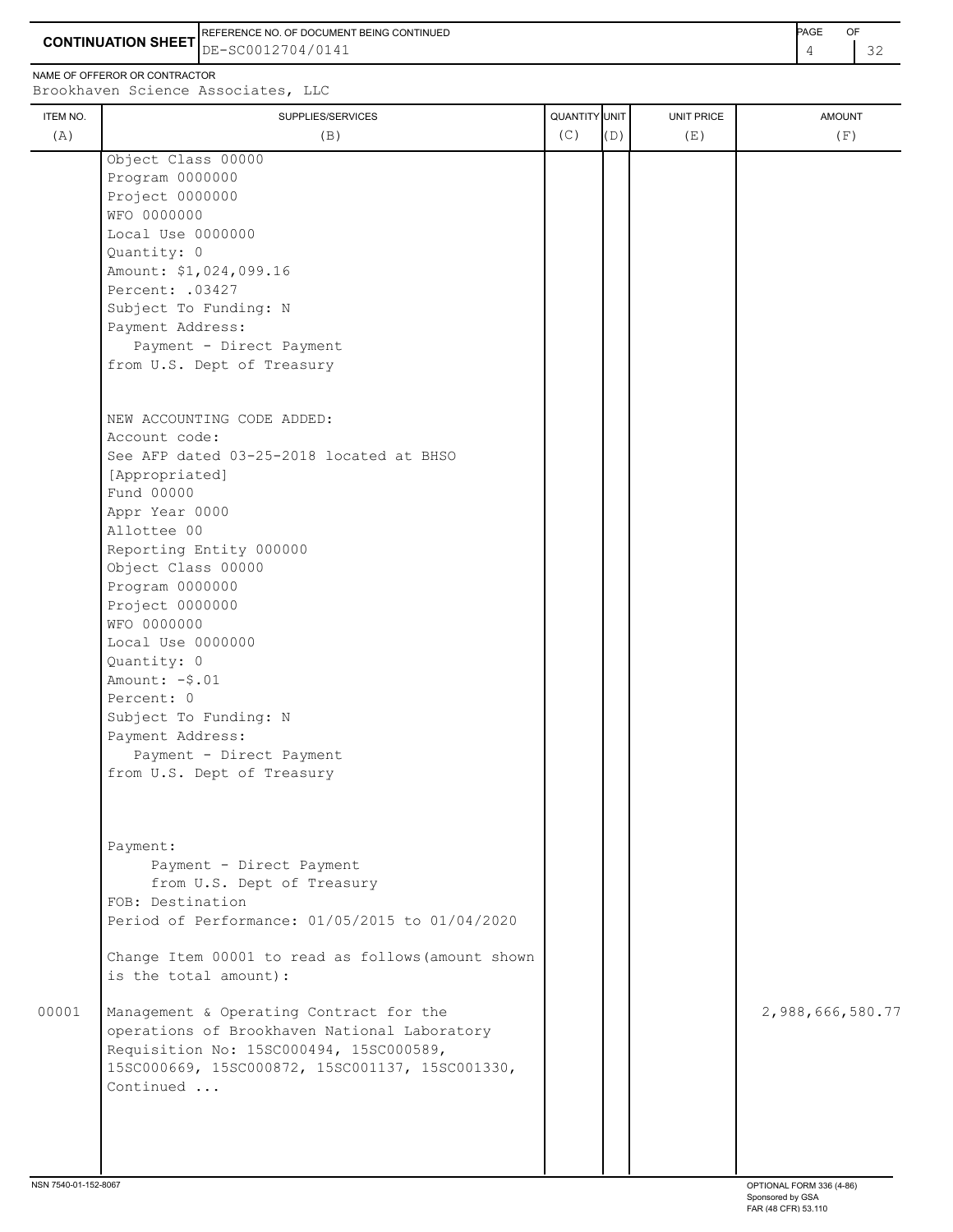**CONTINUATION SHEET** DE-SC0012704/0141 REFERENCE NO. OF DOCUMENT BEING CONTINUED **A CONTINUED PAGE OF PAGE OF PAGE OF PAGE** 

NAME OF OFFEROR OR CONTRACTOR

## ITEM NO. ┃ SUPPLIES/SERVICES UNIT PRICE AMOUNT Brookhaven Science Associates, LLC (A)  $(B)$  (B)  $(C)$   $(D)$  (E)  $(E)$  (F) Object Class 00000 Program 0000000 Project 0000000 WFO 0000000 Local Use 0000000 Quantity: 0 Amount: \$1,024,099.16 Percent: .03427 Subject To Funding: N Payment Address: Payment - Direct Payment from U.S. Dept of Treasury NEW ACCOUNTING CODE ADDED: Account code: See AFP dated 03-25-2018 located at BHSO [Appropriated] Fund 00000 Appr Year 0000 Allottee 00 Reporting Entity 000000 Object Class 00000 Program 0000000 Project 0000000 WFO 0000000 Local Use 0000000 Quantity: 0 Amount: -\$.01 Percent: 0 Subject To Funding: N Payment Address: Payment - Direct Payment from U.S. Dept of Treasury Payment: Payment - Direct Payment from U.S. Dept of Treasury FOB: Destination Period of Performance: 01/05/2015 to 01/04/2020 Change Item 00001 to read as follows(amount shown is the total amount): 00001 Management & Operating Contract for the 2,988,666,580.77 operations of Brookhaven National Laboratory Requisition No: 15SC000494, 15SC000589, 15SC000669, 15SC000872, 15SC001137, 15SC001330, Continued ...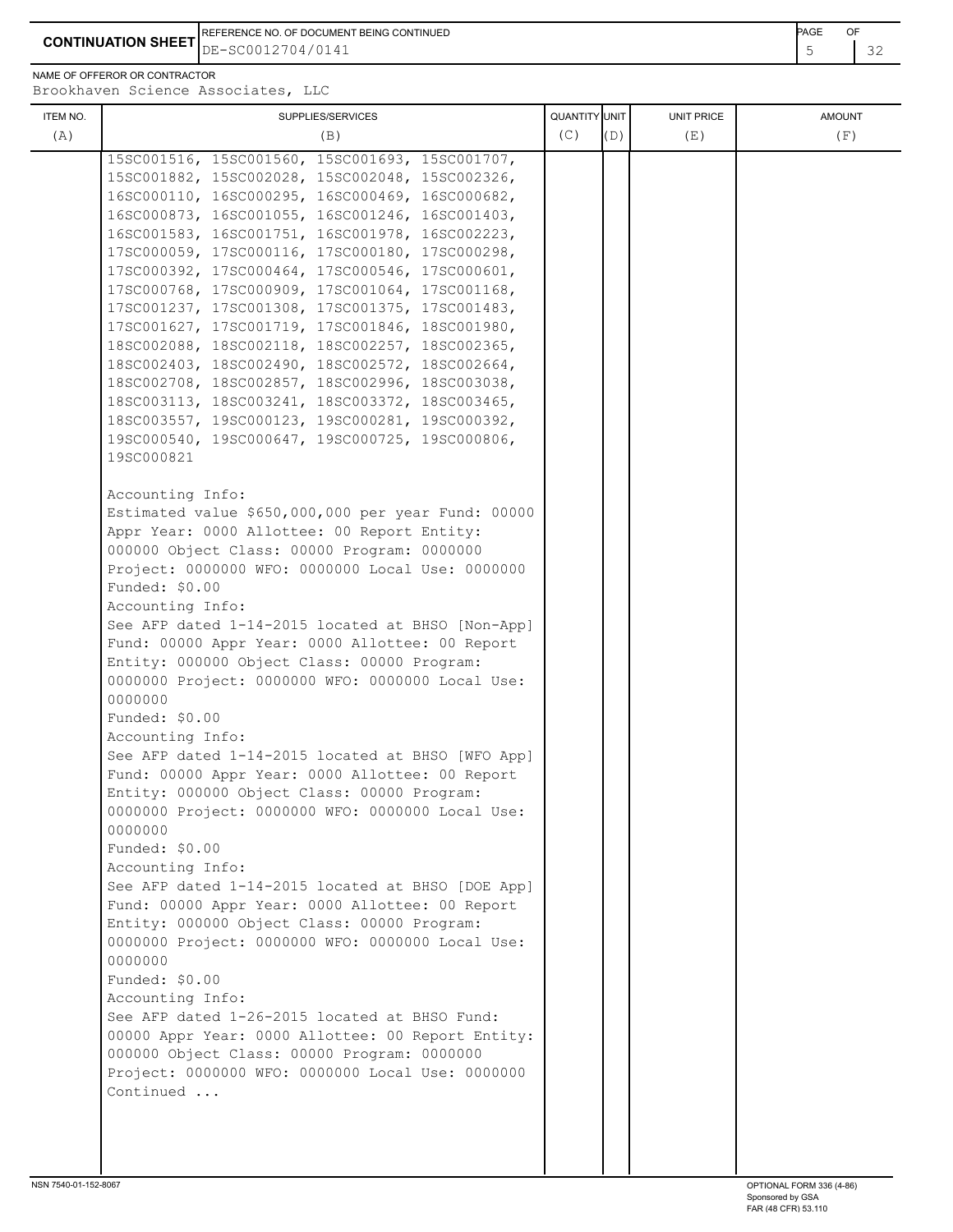**CONTINUATION SHEET**  $DE-SC0012704/0141$ REFERENCE NO. OF DOCUMENT BEING CONTINUED **AGE OF A SET A CONTINUED PAGE OF A CONTINUED** DE-SC0012704/0141

NAME OF OFFEROR OR CONTRACTOR

0000000

0000000

0000000

 Funded: \$0.00 Accounting Info:

 Funded: \$0.00 Accounting Info:

 Funded: \$0.00 Accounting Info:

Continued ...

ITEM NO. ┃ SUPPLIES/SERVICES UNIT PRICE AMOUNT Brookhaven Science Associates, LLC (A)  $(B)$  (B)  $(C)$   $(D)$  (E)  $(E)$  (F) 15SC001516, 15SC001560, 15SC001693, 15SC001707, 15SC001882, 15SC002028, 15SC002048, 15SC002326, 16SC000110, 16SC000295, 16SC000469, 16SC000682, 16SC000873, 16SC001055, 16SC001246, 16SC001403, 16SC001583, 16SC001751, 16SC001978, 16SC002223, 17SC000059, 17SC000116, 17SC000180, 17SC000298, 17SC000392, 17SC000464, 17SC000546, 17SC000601, 17SC000768, 17SC000909, 17SC001064, 17SC001168, 17SC001237, 17SC001308, 17SC001375, 17SC001483, 17SC001627, 17SC001719, 17SC001846, 18SC001980, 18SC002088, 18SC002118, 18SC002257, 18SC002365, 18SC002403, 18SC002490, 18SC002572, 18SC002664, 18SC002708, 18SC002857, 18SC002996, 18SC003038, 18SC003113, 18SC003241, 18SC003372, 18SC003465, 18SC003557, 19SC000123, 19SC000281, 19SC000392, 19SC000540, 19SC000647, 19SC000725, 19SC000806, 19SC000821 Accounting Info: Estimated value \$650,000,000 per year Fund: 00000 Appr Year: 0000 Allottee: 00 Report Entity: 000000 Object Class: 00000 Program: 0000000 Project: 0000000 WFO: 0000000 Local Use: 0000000 Funded: \$0.00 Accounting Info:

 See AFP dated 1-14-2015 located at BHSO [Non-App] Fund: 00000 Appr Year: 0000 Allottee: 00 Report Entity: 000000 Object Class: 00000 Program: 0000000 Project: 0000000 WFO: 0000000 Local Use:

 See AFP dated 1-14-2015 located at BHSO [WFO App] Fund: 00000 Appr Year: 0000 Allottee: 00 Report Entity: 000000 Object Class: 00000 Program: 0000000 Project: 0000000 WFO: 0000000 Local Use:

 See AFP dated 1-14-2015 located at BHSO [DOE App] Fund: 00000 Appr Year: 0000 Allottee: 00 Report Entity: 000000 Object Class: 00000 Program: 0000000 Project: 0000000 WFO: 0000000 Local Use:

 See AFP dated 1-26-2015 located at BHSO Fund: 00000 Appr Year: 0000 Allottee: 00 Report Entity:

 000000 Object Class: 00000 Program: 0000000 Project: 0000000 WFO: 0000000 Local Use: 0000000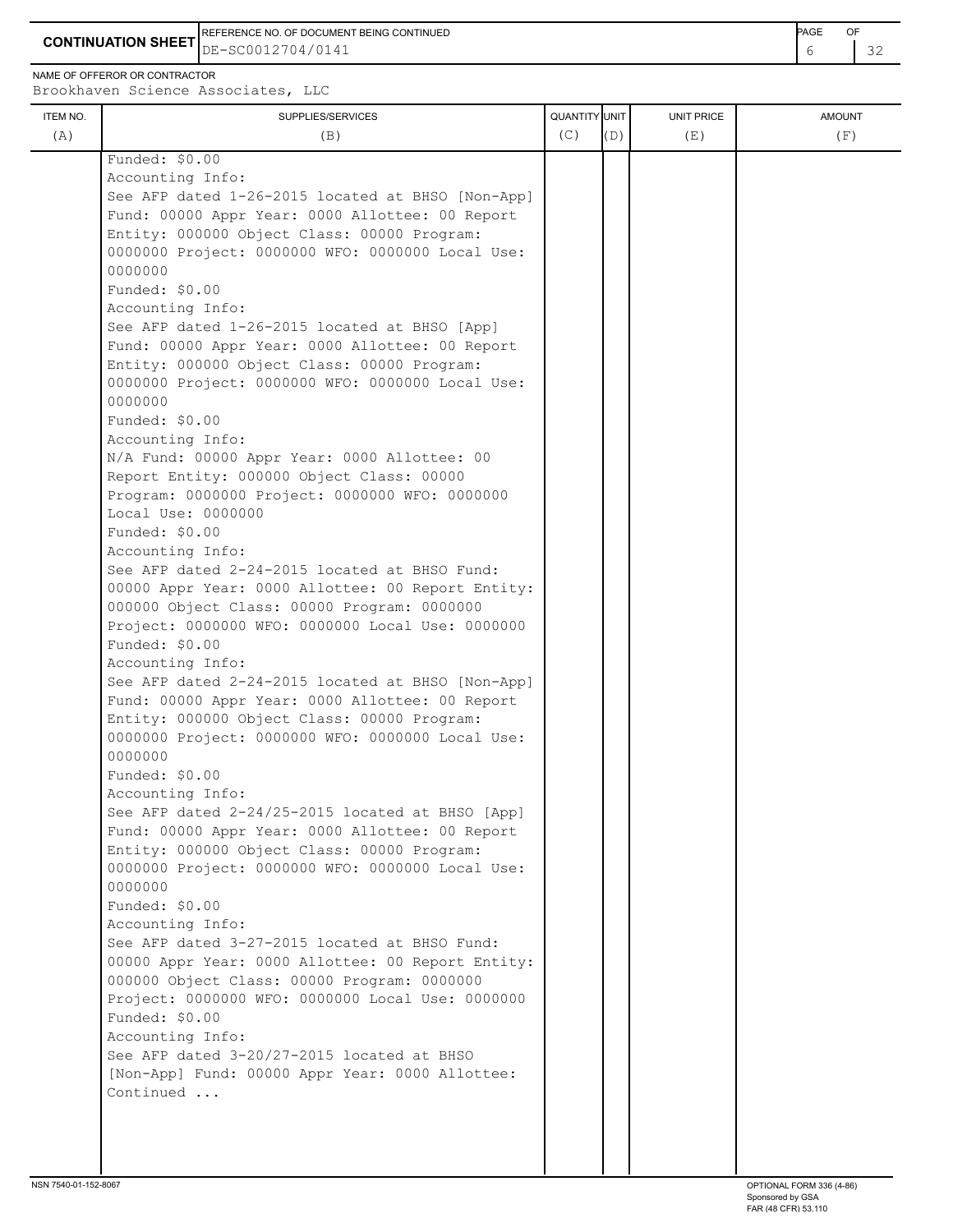REFERENCE NO. OF DOCUMENT BEING CONTINUED **EXAMPLE 2008** PAGE OF

**CONTINUATION SHEET** DE-SC0012704/0141

NAME OF OFFEROR OR CONTRACTOR

| ITEM NO. | SUPPLIES/SERVICES                                                     | QUANTITY UNIT |     | UNIT PRICE | <b>AMOUNT</b> |
|----------|-----------------------------------------------------------------------|---------------|-----|------------|---------------|
| (A)      | (B)                                                                   | (C)           | (D) | (E)        | (F)           |
|          | Funded: \$0.00                                                        |               |     |            |               |
|          | Accounting Info:                                                      |               |     |            |               |
|          | See AFP dated 1-26-2015 located at BHSO [Non-App]                     |               |     |            |               |
|          | Fund: 00000 Appr Year: 0000 Allottee: 00 Report                       |               |     |            |               |
|          | Entity: 000000 Object Class: 00000 Program:                           |               |     |            |               |
|          | 0000000 Project: 0000000 WFO: 0000000 Local Use:                      |               |     |            |               |
|          | 0000000                                                               |               |     |            |               |
|          | Funded: \$0.00                                                        |               |     |            |               |
|          | Accounting Info:                                                      |               |     |            |               |
|          | See AFP dated 1-26-2015 located at BHSO [App]                         |               |     |            |               |
|          | Fund: 00000 Appr Year: 0000 Allottee: 00 Report                       |               |     |            |               |
|          | Entity: 000000 Object Class: 00000 Program:                           |               |     |            |               |
|          | 0000000 Project: 0000000 WFO: 0000000 Local Use:                      |               |     |            |               |
|          | 0000000                                                               |               |     |            |               |
|          | Funded: \$0.00                                                        |               |     |            |               |
|          | Accounting Info:                                                      |               |     |            |               |
|          | N/A Fund: 00000 Appr Year: 0000 Allottee: 00                          |               |     |            |               |
|          | Report Entity: 000000 Object Class: 00000                             |               |     |            |               |
|          | Program: 0000000 Project: 0000000 WFO: 0000000                        |               |     |            |               |
|          | Local Use: 0000000                                                    |               |     |            |               |
|          | Funded: \$0.00                                                        |               |     |            |               |
|          | Accounting Info:                                                      |               |     |            |               |
|          | See AFP dated 2-24-2015 located at BHSO Fund:                         |               |     |            |               |
|          | 00000 Appr Year: 0000 Allottee: 00 Report Entity:                     |               |     |            |               |
|          | 000000 Object Class: 00000 Program: 0000000                           |               |     |            |               |
|          | Project: 0000000 WFO: 0000000 Local Use: 0000000                      |               |     |            |               |
|          | Funded: \$0.00                                                        |               |     |            |               |
|          | Accounting Info:<br>See AFP dated 2-24-2015 located at BHSO [Non-App] |               |     |            |               |
|          | Fund: 00000 Appr Year: 0000 Allottee: 00 Report                       |               |     |            |               |
|          | Entity: 000000 Object Class: 00000 Program:                           |               |     |            |               |
|          | 0000000 Project: 0000000 WFO: 0000000 Local Use:                      |               |     |            |               |
|          | 0000000                                                               |               |     |            |               |
|          | Funded: \$0.00                                                        |               |     |            |               |
|          | Accounting Info:                                                      |               |     |            |               |
|          | See AFP dated 2-24/25-2015 located at BHSO [App]                      |               |     |            |               |
|          | Fund: 00000 Appr Year: 0000 Allottee: 00 Report                       |               |     |            |               |
|          | Entity: 000000 Object Class: 00000 Program:                           |               |     |            |               |
|          | 0000000 Project: 0000000 WFO: 0000000 Local Use:                      |               |     |            |               |
|          | 0000000                                                               |               |     |            |               |
|          | Funded: \$0.00                                                        |               |     |            |               |
|          | Accounting Info:                                                      |               |     |            |               |
|          | See AFP dated 3-27-2015 located at BHSO Fund:                         |               |     |            |               |
|          | 00000 Appr Year: 0000 Allottee: 00 Report Entity:                     |               |     |            |               |
|          | 000000 Object Class: 00000 Program: 0000000                           |               |     |            |               |
|          | Project: 0000000 WFO: 0000000 Local Use: 0000000                      |               |     |            |               |
|          | Funded: \$0.00                                                        |               |     |            |               |
|          | Accounting Info:                                                      |               |     |            |               |
|          | See AFP dated 3-20/27-2015 located at BHSO                            |               |     |            |               |
|          | [Non-App] Fund: 00000 Appr Year: 0000 Allottee:                       |               |     |            |               |
|          | Continued                                                             |               |     |            |               |
|          |                                                                       |               |     |            |               |
|          |                                                                       |               |     |            |               |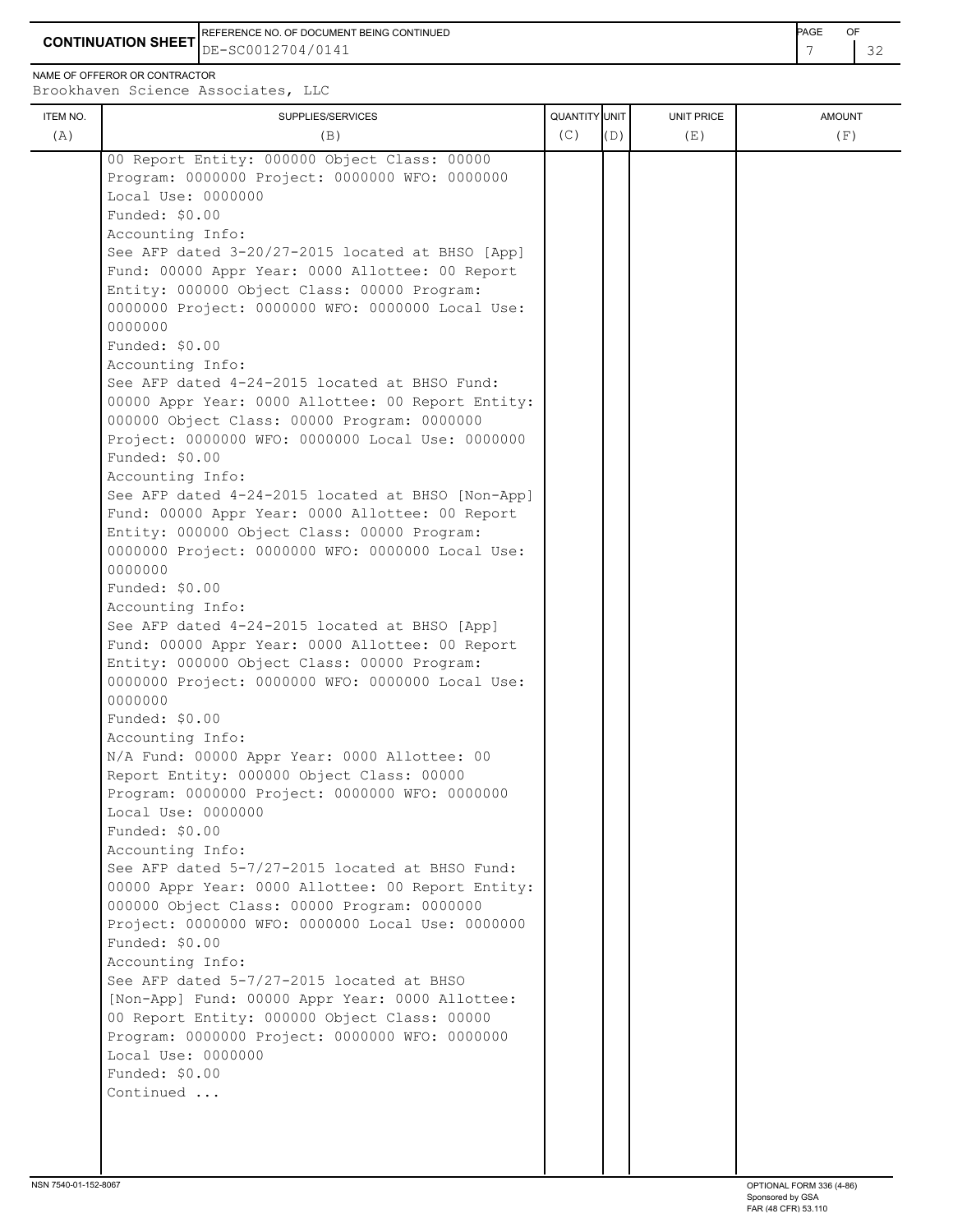**CONTINUATION SHEET** DE-SC0012704/0141 REFERENCE NO. OF DOCUMENT BEING CONTINUED **Example 2008** PAGE OF

NAME OF OFFEROR OR CONTRACTOR

|                 |                                                                                                                                                                                                                                                                                                                                                                                                                                                                                                                                                                                                                                                                                                                                                                                                                                                                                                                                                                                                                                                                                                                                                                                                                                                                                                                                                                                                                                                                                                                                                                                                                                                                                                                                                                                                                                                                                                                                           | (C)           | (D) |                          |                      |
|-----------------|-------------------------------------------------------------------------------------------------------------------------------------------------------------------------------------------------------------------------------------------------------------------------------------------------------------------------------------------------------------------------------------------------------------------------------------------------------------------------------------------------------------------------------------------------------------------------------------------------------------------------------------------------------------------------------------------------------------------------------------------------------------------------------------------------------------------------------------------------------------------------------------------------------------------------------------------------------------------------------------------------------------------------------------------------------------------------------------------------------------------------------------------------------------------------------------------------------------------------------------------------------------------------------------------------------------------------------------------------------------------------------------------------------------------------------------------------------------------------------------------------------------------------------------------------------------------------------------------------------------------------------------------------------------------------------------------------------------------------------------------------------------------------------------------------------------------------------------------------------------------------------------------------------------------------------------------|---------------|-----|--------------------------|----------------------|
| ITEM NO.<br>(A) | SUPPLIES/SERVICES<br>(B)<br>00 Report Entity: 000000 Object Class: 00000<br>Program: 0000000 Project: 0000000 WFO: 0000000<br>Local Use: 0000000<br>Funded: $$0.00$<br>Accounting Info:<br>See AFP dated 3-20/27-2015 located at BHSO [App]<br>Fund: 00000 Appr Year: 0000 Allottee: 00 Report<br>Entity: 000000 Object Class: 00000 Program:<br>0000000 Project: 0000000 WFO: 0000000 Local Use:<br>0000000<br>Funded: $$0.00$<br>Accounting Info:<br>See AFP dated 4-24-2015 located at BHSO Fund:<br>00000 Appr Year: 0000 Allottee: 00 Report Entity:<br>000000 Object Class: 00000 Program: 0000000<br>Project: 0000000 WFO: 0000000 Local Use: 0000000<br>Funded: \$0.00<br>Accounting Info:<br>See AFP dated 4-24-2015 located at BHSO [Non-App]<br>Fund: 00000 Appr Year: 0000 Allottee: 00 Report<br>Entity: 000000 Object Class: 00000 Program:<br>0000000 Project: 0000000 WFO: 0000000 Local Use:<br>0000000<br>Funded: \$0.00<br>Accounting Info:<br>See AFP dated 4-24-2015 located at BHSO [App]<br>Fund: 00000 Appr Year: 0000 Allottee: 00 Report<br>Entity: 000000 Object Class: 00000 Program:<br>0000000 Project: 0000000 WFO: 0000000 Local Use:<br>0000000<br>Funded: \$0.00<br>Accounting Info:<br>N/A Fund: 00000 Appr Year: 0000 Allottee: 00<br>Report Entity: 000000 Object Class: 00000<br>Program: 0000000 Project: 0000000 WFO: 0000000<br>Local Use: 0000000<br>Funded: \$0.00<br>Accounting Info:<br>See AFP dated 5-7/27-2015 located at BHSO Fund:<br>00000 Appr Year: 0000 Allottee: 00 Report Entity:<br>000000 Object Class: 00000 Program: 0000000<br>Project: 0000000 WFO: 0000000 Local Use: 0000000<br>Funded: \$0.00<br>Accounting Info:<br>See AFP dated 5-7/27-2015 located at BHSO<br>[Non-App] Fund: 00000 Appr Year: 0000 Allottee:<br>00 Report Entity: 000000 Object Class: 00000<br>Program: 0000000 Project: 0000000 WFO: 0000000<br>Local Use: 0000000<br>Funded: \$0.00<br>Continued | QUANTITY UNIT |     | <b>UNIT PRICE</b><br>(E) | <b>AMOUNT</b><br>(F) |
|                 |                                                                                                                                                                                                                                                                                                                                                                                                                                                                                                                                                                                                                                                                                                                                                                                                                                                                                                                                                                                                                                                                                                                                                                                                                                                                                                                                                                                                                                                                                                                                                                                                                                                                                                                                                                                                                                                                                                                                           |               |     |                          |                      |
|                 |                                                                                                                                                                                                                                                                                                                                                                                                                                                                                                                                                                                                                                                                                                                                                                                                                                                                                                                                                                                                                                                                                                                                                                                                                                                                                                                                                                                                                                                                                                                                                                                                                                                                                                                                                                                                                                                                                                                                           |               |     |                          |                      |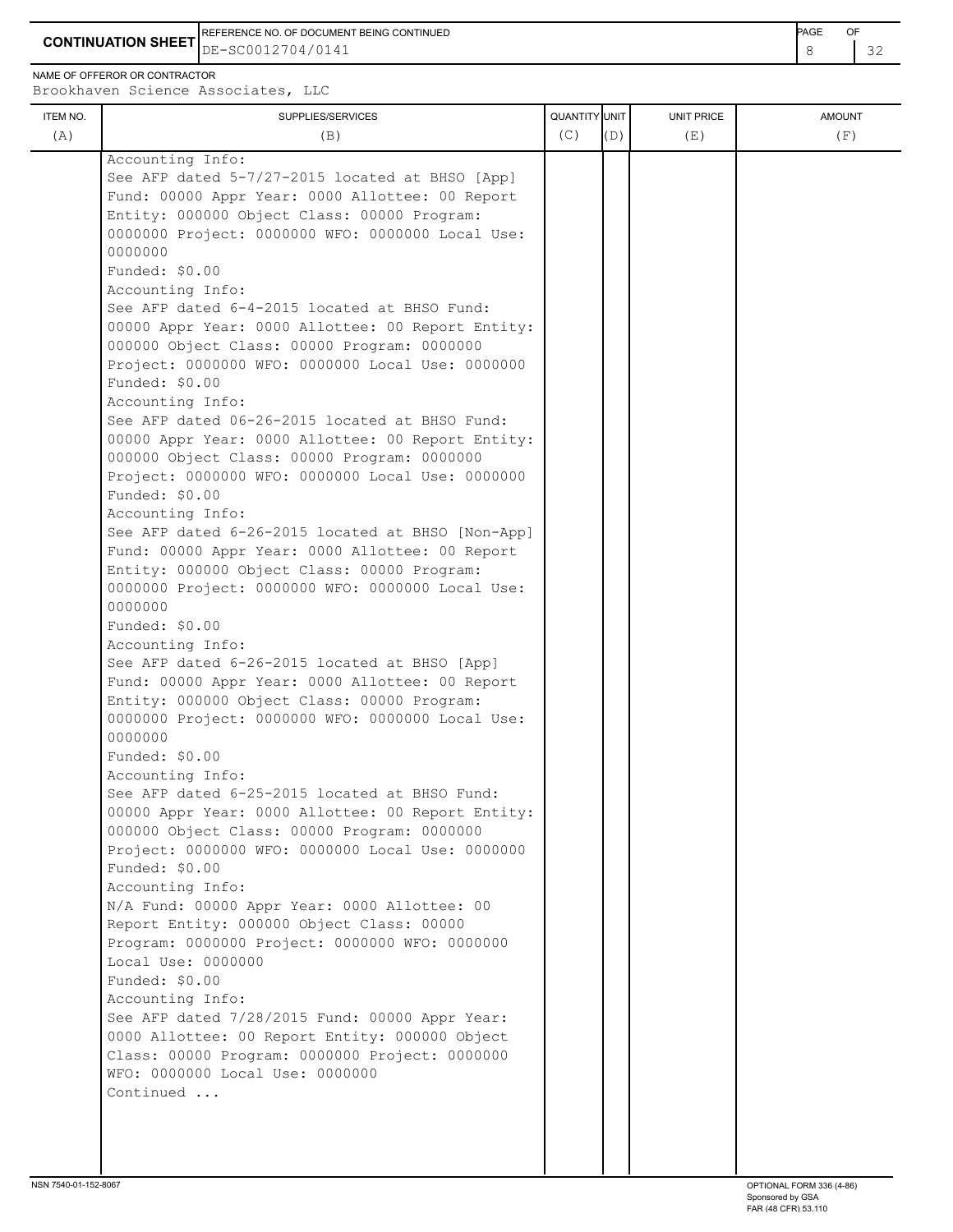**CONTINUATION SHEET**  $\left| \text{DE}-\text{SC0012704/0141} \right|$ REFERENCE NO. OF DOCUMENT BEING CONTINUED **AGE OF A SECOND ACTION OF A SECOND ACTION** PAGE OF DE-SC0012704/0141

NAME OF OFFEROR OR CONTRACTOR

ITEM NO. ┃ SUPPLIES/SERVICES UNIT PRICE AMOUNT Brookhaven Science Associates, LLC (A)  $(B)$  (B)  $(C)$   $(D)$  (E)  $(E)$  (F) Accounting Info: See AFP dated 5-7/27-2015 located at BHSO [App] Fund: 00000 Appr Year: 0000 Allottee: 00 Report Entity: 000000 Object Class: 00000 Program: 0000000 Project: 0000000 WFO: 0000000 Local Use: 0000000 Funded: \$0.00 Accounting Info: See AFP dated 6-4-2015 located at BHSO Fund: 00000 Appr Year: 0000 Allottee: 00 Report Entity: 000000 Object Class: 00000 Program: 0000000 Project: 0000000 WFO: 0000000 Local Use: 0000000 Funded: \$0.00 Accounting Info: See AFP dated 06-26-2015 located at BHSO Fund: 00000 Appr Year: 0000 Allottee: 00 Report Entity: 000000 Object Class: 00000 Program: 0000000 Project: 0000000 WFO: 0000000 Local Use: 0000000 Funded: \$0.00 Accounting Info: See AFP dated 6-26-2015 located at BHSO [Non-App] Fund: 00000 Appr Year: 0000 Allottee: 00 Report Entity: 000000 Object Class: 00000 Program: 0000000 Project: 0000000 WFO: 0000000 Local Use: 0000000 Funded: \$0.00 Accounting Info: See AFP dated 6-26-2015 located at BHSO [App] Fund: 00000 Appr Year: 0000 Allottee: 00 Report Entity: 000000 Object Class: 00000 Program: 0000000 Project: 0000000 WFO: 0000000 Local Use: 0000000 Funded: \$0.00 Accounting Info: See AFP dated 6-25-2015 located at BHSO Fund: 00000 Appr Year: 0000 Allottee: 00 Report Entity: 000000 Object Class: 00000 Program: 0000000 Project: 0000000 WFO: 0000000 Local Use: 0000000 Funded: \$0.00 Accounting Info: N/A Fund: 00000 Appr Year: 0000 Allottee: 00 Report Entity: 000000 Object Class: 00000 Program: 0000000 Project: 0000000 WFO: 0000000 Local Use: 0000000 Funded: \$0.00 Accounting Info: See AFP dated 7/28/2015 Fund: 00000 Appr Year: 0000 Allottee: 00 Report Entity: 000000 Object Class: 00000 Program: 0000000 Project: 0000000 WFO: 0000000 Local Use: 0000000

Continued ...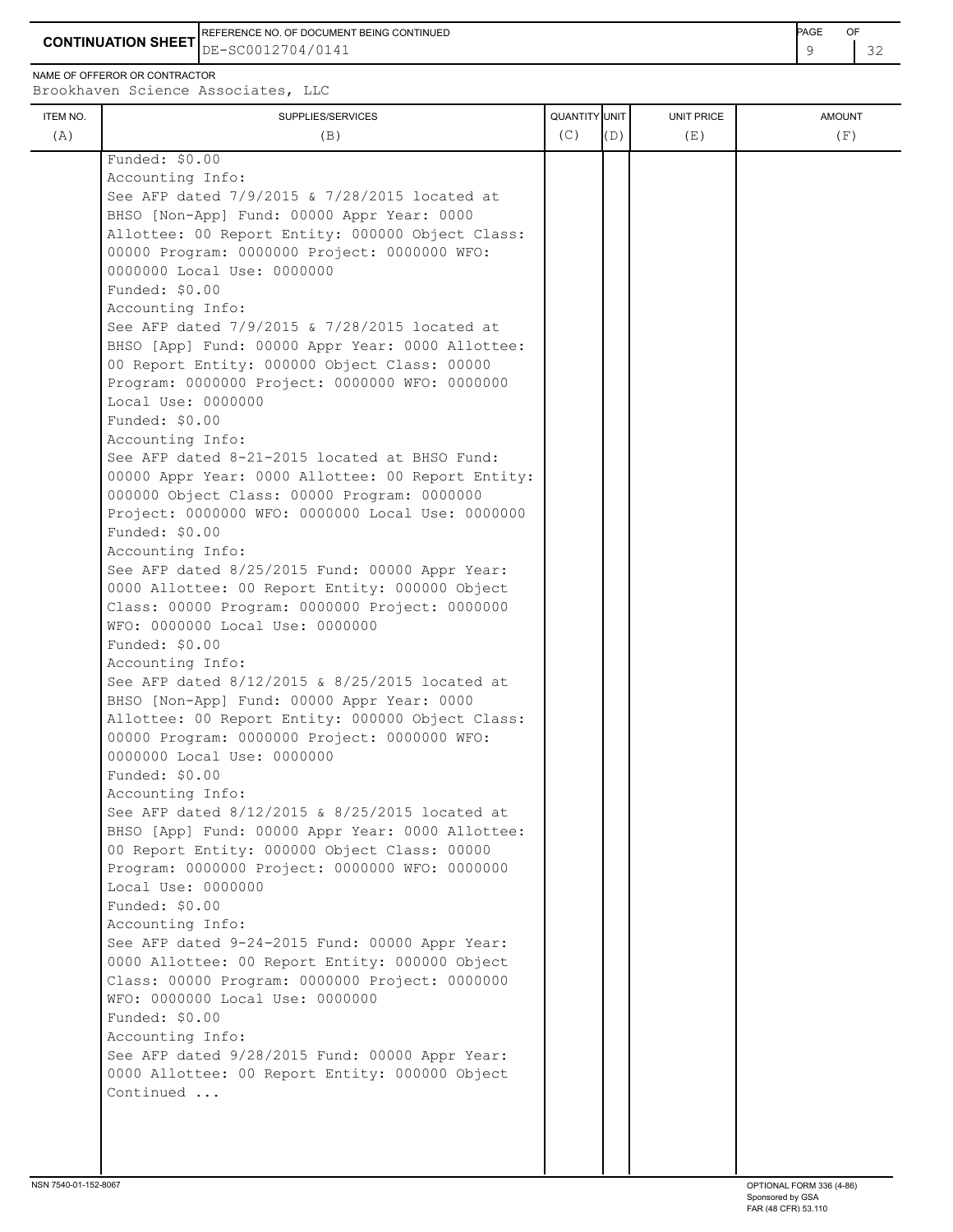**CONTINUATION SHEET** DE-SC0012704/0141 REFERENCE NO. OF DOCUMENT BEING CONTINUED **Example 20 and 20 and 20 and 20 and 20 and 20 and 20 and 20 and 20 and 20 and 20 and 20 and 20 and 20 and 20 and 20 and 20 and 20 and 20 and 20 and 20 and 20 and 20 and 20 and 20** 

NAME OF OFFEROR OR CONTRACTOR

| (A) |                                                   |     |     |     |     |
|-----|---------------------------------------------------|-----|-----|-----|-----|
|     | (B)                                               | (C) | (D) | (E) | (F) |
|     | Funded: \$0.00                                    |     |     |     |     |
|     | Accounting Info:                                  |     |     |     |     |
|     | See AFP dated 7/9/2015 & 7/28/2015 located at     |     |     |     |     |
|     | BHSO [Non-App] Fund: 00000 Appr Year: 0000        |     |     |     |     |
|     | Allottee: 00 Report Entity: 000000 Object Class:  |     |     |     |     |
|     | 00000 Program: 0000000 Project: 0000000 WFO:      |     |     |     |     |
|     | 0000000 Local Use: 0000000                        |     |     |     |     |
|     | Funded: \$0.00                                    |     |     |     |     |
|     | Accounting Info:                                  |     |     |     |     |
|     | See AFP dated 7/9/2015 & 7/28/2015 located at     |     |     |     |     |
|     | BHSO [App] Fund: 00000 Appr Year: 0000 Allottee:  |     |     |     |     |
|     | 00 Report Entity: 000000 Object Class: 00000      |     |     |     |     |
|     | Program: 0000000 Project: 0000000 WFO: 0000000    |     |     |     |     |
|     | Local Use: 0000000                                |     |     |     |     |
|     | Funded: \$0.00                                    |     |     |     |     |
|     | Accounting Info:                                  |     |     |     |     |
|     | See AFP dated 8-21-2015 located at BHSO Fund:     |     |     |     |     |
|     | 00000 Appr Year: 0000 Allottee: 00 Report Entity: |     |     |     |     |
|     | 000000 Object Class: 00000 Program: 0000000       |     |     |     |     |
|     | Project: 0000000 WFO: 0000000 Local Use: 0000000  |     |     |     |     |
|     | Funded: \$0.00                                    |     |     |     |     |
|     | Accounting Info:                                  |     |     |     |     |
|     | See AFP dated 8/25/2015 Fund: 00000 Appr Year:    |     |     |     |     |
|     | 0000 Allottee: 00 Report Entity: 000000 Object    |     |     |     |     |
|     | Class: 00000 Program: 0000000 Project: 0000000    |     |     |     |     |
|     | WFO: 0000000 Local Use: 0000000                   |     |     |     |     |
|     | Funded: \$0.00                                    |     |     |     |     |
|     | Accounting Info:                                  |     |     |     |     |
|     | See AFP dated 8/12/2015 & 8/25/2015 located at    |     |     |     |     |
|     | BHSO [Non-App] Fund: 00000 Appr Year: 0000        |     |     |     |     |
|     | Allottee: 00 Report Entity: 000000 Object Class:  |     |     |     |     |
|     | 00000 Program: 0000000 Project: 0000000 WFO:      |     |     |     |     |
|     | 0000000 Local Use: 0000000                        |     |     |     |     |
|     | Funded: $$0.00$                                   |     |     |     |     |
|     | Accounting Info:                                  |     |     |     |     |
|     | See AFP dated 8/12/2015 & 8/25/2015 located at    |     |     |     |     |
|     | BHSO [App] Fund: 00000 Appr Year: 0000 Allottee:  |     |     |     |     |
|     | 00 Report Entity: 000000 Object Class: 00000      |     |     |     |     |
|     | Program: 0000000 Project: 0000000 WFO: 0000000    |     |     |     |     |
|     | Local Use: 0000000                                |     |     |     |     |
|     | Funded: \$0.00                                    |     |     |     |     |
|     | Accounting Info:                                  |     |     |     |     |
|     | See AFP dated 9-24-2015 Fund: 00000 Appr Year:    |     |     |     |     |
|     | 0000 Allottee: 00 Report Entity: 000000 Object    |     |     |     |     |
|     | Class: 00000 Program: 0000000 Project: 0000000    |     |     |     |     |
|     | WFO: 0000000 Local Use: 0000000                   |     |     |     |     |
|     |                                                   |     |     |     |     |
|     | Funded: \$0.00                                    |     |     |     |     |
|     | Accounting Info:                                  |     |     |     |     |
|     | See AFP dated 9/28/2015 Fund: 00000 Appr Year:    |     |     |     |     |
|     | 0000 Allottee: 00 Report Entity: 000000 Object    |     |     |     |     |
|     | Continued                                         |     |     |     |     |
|     |                                                   |     |     |     |     |
|     |                                                   |     |     |     |     |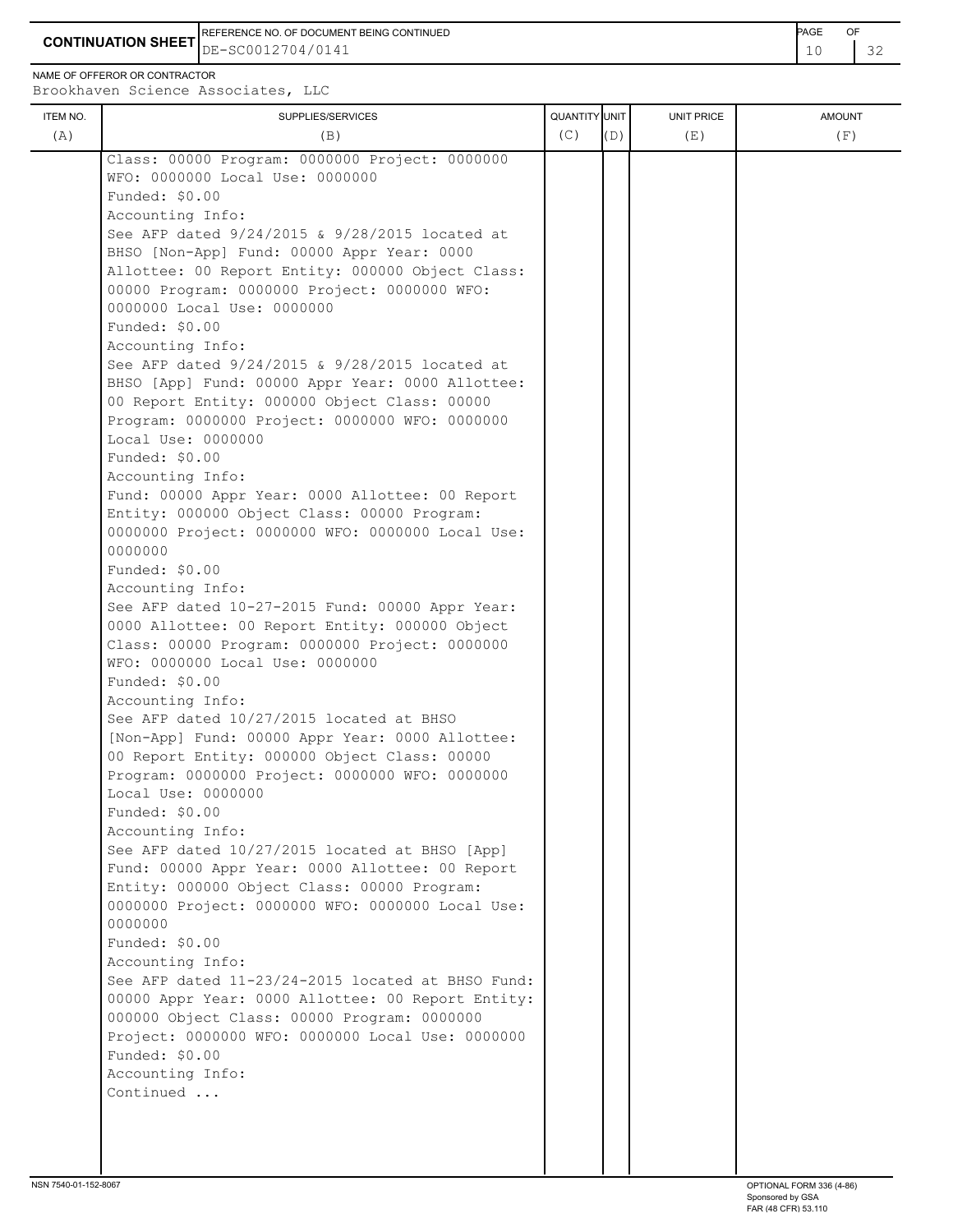**CONTINUATION SHEET** DE-SC0012704/0141 **10** 22 REFERENCE NO. OF DOCUMENT BEING CONTINUED **Example 2008** PAGE OF

NAME OF OFFEROR OR CONTRACTOR

| ITEM NO. | SUPPLIES/SERVICES                                                                               | QUANTITY UNIT |     | UNIT PRICE | <b>AMOUNT</b> |
|----------|-------------------------------------------------------------------------------------------------|---------------|-----|------------|---------------|
| (A)      | (B)                                                                                             | (C)           | (D) | (E)        | (F)           |
|          | Class: 00000 Program: 0000000 Project: 0000000                                                  |               |     |            |               |
|          | WFO: 0000000 Local Use: 0000000                                                                 |               |     |            |               |
|          | Funded: \$0.00                                                                                  |               |     |            |               |
|          | Accounting Info:                                                                                |               |     |            |               |
|          | See AFP dated 9/24/2015 & 9/28/2015 located at                                                  |               |     |            |               |
|          | BHSO [Non-App] Fund: 00000 Appr Year: 0000                                                      |               |     |            |               |
|          | Allottee: 00 Report Entity: 000000 Object Class:                                                |               |     |            |               |
|          | 00000 Program: 0000000 Project: 0000000 WFO:                                                    |               |     |            |               |
|          | 0000000 Local Use: 0000000                                                                      |               |     |            |               |
|          | Funded: \$0.00                                                                                  |               |     |            |               |
|          | Accounting Info:                                                                                |               |     |            |               |
|          | See AFP dated 9/24/2015 & 9/28/2015 located at                                                  |               |     |            |               |
|          | BHSO [App] Fund: 00000 Appr Year: 0000 Allottee:                                                |               |     |            |               |
|          | 00 Report Entity: 000000 Object Class: 00000                                                    |               |     |            |               |
|          | Program: 0000000 Project: 0000000 WFO: 0000000                                                  |               |     |            |               |
|          | Local Use: 0000000                                                                              |               |     |            |               |
|          | Funded: \$0.00                                                                                  |               |     |            |               |
|          | Accounting Info:                                                                                |               |     |            |               |
|          | Fund: 00000 Appr Year: 0000 Allottee: 00 Report                                                 |               |     |            |               |
|          | Entity: 000000 Object Class: 00000 Program:<br>0000000 Project: 0000000 WFO: 0000000 Local Use: |               |     |            |               |
|          | 0000000                                                                                         |               |     |            |               |
|          | Funded: \$0.00                                                                                  |               |     |            |               |
|          | Accounting Info:                                                                                |               |     |            |               |
|          | See AFP dated 10-27-2015 Fund: 00000 Appr Year:                                                 |               |     |            |               |
|          | 0000 Allottee: 00 Report Entity: 000000 Object                                                  |               |     |            |               |
|          | Class: 00000 Program: 0000000 Project: 0000000                                                  |               |     |            |               |
|          | WFO: 0000000 Local Use: 0000000                                                                 |               |     |            |               |
|          | Funded: \$0.00                                                                                  |               |     |            |               |
|          | Accounting Info:                                                                                |               |     |            |               |
|          | See AFP dated 10/27/2015 located at BHSO                                                        |               |     |            |               |
|          | [Non-App] Fund: 00000 Appr Year: 0000 Allottee:                                                 |               |     |            |               |
|          | 00 Report Entity: 000000 Object Class: 00000                                                    |               |     |            |               |
|          | Program: 0000000 Project: 0000000 WFO: 0000000                                                  |               |     |            |               |
|          | Local Use: 0000000                                                                              |               |     |            |               |
|          | Funded: \$0.00                                                                                  |               |     |            |               |
|          | Accounting Info:                                                                                |               |     |            |               |
|          | See AFP dated 10/27/2015 located at BHSO [App]                                                  |               |     |            |               |
|          | Fund: 00000 Appr Year: 0000 Allottee: 00 Report<br>Entity: 000000 Object Class: 00000 Program:  |               |     |            |               |
|          | 0000000 Project: 0000000 WFO: 0000000 Local Use:                                                |               |     |            |               |
|          | 0000000                                                                                         |               |     |            |               |
|          | Funded: \$0.00                                                                                  |               |     |            |               |
|          | Accounting Info:                                                                                |               |     |            |               |
|          | See AFP dated 11-23/24-2015 located at BHSO Fund:                                               |               |     |            |               |
|          | 00000 Appr Year: 0000 Allottee: 00 Report Entity:                                               |               |     |            |               |
|          | 000000 Object Class: 00000 Program: 0000000                                                     |               |     |            |               |
|          | Project: 0000000 WFO: 0000000 Local Use: 0000000                                                |               |     |            |               |
|          | Funded: \$0.00                                                                                  |               |     |            |               |
|          | Accounting Info:                                                                                |               |     |            |               |
|          | Continued                                                                                       |               |     |            |               |
|          |                                                                                                 |               |     |            |               |
|          |                                                                                                 |               |     |            |               |
|          |                                                                                                 |               |     |            |               |
|          |                                                                                                 |               |     |            |               |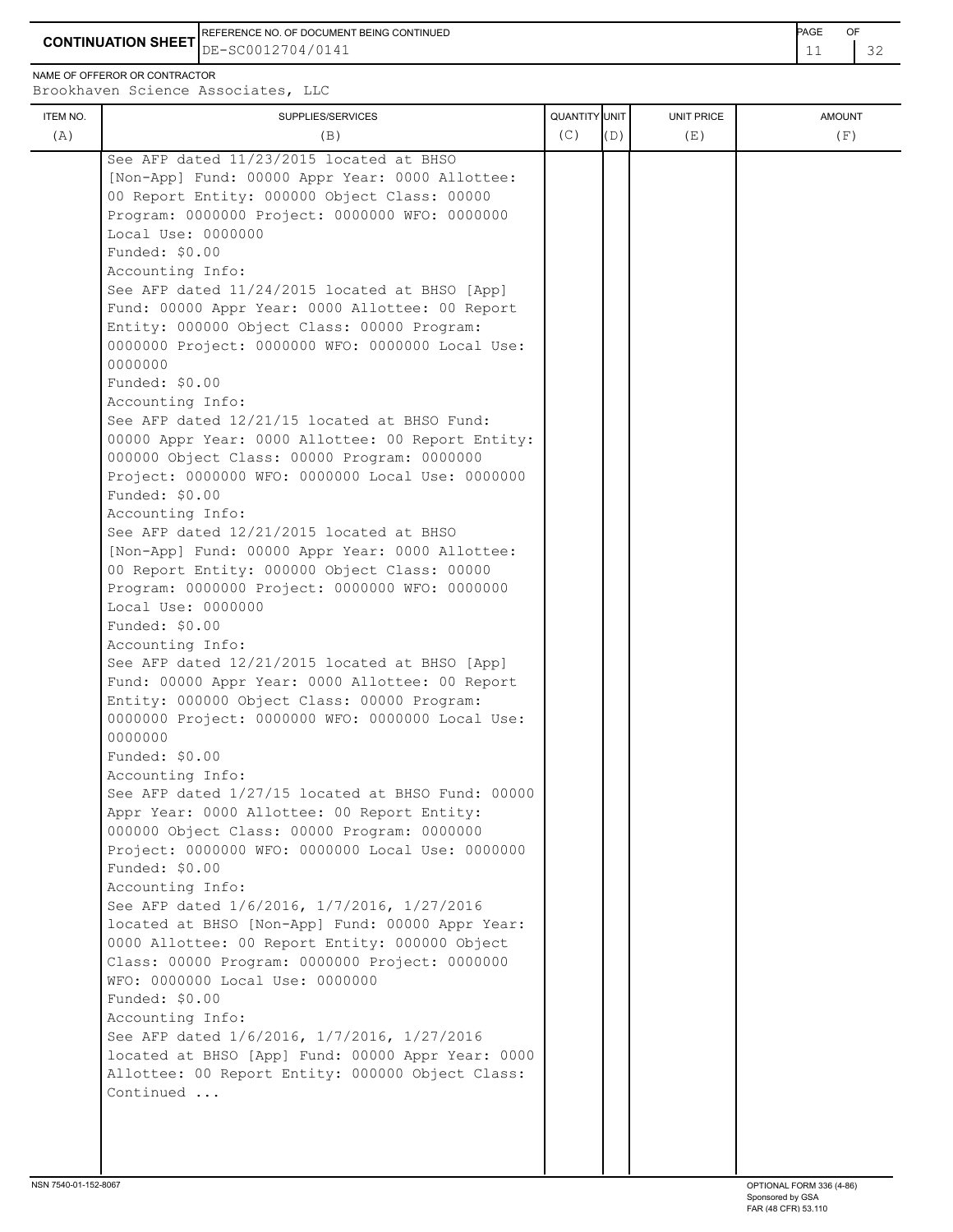REFERENCE NO. OF DOCUMENT BEING CONTINUED **Example 2008** PAGE OF

**CONTINUATION SHEET** DE-SC0012704/0141 **12 132** 

NAME OF OFFEROR OR CONTRACTOR

Brookhaven Science Associates, LLC

| ITEM NO. | SUPPLIES/SERVICES                                 | QUANTITY UNIT |     | <b>UNIT PRICE</b> | <b>AMOUNT</b> |
|----------|---------------------------------------------------|---------------|-----|-------------------|---------------|
| (A)      | (B)                                               | (C)           | (D) | (E)               | (F)           |
|          |                                                   |               |     |                   |               |
|          | See AFP dated 11/23/2015 located at BHSO          |               |     |                   |               |
|          | [Non-App] Fund: 00000 Appr Year: 0000 Allottee:   |               |     |                   |               |
|          | 00 Report Entity: 000000 Object Class: 00000      |               |     |                   |               |
|          | Program: 0000000 Project: 0000000 WFO: 0000000    |               |     |                   |               |
|          | Local Use: 0000000                                |               |     |                   |               |
|          | Funded: \$0.00                                    |               |     |                   |               |
|          | Accounting Info:                                  |               |     |                   |               |
|          | See AFP dated 11/24/2015 located at BHSO [App]    |               |     |                   |               |
|          | Fund: 00000 Appr Year: 0000 Allottee: 00 Report   |               |     |                   |               |
|          | Entity: 000000 Object Class: 00000 Program:       |               |     |                   |               |
|          | 0000000 Project: 0000000 WFO: 0000000 Local Use:  |               |     |                   |               |
|          | 0000000                                           |               |     |                   |               |
|          | Funded: \$0.00                                    |               |     |                   |               |
|          | Accounting Info:                                  |               |     |                   |               |
|          | See AFP dated 12/21/15 located at BHSO Fund:      |               |     |                   |               |
|          | 00000 Appr Year: 0000 Allottee: 00 Report Entity: |               |     |                   |               |
|          | 000000 Object Class: 00000 Program: 0000000       |               |     |                   |               |
|          | Project: 0000000 WFO: 0000000 Local Use: 0000000  |               |     |                   |               |
|          | Funded: \$0.00                                    |               |     |                   |               |
|          | Accounting Info:                                  |               |     |                   |               |
|          | See AFP dated 12/21/2015 located at BHSO          |               |     |                   |               |
|          | [Non-App] Fund: 00000 Appr Year: 0000 Allottee:   |               |     |                   |               |
|          | 00 Report Entity: 000000 Object Class: 00000      |               |     |                   |               |
|          | Program: 0000000 Project: 0000000 WFO: 0000000    |               |     |                   |               |
|          | Local Use: 0000000                                |               |     |                   |               |
|          | Funded: \$0.00                                    |               |     |                   |               |
|          | Accounting Info:                                  |               |     |                   |               |
|          | See AFP dated 12/21/2015 located at BHSO [App]    |               |     |                   |               |
|          | Fund: 00000 Appr Year: 0000 Allottee: 00 Report   |               |     |                   |               |
|          | Entity: 000000 Object Class: 00000 Program:       |               |     |                   |               |
|          | 0000000 Project: 0000000 WFO: 0000000 Local Use:  |               |     |                   |               |
|          | 0000000                                           |               |     |                   |               |
|          | Funded: \$0.00                                    |               |     |                   |               |
|          |                                                   |               |     |                   |               |
|          | Accounting Info:                                  |               |     |                   |               |
|          | See AFP dated 1/27/15 located at BHSO Fund: 00000 |               |     |                   |               |
|          | Appr Year: 0000 Allottee: 00 Report Entity:       |               |     |                   |               |
|          | 000000 Object Class: 00000 Program: 0000000       |               |     |                   |               |
|          | Project: 0000000 WFO: 0000000 Local Use: 0000000  |               |     |                   |               |
|          | Funded: \$0.00                                    |               |     |                   |               |
|          | Accounting Info:                                  |               |     |                   |               |
|          | See AFP dated 1/6/2016, 1/7/2016, 1/27/2016       |               |     |                   |               |
|          | located at BHSO [Non-App] Fund: 00000 Appr Year:  |               |     |                   |               |
|          | 0000 Allottee: 00 Report Entity: 000000 Object    |               |     |                   |               |
|          | Class: 00000 Program: 0000000 Project: 0000000    |               |     |                   |               |
|          | WFO: 0000000 Local Use: 0000000                   |               |     |                   |               |
|          | Funded: \$0.00                                    |               |     |                   |               |
|          | Accounting Info:                                  |               |     |                   |               |
|          | See AFP dated 1/6/2016, 1/7/2016, 1/27/2016       |               |     |                   |               |
|          | located at BHSO [App] Fund: 00000 Appr Year: 0000 |               |     |                   |               |
|          | Allottee: 00 Report Entity: 000000 Object Class:  |               |     |                   |               |
|          | Continued                                         |               |     |                   |               |
|          |                                                   |               |     |                   |               |
|          |                                                   |               |     |                   |               |
|          |                                                   |               |     |                   |               |
|          |                                                   |               |     |                   |               |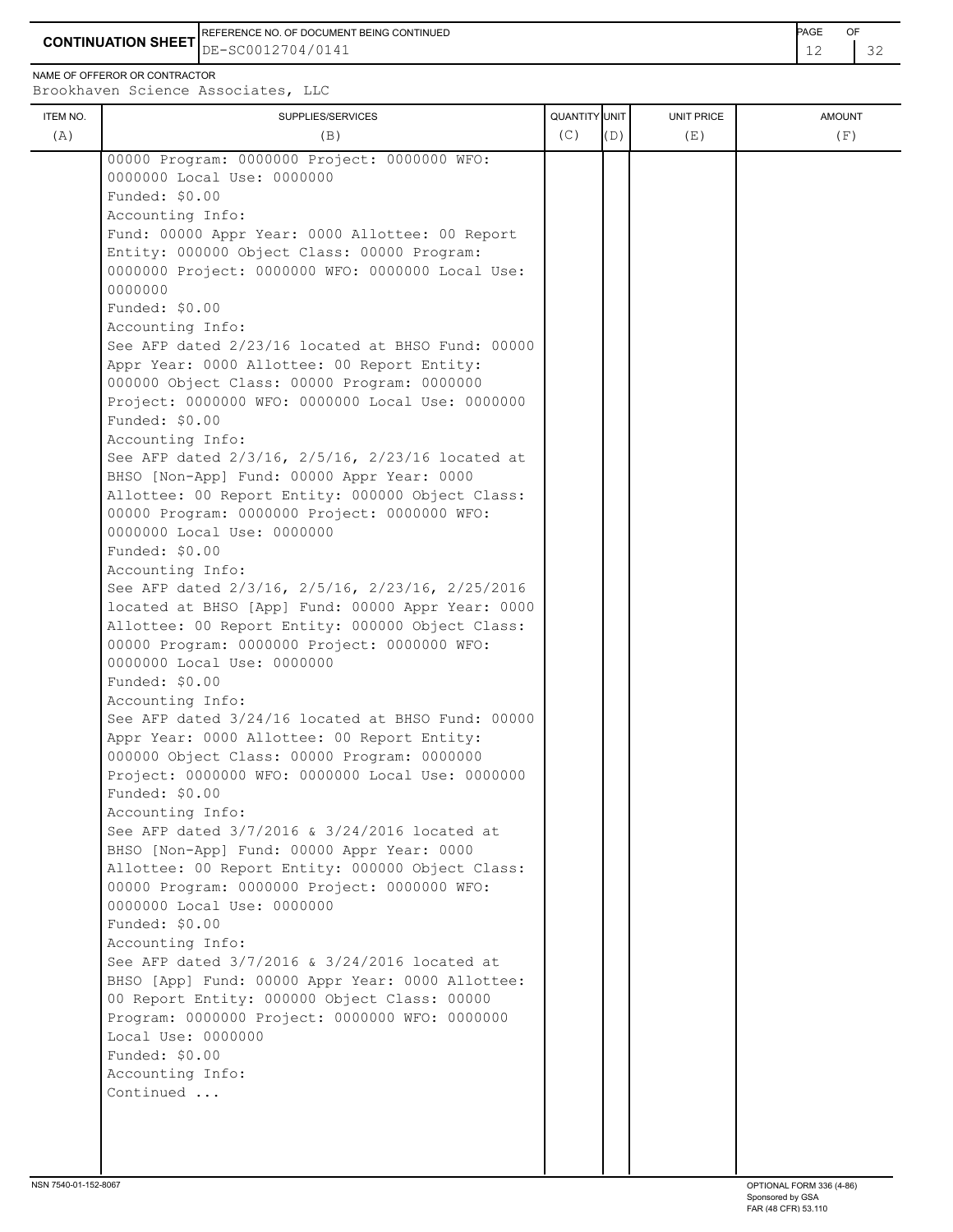**CONTINUATION SHEET**  $\left| \text{DE}-\text{SC0012704/0141} \right|$  12 32 REFERENCE NO. OF DOCUMENT BEING CONTINUED **Example 2008** PAGE OF

NAME OF OFFEROR OR CONTRACTOR

| 00000 Program: 0000000 Project: 0000000 WFO:<br>0000000 Local Use: 0000000<br>Funded: \$0.00<br>Accounting Info:<br>Fund: 00000 Appr Year: 0000 Allottee: 00 Report<br>Entity: 000000 Object Class: 00000 Program:<br>0000000 Project: 0000000 WFO: 0000000 Local Use:<br>0000000<br>Funded: \$0.00<br>Accounting Info:<br>See AFP dated 2/23/16 located at BHSO Fund: 00000<br>Appr Year: 0000 Allottee: 00 Report Entity:<br>000000 Object Class: 00000 Program: 0000000<br>Project: 0000000 WFO: 0000000 Local Use: 0000000<br>Funded: \$0.00<br>Accounting Info:<br>See AFP dated 2/3/16, 2/5/16, 2/23/16 located at<br>BHSO [Non-App] Fund: 00000 Appr Year: 0000<br>Allottee: 00 Report Entity: 000000 Object Class:<br>00000 Program: 0000000 Project: 0000000 WFO:<br>0000000 Local Use: 0000000<br>Funded: \$0.00<br>Accounting Info:<br>See AFP dated 2/3/16, 2/5/16, 2/23/16, 2/25/2016<br>located at BHSO [App] Fund: 00000 Appr Year: 0000<br>Allottee: 00 Report Entity: 000000 Object Class:<br>00000 Program: 0000000 Project: 0000000 WFO:<br>0000000 Local Use: 0000000<br>Funded: \$0.00<br>Accounting Info:<br>See AFP dated 3/24/16 located at BHSO Fund: 00000<br>Appr Year: 0000 Allottee: 00 Report Entity:<br>000000 Object Class: 00000 Program: 0000000<br>Project: 0000000 WFO: 0000000 Local Use: 0000000<br>Funded: \$0.00<br>Accounting Info:<br>See AFP dated 3/7/2016 & 3/24/2016 located at<br>BHSO [Non-App] Fund: 00000 Appr Year: 0000<br>Allottee: 00 Report Entity: 000000 Object Class:<br>00000 Program: 0000000 Project: 0000000 WFO:<br>0000000 Local Use: 0000000<br>Funded: \$0.00<br>Accounting Info:<br>See AFP dated 3/7/2016 & 3/24/2016 located at<br>BHSO [App] Fund: 00000 Appr Year: 0000 Allottee:<br>00 Report Entity: 000000 Object Class: 00000<br>Program: 0000000 Project: 0000000 WFO: 0000000<br>Local Use: 0000000<br>Funded: \$0.00<br>Accounting Info:<br>Continued | ITEM NO.<br>(A) | SUPPLIES/SERVICES<br>(B) | QUANTITY UNIT<br>(C) | (D) | <b>UNIT PRICE</b><br>(E) | <b>AMOUNT</b><br>(F) |
|-------------------------------------------------------------------------------------------------------------------------------------------------------------------------------------------------------------------------------------------------------------------------------------------------------------------------------------------------------------------------------------------------------------------------------------------------------------------------------------------------------------------------------------------------------------------------------------------------------------------------------------------------------------------------------------------------------------------------------------------------------------------------------------------------------------------------------------------------------------------------------------------------------------------------------------------------------------------------------------------------------------------------------------------------------------------------------------------------------------------------------------------------------------------------------------------------------------------------------------------------------------------------------------------------------------------------------------------------------------------------------------------------------------------------------------------------------------------------------------------------------------------------------------------------------------------------------------------------------------------------------------------------------------------------------------------------------------------------------------------------------------------------------------------------------------------------------------------------------------------------------------------------------------------------------------|-----------------|--------------------------|----------------------|-----|--------------------------|----------------------|
|                                                                                                                                                                                                                                                                                                                                                                                                                                                                                                                                                                                                                                                                                                                                                                                                                                                                                                                                                                                                                                                                                                                                                                                                                                                                                                                                                                                                                                                                                                                                                                                                                                                                                                                                                                                                                                                                                                                                     |                 |                          |                      |     |                          |                      |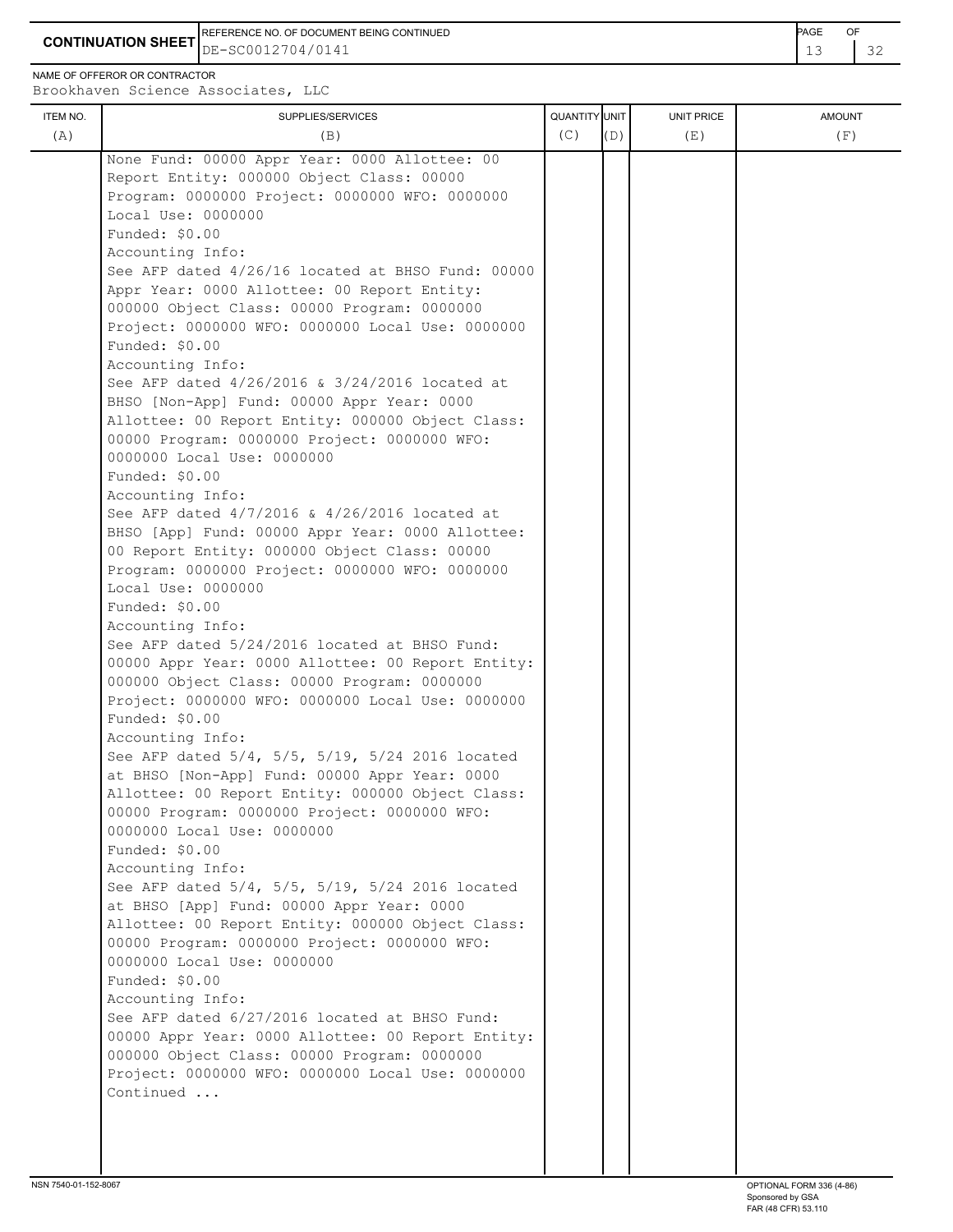REFERENCE NO. OF DOCUMENT BEING CONTINUED **Example 2008** PAGE OF

**CONTINUATION SHEET** DE-SC0012704/0141 **13** 2

NAME OF OFFEROR OR CONTRACTOR

Brookhaven Science Associates, LLC

| <b>QUANTITY</b> UNIT<br>UNIT PRICE<br>ITEM NO.<br>SUPPLIES/SERVICES<br><b>AMOUNT</b><br>(C)<br>(A)<br>(F)<br>(B)<br>(D)<br>(E)<br>None Fund: 00000 Appr Year: 0000 Allottee: 00<br>Report Entity: 000000 Object Class: 00000<br>Program: 0000000 Project: 0000000 WFO: 0000000<br>Local Use: 0000000<br>Funded: \$0.00<br>Accounting Info:<br>See AFP dated 4/26/16 located at BHSO Fund: 00000<br>Appr Year: 0000 Allottee: 00 Report Entity:<br>000000 Object Class: 00000 Program: 0000000<br>Project: 0000000 WFO: 0000000 Local Use: 0000000<br>Funded: \$0.00<br>Accounting Info:<br>See AFP dated 4/26/2016 & 3/24/2016 located at<br>BHSO [Non-App] Fund: 00000 Appr Year: 0000<br>Allottee: 00 Report Entity: 000000 Object Class:<br>00000 Program: 0000000 Project: 0000000 WFO:<br>0000000 Local Use: 0000000<br>Funded: \$0.00<br>Accounting Info:<br>See AFP dated 4/7/2016 & 4/26/2016 located at<br>BHSO [App] Fund: 00000 Appr Year: 0000 Allottee:<br>00 Report Entity: 000000 Object Class: 00000<br>Program: 0000000 Project: 0000000 WFO: 0000000<br>Local Use: 0000000<br>Funded: \$0.00<br>Accounting Info: |  |
|------------------------------------------------------------------------------------------------------------------------------------------------------------------------------------------------------------------------------------------------------------------------------------------------------------------------------------------------------------------------------------------------------------------------------------------------------------------------------------------------------------------------------------------------------------------------------------------------------------------------------------------------------------------------------------------------------------------------------------------------------------------------------------------------------------------------------------------------------------------------------------------------------------------------------------------------------------------------------------------------------------------------------------------------------------------------------------------------------------------------------------|--|
|                                                                                                                                                                                                                                                                                                                                                                                                                                                                                                                                                                                                                                                                                                                                                                                                                                                                                                                                                                                                                                                                                                                                    |  |
| See AFP dated 5/24/2016 located at BHSO Fund:<br>00000 Appr Year: 0000 Allottee: 00 Report Entity:<br>000000 Object Class: 00000 Program: 0000000<br>Project: 0000000 WFO: 0000000 Local Use: 0000000<br>Funded: \$0.00<br>Accounting Info:<br>See AFP dated 5/4, 5/5, 5/19, 5/24 2016 located<br>at BHSO [Non-App] Fund: 00000 Appr Year: 0000<br>Allottee: 00 Report Entity: 000000 Object Class:<br>00000 Program: 0000000 Project: 0000000 WFO:<br>0000000 Local Use: 0000000<br>Funded: \$0.00<br>Accounting Info:<br>See AFP dated 5/4, 5/5, 5/19, 5/24 2016 located<br>at BHSO [App] Fund: 00000 Appr Year: 0000<br>Allottee: 00 Report Entity: 000000 Object Class:<br>00000 Program: 0000000 Project: 0000000 WFO:<br>0000000 Local Use: 0000000<br>Funded: \$0.00<br>Accounting Info:<br>See AFP dated 6/27/2016 located at BHSO Fund:<br>00000 Appr Year: 0000 Allottee: 00 Report Entity:<br>000000 Object Class: 00000 Program: 0000000                                                                                                                                                                               |  |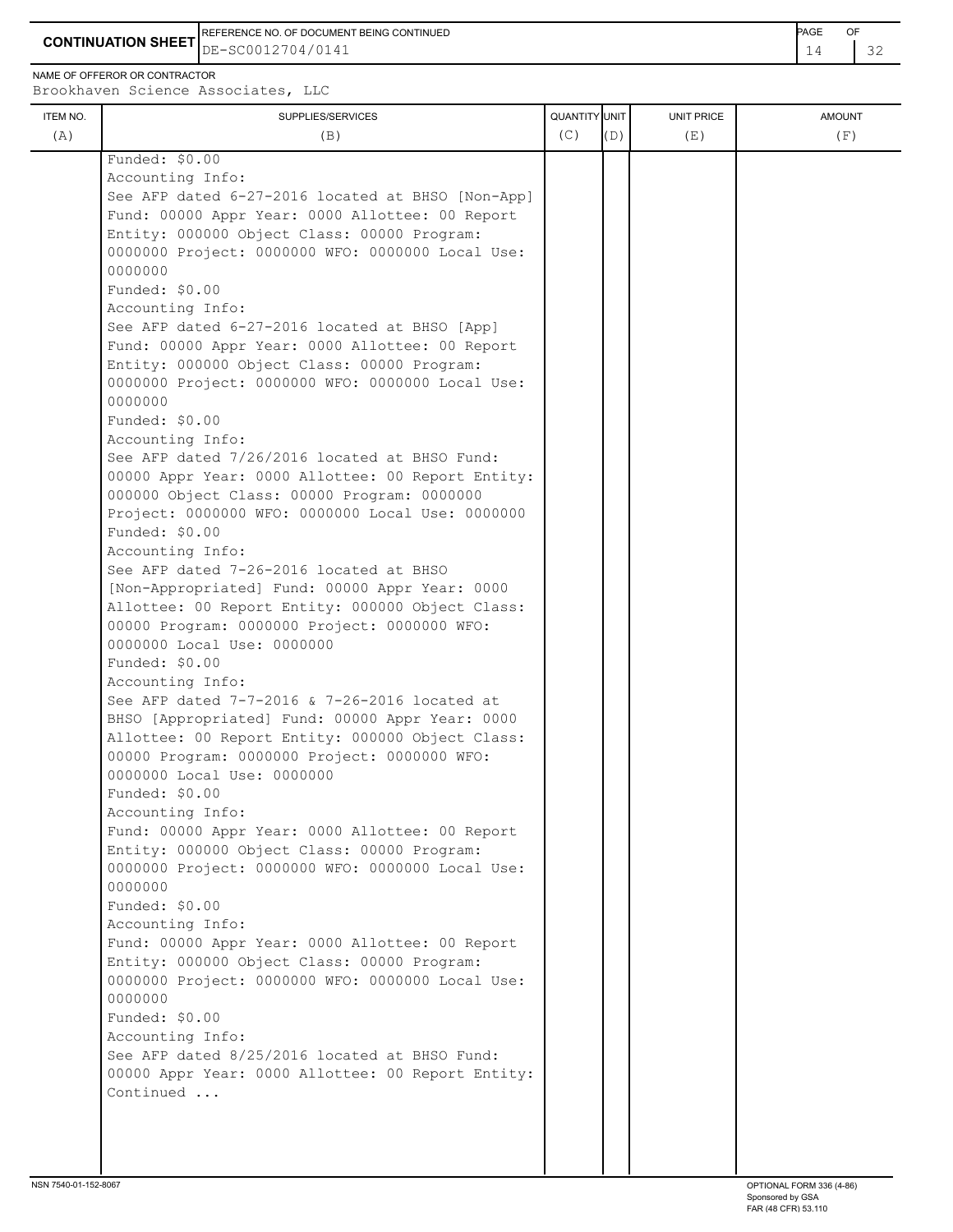REFERENCE NO. OF DOCUMENT BEING CONTINUED<br>DE-SC0012704/0141 14 32

NAME OF OFFEROR OR CONTRACTOR Brookhaven Science Ass

|          | CONTINUATION SHEET $\rm{ _{DE-SC0012704/0141}}$                   |                      |            |               |  |
|----------|-------------------------------------------------------------------|----------------------|------------|---------------|--|
|          | \ME OF OFFEROR OR CONTRACTOR<br>rookhaven Science Associates, LLC |                      |            |               |  |
| ITEM NO. | SUPPLIES/SERVICES                                                 | <b>QUANTITY UNIT</b> | UNIT PRICE | <b>AMOUNT</b> |  |

| ITEM NO. | SUPPLIES/SERVICES                                                          | QUANTITY UNIT |     | UNIT PRICE | <b>AMOUNT</b> |
|----------|----------------------------------------------------------------------------|---------------|-----|------------|---------------|
| (A)      | (B)                                                                        | (C)           | (D) | (E)        | (F)           |
|          | Funded: \$0.00                                                             |               |     |            |               |
|          | Accounting Info:                                                           |               |     |            |               |
|          | See AFP dated 6-27-2016 located at BHSO [Non-App]                          |               |     |            |               |
|          | Fund: 00000 Appr Year: 0000 Allottee: 00 Report                            |               |     |            |               |
|          | Entity: 000000 Object Class: 00000 Program:                                |               |     |            |               |
|          | 0000000 Project: 0000000 WFO: 0000000 Local Use:                           |               |     |            |               |
|          | 0000000                                                                    |               |     |            |               |
|          | Funded: \$0.00                                                             |               |     |            |               |
|          | Accounting Info:                                                           |               |     |            |               |
|          | See AFP dated 6-27-2016 located at BHSO [App]                              |               |     |            |               |
|          | Fund: 00000 Appr Year: 0000 Allottee: 00 Report                            |               |     |            |               |
|          | Entity: 000000 Object Class: 00000 Program:                                |               |     |            |               |
|          | 0000000 Project: 0000000 WFO: 0000000 Local Use:                           |               |     |            |               |
|          | 0000000                                                                    |               |     |            |               |
|          | Funded: \$0.00                                                             |               |     |            |               |
|          | Accounting Info:                                                           |               |     |            |               |
|          | See AFP dated 7/26/2016 located at BHSO Fund:                              |               |     |            |               |
|          | 00000 Appr Year: 0000 Allottee: 00 Report Entity:                          |               |     |            |               |
|          | 000000 Object Class: 00000 Program: 0000000                                |               |     |            |               |
|          | Project: 0000000 WFO: 0000000 Local Use: 0000000                           |               |     |            |               |
|          | Funded: \$0.00                                                             |               |     |            |               |
|          | Accounting Info:                                                           |               |     |            |               |
|          | See AFP dated 7-26-2016 located at BHSO                                    |               |     |            |               |
|          | [Non-Appropriated] Fund: 00000 Appr Year: 0000                             |               |     |            |               |
|          | Allottee: 00 Report Entity: 000000 Object Class:                           |               |     |            |               |
|          | 00000 Program: 0000000 Project: 0000000 WFO:<br>0000000 Local Use: 0000000 |               |     |            |               |
|          | Funded: \$0.00                                                             |               |     |            |               |
|          | Accounting Info:                                                           |               |     |            |               |
|          | See AFP dated 7-7-2016 & 7-26-2016 located at                              |               |     |            |               |
|          | BHSO [Appropriated] Fund: 00000 Appr Year: 0000                            |               |     |            |               |
|          | Allottee: 00 Report Entity: 000000 Object Class:                           |               |     |            |               |
|          | 00000 Program: 0000000 Project: 0000000 WFO:                               |               |     |            |               |
|          | 0000000 Local Use: 0000000                                                 |               |     |            |               |
|          | Funded: \$0.00                                                             |               |     |            |               |
|          | Accounting Info:                                                           |               |     |            |               |
|          | Fund: 00000 Appr Year: 0000 Allottee: 00 Report                            |               |     |            |               |
|          | Entity: 000000 Object Class: 00000 Program:                                |               |     |            |               |
|          | 0000000 Project: 0000000 WFO: 0000000 Local Use:                           |               |     |            |               |
|          | 0000000                                                                    |               |     |            |               |
|          | Funded: \$0.00                                                             |               |     |            |               |
|          | Accounting Info:                                                           |               |     |            |               |
|          | Fund: 00000 Appr Year: 0000 Allottee: 00 Report                            |               |     |            |               |
|          | Entity: 000000 Object Class: 00000 Program:                                |               |     |            |               |
|          | 0000000 Project: 0000000 WFO: 0000000 Local Use:                           |               |     |            |               |
|          | 0000000                                                                    |               |     |            |               |
|          | Funded: \$0.00                                                             |               |     |            |               |
|          | Accounting Info:                                                           |               |     |            |               |
|          | See AFP dated 8/25/2016 located at BHSO Fund:                              |               |     |            |               |
|          | 00000 Appr Year: 0000 Allottee: 00 Report Entity:                          |               |     |            |               |
|          | Continued                                                                  |               |     |            |               |
|          |                                                                            |               |     |            |               |
|          |                                                                            |               |     |            |               |
|          |                                                                            |               |     |            |               |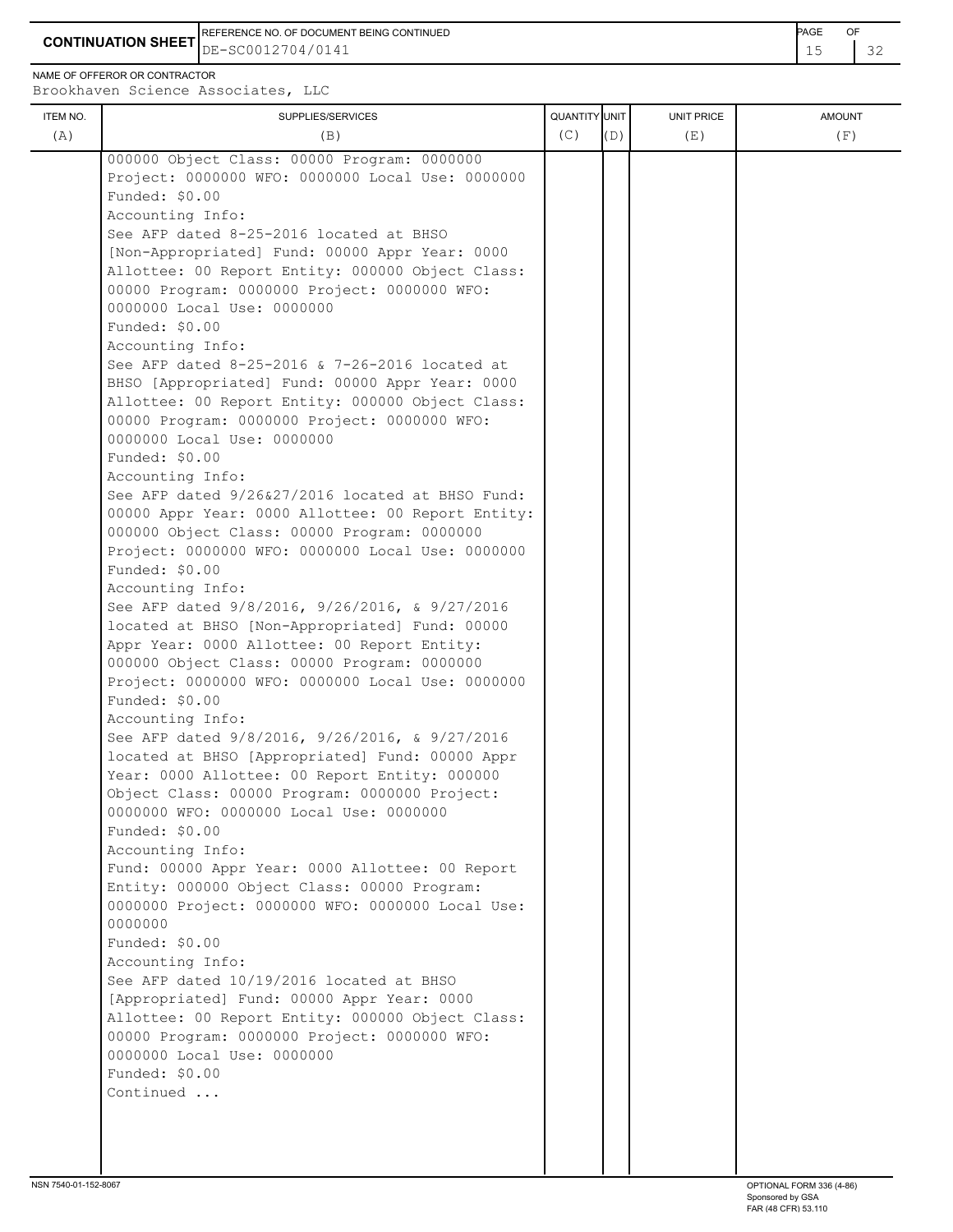**CONTINUATION SHEET** DE-SC0012704/0141 **15** 22 REFERENCE NO. OF DOCUMENT BEING CONTINUED **Example 2008** PAGE OF

NAME OF OFFEROR OR CONTRACTOR

Brookhaven Science Associates, LLC

| ITEM NO. | SUPPLIES/SERVICES                                 | QUANTITY UNIT |     | <b>UNIT PRICE</b> | <b>AMOUNT</b> |
|----------|---------------------------------------------------|---------------|-----|-------------------|---------------|
| (A)      | (B)                                               | (C)           | (D) | (E)               | (F)           |
|          | 000000 Object Class: 00000 Program: 0000000       |               |     |                   |               |
|          | Project: 0000000 WFO: 0000000 Local Use: 0000000  |               |     |                   |               |
|          | Funded: \$0.00                                    |               |     |                   |               |
|          | Accounting Info:                                  |               |     |                   |               |
|          | See AFP dated 8-25-2016 located at BHSO           |               |     |                   |               |
|          |                                                   |               |     |                   |               |
|          | [Non-Appropriated] Fund: 00000 Appr Year: 0000    |               |     |                   |               |
|          | Allottee: 00 Report Entity: 000000 Object Class:  |               |     |                   |               |
|          | 00000 Program: 0000000 Project: 0000000 WFO:      |               |     |                   |               |
|          | 0000000 Local Use: 0000000                        |               |     |                   |               |
|          | Funded: \$0.00                                    |               |     |                   |               |
|          | Accounting Info:                                  |               |     |                   |               |
|          | See AFP dated 8-25-2016 & 7-26-2016 located at    |               |     |                   |               |
|          | BHSO [Appropriated] Fund: 00000 Appr Year: 0000   |               |     |                   |               |
|          | Allottee: 00 Report Entity: 000000 Object Class:  |               |     |                   |               |
|          | 00000 Program: 0000000 Project: 0000000 WFO:      |               |     |                   |               |
|          | 0000000 Local Use: 0000000                        |               |     |                   |               |
|          | Funded: \$0.00                                    |               |     |                   |               |
|          | Accounting Info:                                  |               |     |                   |               |
|          | See AFP dated 9/26&27/2016 located at BHSO Fund:  |               |     |                   |               |
|          | 00000 Appr Year: 0000 Allottee: 00 Report Entity: |               |     |                   |               |
|          | 000000 Object Class: 00000 Program: 0000000       |               |     |                   |               |
|          | Project: 0000000 WFO: 0000000 Local Use: 0000000  |               |     |                   |               |
|          | Funded: \$0.00                                    |               |     |                   |               |
|          | Accounting Info:                                  |               |     |                   |               |
|          | See AFP dated 9/8/2016, 9/26/2016, & 9/27/2016    |               |     |                   |               |
|          | located at BHSO [Non-Appropriated] Fund: 00000    |               |     |                   |               |
|          | Appr Year: 0000 Allottee: 00 Report Entity:       |               |     |                   |               |
|          | 000000 Object Class: 00000 Program: 0000000       |               |     |                   |               |
|          | Project: 0000000 WFO: 0000000 Local Use: 0000000  |               |     |                   |               |
|          | Funded: \$0.00                                    |               |     |                   |               |
|          |                                                   |               |     |                   |               |
|          | Accounting Info:                                  |               |     |                   |               |
|          | See AFP dated 9/8/2016, 9/26/2016, & 9/27/2016    |               |     |                   |               |
|          | located at BHSO [Appropriated] Fund: 00000 Appr   |               |     |                   |               |
|          | Year: 0000 Allottee: 00 Report Entity: 000000     |               |     |                   |               |
|          | Object Class: 00000 Program: 0000000 Project:     |               |     |                   |               |
|          | 0000000 WFO: 0000000 Local Use: 0000000           |               |     |                   |               |
|          | Funded: \$0.00                                    |               |     |                   |               |
|          | Accounting Info:                                  |               |     |                   |               |
|          | Fund: 00000 Appr Year: 0000 Allottee: 00 Report   |               |     |                   |               |
|          | Entity: 000000 Object Class: 00000 Program:       |               |     |                   |               |
|          | 0000000 Project: 0000000 WFO: 0000000 Local Use:  |               |     |                   |               |
|          | 0000000                                           |               |     |                   |               |
|          | Funded: \$0.00                                    |               |     |                   |               |
|          | Accounting Info:                                  |               |     |                   |               |
|          | See AFP dated 10/19/2016 located at BHSO          |               |     |                   |               |
|          | [Appropriated] Fund: 00000 Appr Year: 0000        |               |     |                   |               |
|          | Allottee: 00 Report Entity: 000000 Object Class:  |               |     |                   |               |
|          | 00000 Program: 0000000 Project: 0000000 WFO:      |               |     |                   |               |
|          | 0000000 Local Use: 0000000                        |               |     |                   |               |
|          | Funded: \$0.00                                    |               |     |                   |               |
|          | Continued                                         |               |     |                   |               |
|          |                                                   |               |     |                   |               |
|          |                                                   |               |     |                   |               |
|          |                                                   |               |     |                   |               |
|          |                                                   |               |     |                   |               |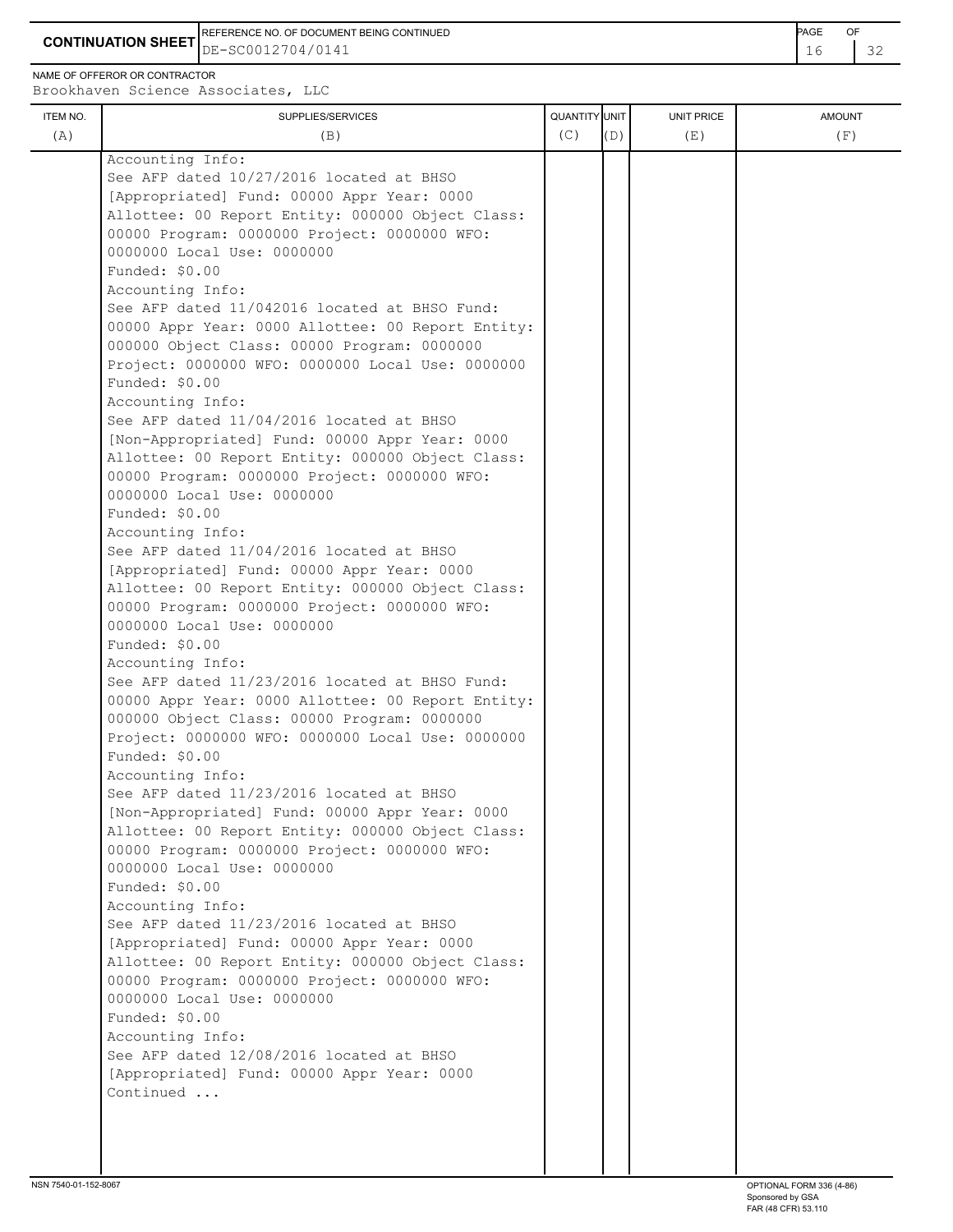**CONTINUATION SHEET**  $DE-SC0012704/0141$   $16$   $132$ REFERENCE NO. OF DOCUMENT BEING CONTINUED **AGE OF A SECOND ACTION OF A SECOND ACTION** PAGE OF DE-SC0012704/0141

NAME OF OFFEROR OR CONTRACTOR

ITEM NO. ┃ SUPPLIES/SERVICES UNIT PRICE AMOUNT Brookhaven Science Associates, LLC (A)  $(B)$  (B)  $(C)$   $(D)$  (E)  $(E)$  (F) Accounting Info: See AFP dated 10/27/2016 located at BHSO [Appropriated] Fund: 00000 Appr Year: 0000 Allottee: 00 Report Entity: 000000 Object Class: 00000 Program: 0000000 Project: 0000000 WFO: 0000000 Local Use: 0000000 Funded: \$0.00 Accounting Info: See AFP dated 11/042016 located at BHSO Fund: 00000 Appr Year: 0000 Allottee: 00 Report Entity: 000000 Object Class: 00000 Program: 0000000 Project: 0000000 WFO: 0000000 Local Use: 0000000 Funded: \$0.00 Accounting Info: See AFP dated 11/04/2016 located at BHSO [Non-Appropriated] Fund: 00000 Appr Year: 0000 Allottee: 00 Report Entity: 000000 Object Class: 00000 Program: 0000000 Project: 0000000 WFO: 0000000 Local Use: 0000000 Funded: \$0.00 Accounting Info: See AFP dated 11/04/2016 located at BHSO [Appropriated] Fund: 00000 Appr Year: 0000 Allottee: 00 Report Entity: 000000 Object Class: 00000 Program: 0000000 Project: 0000000 WFO: 0000000 Local Use: 0000000 Funded: \$0.00 Accounting Info: See AFP dated 11/23/2016 located at BHSO Fund: 00000 Appr Year: 0000 Allottee: 00 Report Entity: 000000 Object Class: 00000 Program: 0000000 Project: 0000000 WFO: 0000000 Local Use: 0000000 Funded: \$0.00 Accounting Info: See AFP dated 11/23/2016 located at BHSO [Non-Appropriated] Fund: 00000 Appr Year: 0000 Allottee: 00 Report Entity: 000000 Object Class: 00000 Program: 0000000 Project: 0000000 WFO: 0000000 Local Use: 0000000 Funded: \$0.00 Accounting Info: See AFP dated 11/23/2016 located at BHSO [Appropriated] Fund: 00000 Appr Year: 0000 Allottee: 00 Report Entity: 000000 Object Class: 00000 Program: 0000000 Project: 0000000 WFO: 0000000 Local Use: 0000000 Funded: \$0.00 Accounting Info: See AFP dated 12/08/2016 located at BHSO [Appropriated] Fund: 00000 Appr Year: 0000 Continued ...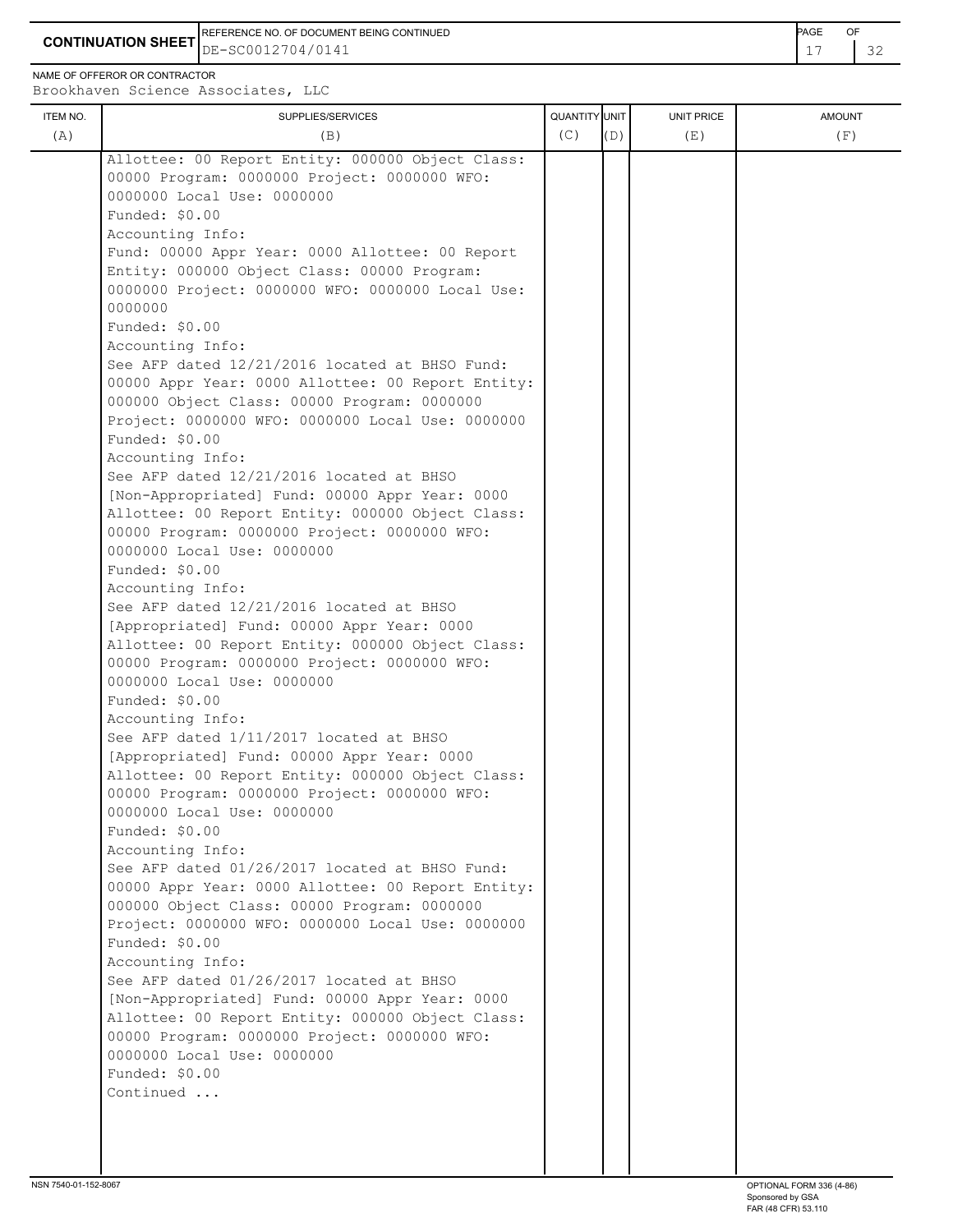**CONTINUATION SHEET** DE-SC0012704/0141 **17** 32 REFERENCE NO. OF DOCUMENT BEING CONTINUED **Example 2008** PAGE OF

NAME OF OFFEROR OR CONTRACTOR

| (A)<br>(B)<br>Allottee: 00 Report Entity: 000000 Object Class:<br>00000 Program: 0000000 Project: 0000000 WFO:<br>0000000 Local Use: 0000000<br>Funded: \$0.00<br>Accounting Info:<br>Fund: 00000 Appr Year: 0000 Allottee: 00 Report<br>Entity: 000000 Object Class: 00000 Program:<br>0000000 Project: 0000000 WFO: 0000000 Local Use:<br>0000000<br>Funded: \$0.00<br>Accounting Info:<br>See AFP dated 12/21/2016 located at BHSO Fund:<br>00000 Appr Year: 0000 Allottee: 00 Report Entity:<br>000000 Object Class: 00000 Program: 0000000<br>Project: 0000000 WFO: 0000000 Local Use: 0000000<br>Funded: \$0.00<br>Accounting Info:<br>See AFP dated 12/21/2016 located at BHSO<br>[Non-Appropriated] Fund: 00000 Appr Year: 0000<br>Allottee: 00 Report Entity: 000000 Object Class:<br>00000 Program: 0000000 Project: 0000000 WFO:<br>0000000 Local Use: 0000000<br>Funded: \$0.00<br>Accounting Info:<br>See AFP dated 12/21/2016 located at BHSO<br>[Appropriated] Fund: 00000 Appr Year: 0000 | (C)<br>(D) | (E) | (F) |
|-----------------------------------------------------------------------------------------------------------------------------------------------------------------------------------------------------------------------------------------------------------------------------------------------------------------------------------------------------------------------------------------------------------------------------------------------------------------------------------------------------------------------------------------------------------------------------------------------------------------------------------------------------------------------------------------------------------------------------------------------------------------------------------------------------------------------------------------------------------------------------------------------------------------------------------------------------------------------------------------------------------|------------|-----|-----|
|                                                                                                                                                                                                                                                                                                                                                                                                                                                                                                                                                                                                                                                                                                                                                                                                                                                                                                                                                                                                           |            |     |     |
| Allottee: 00 Report Entity: 000000 Object Class:<br>00000 Program: 0000000 Project: 0000000 WFO:<br>0000000 Local Use: 0000000<br>Funded: \$0.00<br>Accounting Info:<br>See AFP dated 1/11/2017 located at BHSO<br>[Appropriated] Fund: 00000 Appr Year: 0000<br>Allottee: 00 Report Entity: 000000 Object Class:<br>00000 Program: 0000000 Project: 0000000 WFO:<br>0000000 Local Use: 0000000<br>Funded: \$0.00<br>Accounting Info:<br>See AFP dated 01/26/2017 located at BHSO Fund:<br>00000 Appr Year: 0000 Allottee: 00 Report Entity:<br>000000 Object Class: 00000 Program: 0000000<br>Project: 0000000 WFO: 0000000 Local Use: 0000000<br>Funded: \$0.00<br>Accounting Info:<br>See AFP dated 01/26/2017 located at BHSO<br>[Non-Appropriated] Fund: 00000 Appr Year: 0000<br>Allottee: 00 Report Entity: 000000 Object Class:<br>00000 Program: 0000000 Project: 0000000 WFO:<br>0000000 Local Use: 0000000<br>Funded: \$0.00<br>Continued                                                      |            |     |     |
|                                                                                                                                                                                                                                                                                                                                                                                                                                                                                                                                                                                                                                                                                                                                                                                                                                                                                                                                                                                                           |            |     |     |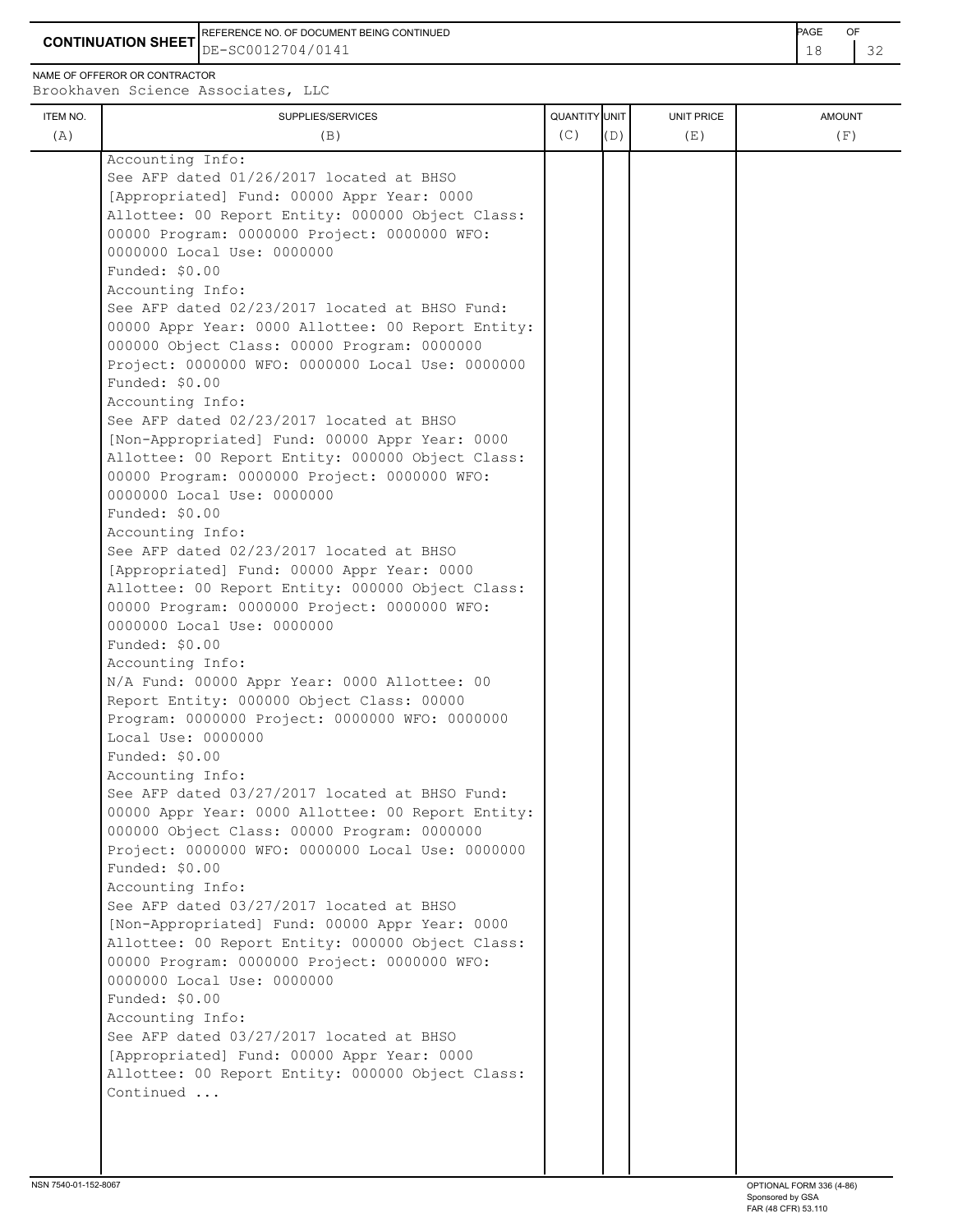REFERENCE NO. OF DOCUMENT BEING CONTINUED **AGE ACCUMENT ACCUMENT OF A CONTINUED** 

**CONTINUATION SHEET** DE-SC0012704/0141 **18** 22

NAME OF OFFEROR OR CONTRACTOR

| ITEM NO. | SUPPLIES/SERVICES                                                                              | QUANTITY UNIT |     | <b>UNIT PRICE</b> | <b>AMOUNT</b> |
|----------|------------------------------------------------------------------------------------------------|---------------|-----|-------------------|---------------|
| (A)      | (B)                                                                                            | (C)           | (D) | (E)               | (F)           |
|          | Accounting Info:                                                                               |               |     |                   |               |
|          | See AFP dated 01/26/2017 located at BHSO                                                       |               |     |                   |               |
|          | [Appropriated] Fund: 00000 Appr Year: 0000                                                     |               |     |                   |               |
|          | Allottee: 00 Report Entity: 000000 Object Class:                                               |               |     |                   |               |
|          | 00000 Program: 0000000 Project: 0000000 WFO:                                                   |               |     |                   |               |
|          | 0000000 Local Use: 0000000                                                                     |               |     |                   |               |
|          | Funded: \$0.00                                                                                 |               |     |                   |               |
|          | Accounting Info:                                                                               |               |     |                   |               |
|          | See AFP dated 02/23/2017 located at BHSO Fund:                                                 |               |     |                   |               |
|          | 00000 Appr Year: 0000 Allottee: 00 Report Entity:                                              |               |     |                   |               |
|          | 000000 Object Class: 00000 Program: 0000000                                                    |               |     |                   |               |
|          | Project: 0000000 WFO: 0000000 Local Use: 0000000                                               |               |     |                   |               |
|          | Funded: \$0.00                                                                                 |               |     |                   |               |
|          | Accounting Info:                                                                               |               |     |                   |               |
|          | See AFP dated 02/23/2017 located at BHSO                                                       |               |     |                   |               |
|          | [Non-Appropriated] Fund: 00000 Appr Year: 0000                                                 |               |     |                   |               |
|          | Allottee: 00 Report Entity: 000000 Object Class:                                               |               |     |                   |               |
|          | 00000 Program: 0000000 Project: 0000000 WFO:                                                   |               |     |                   |               |
|          | 0000000 Local Use: 0000000                                                                     |               |     |                   |               |
|          | Funded: \$0.00                                                                                 |               |     |                   |               |
|          | Accounting Info:                                                                               |               |     |                   |               |
|          | See AFP dated 02/23/2017 located at BHSO<br>[Appropriated] Fund: 00000 Appr Year: 0000         |               |     |                   |               |
|          | Allottee: 00 Report Entity: 000000 Object Class:                                               |               |     |                   |               |
|          | 00000 Program: 0000000 Project: 0000000 WFO:                                                   |               |     |                   |               |
|          | 0000000 Local Use: 0000000                                                                     |               |     |                   |               |
|          | Funded: \$0.00                                                                                 |               |     |                   |               |
|          | Accounting Info:                                                                               |               |     |                   |               |
|          | N/A Fund: 00000 Appr Year: 0000 Allottee: 00                                                   |               |     |                   |               |
|          | Report Entity: 000000 Object Class: 00000                                                      |               |     |                   |               |
|          | Program: 0000000 Project: 0000000 WFO: 0000000                                                 |               |     |                   |               |
|          | Local Use: 0000000                                                                             |               |     |                   |               |
|          | Funded: \$0.00                                                                                 |               |     |                   |               |
|          | Accounting Info:                                                                               |               |     |                   |               |
|          | See AFP dated 03/27/2017 located at BHSO Fund:                                                 |               |     |                   |               |
|          | 00000 Appr Year: 0000 Allottee: 00 Report Entity:                                              |               |     |                   |               |
|          | 000000 Object Class: 00000 Program: 0000000                                                    |               |     |                   |               |
|          | Project: 0000000 WFO: 0000000 Local Use: 0000000                                               |               |     |                   |               |
|          | Funded: \$0.00                                                                                 |               |     |                   |               |
|          | Accounting Info:                                                                               |               |     |                   |               |
|          | See AFP dated 03/27/2017 located at BHSO                                                       |               |     |                   |               |
|          | [Non-Appropriated] Fund: 00000 Appr Year: 0000                                                 |               |     |                   |               |
|          | Allottee: 00 Report Entity: 000000 Object Class:                                               |               |     |                   |               |
|          | 00000 Program: 0000000 Project: 0000000 WFO:                                                   |               |     |                   |               |
|          | 0000000 Local Use: 0000000                                                                     |               |     |                   |               |
|          | Funded: \$0.00                                                                                 |               |     |                   |               |
|          | Accounting Info:                                                                               |               |     |                   |               |
|          | See AFP dated 03/27/2017 located at BHSO                                                       |               |     |                   |               |
|          | [Appropriated] Fund: 00000 Appr Year: 0000<br>Allottee: 00 Report Entity: 000000 Object Class: |               |     |                   |               |

Continued ...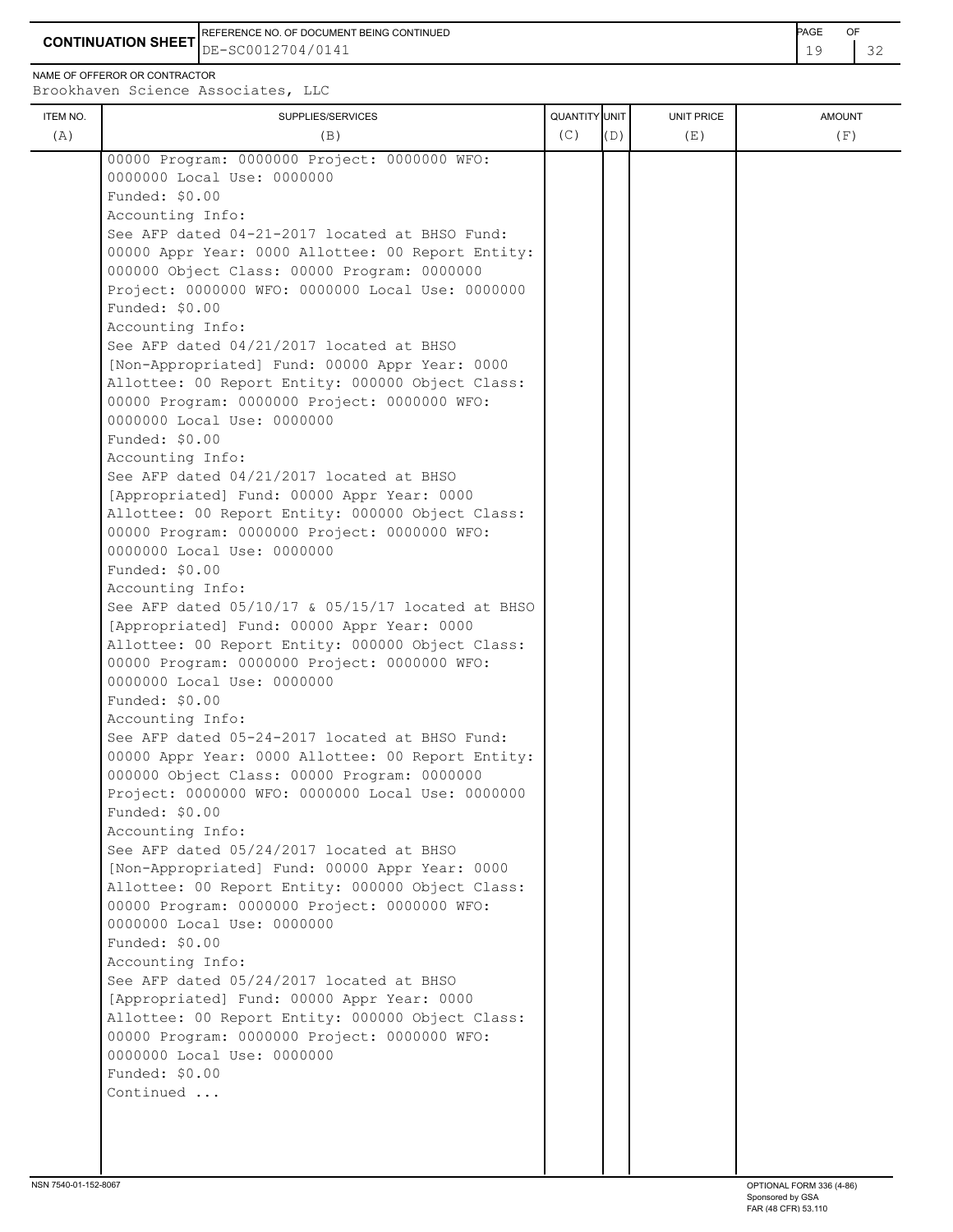**CONTINUATION SHEET** DE-SC0012704/0141 **CONTINUATION SHEET**  $\begin{bmatrix} 19 & 32 \end{bmatrix}$ REFERENCE NO. OF DOCUMENT BEING CONTINUED **Example 2008** PAGE OF

NAME OF OFFEROR OR CONTRACTOR

| ITEM NO.<br>(A) | SUPPLIES/SERVICES<br>(B)                                                                           | QUANTITY UNIT<br>(C) | (D) | <b>UNIT PRICE</b><br>(E) | <b>AMOUNT</b><br>(F) |
|-----------------|----------------------------------------------------------------------------------------------------|----------------------|-----|--------------------------|----------------------|
|                 | 00000 Program: 0000000 Project: 0000000 WFO:                                                       |                      |     |                          |                      |
|                 | 0000000 Local Use: 0000000                                                                         |                      |     |                          |                      |
|                 | Funded: \$0.00                                                                                     |                      |     |                          |                      |
|                 | Accounting Info:                                                                                   |                      |     |                          |                      |
|                 | See AFP dated 04-21-2017 located at BHSO Fund:                                                     |                      |     |                          |                      |
|                 | 00000 Appr Year: 0000 Allottee: 00 Report Entity:                                                  |                      |     |                          |                      |
|                 | 000000 Object Class: 00000 Program: 0000000                                                        |                      |     |                          |                      |
|                 | Project: 0000000 WFO: 0000000 Local Use: 0000000                                                   |                      |     |                          |                      |
|                 | Funded: \$0.00                                                                                     |                      |     |                          |                      |
|                 | Accounting Info:                                                                                   |                      |     |                          |                      |
|                 | See AFP dated 04/21/2017 located at BHSO                                                           |                      |     |                          |                      |
|                 | [Non-Appropriated] Fund: 00000 Appr Year: 0000                                                     |                      |     |                          |                      |
|                 | Allottee: 00 Report Entity: 000000 Object Class:                                                   |                      |     |                          |                      |
|                 | 00000 Program: 0000000 Project: 0000000 WFO:                                                       |                      |     |                          |                      |
|                 | 0000000 Local Use: 0000000                                                                         |                      |     |                          |                      |
|                 | Funded: \$0.00                                                                                     |                      |     |                          |                      |
|                 | Accounting Info:                                                                                   |                      |     |                          |                      |
|                 | See AFP dated 04/21/2017 located at BHSO                                                           |                      |     |                          |                      |
|                 | [Appropriated] Fund: 00000 Appr Year: 0000                                                         |                      |     |                          |                      |
|                 | Allottee: 00 Report Entity: 000000 Object Class:                                                   |                      |     |                          |                      |
|                 | 00000 Program: 0000000 Project: 0000000 WFO:<br>0000000 Local Use: 0000000                         |                      |     |                          |                      |
|                 | Funded: \$0.00                                                                                     |                      |     |                          |                      |
|                 | Accounting Info:                                                                                   |                      |     |                          |                      |
|                 | See AFP dated 05/10/17 & 05/15/17 located at BHSO                                                  |                      |     |                          |                      |
|                 | [Appropriated] Fund: 00000 Appr Year: 0000                                                         |                      |     |                          |                      |
|                 | Allottee: 00 Report Entity: 000000 Object Class:                                                   |                      |     |                          |                      |
|                 | 00000 Program: 0000000 Project: 0000000 WFO:                                                       |                      |     |                          |                      |
|                 | 0000000 Local Use: 0000000                                                                         |                      |     |                          |                      |
|                 | Funded: \$0.00                                                                                     |                      |     |                          |                      |
|                 | Accounting Info:                                                                                   |                      |     |                          |                      |
|                 | See AFP dated 05-24-2017 located at BHSO Fund:                                                     |                      |     |                          |                      |
|                 | 00000 Appr Year: 0000 Allottee: 00 Report Entity:                                                  |                      |     |                          |                      |
|                 | 000000 Object Class: 00000 Program: 0000000                                                        |                      |     |                          |                      |
|                 | Project: 0000000 WFO: 0000000 Local Use: 0000000                                                   |                      |     |                          |                      |
|                 | Funded: \$0.00                                                                                     |                      |     |                          |                      |
|                 | Accounting Info:                                                                                   |                      |     |                          |                      |
|                 | See AFP dated 05/24/2017 located at BHSO                                                           |                      |     |                          |                      |
|                 | [Non-Appropriated] Fund: 00000 Appr Year: 0000<br>Allottee: 00 Report Entity: 000000 Object Class: |                      |     |                          |                      |
|                 | 00000 Program: 0000000 Project: 0000000 WFO:                                                       |                      |     |                          |                      |
|                 | 0000000 Local Use: 0000000                                                                         |                      |     |                          |                      |
|                 | Funded: \$0.00                                                                                     |                      |     |                          |                      |
|                 | Accounting Info:                                                                                   |                      |     |                          |                      |
|                 | See AFP dated 05/24/2017 located at BHSO                                                           |                      |     |                          |                      |
|                 | [Appropriated] Fund: 00000 Appr Year: 0000                                                         |                      |     |                          |                      |
|                 | Allottee: 00 Report Entity: 000000 Object Class:                                                   |                      |     |                          |                      |
|                 | 00000 Program: 0000000 Project: 0000000 WFO:                                                       |                      |     |                          |                      |
|                 | 0000000 Local Use: 0000000                                                                         |                      |     |                          |                      |
|                 | Funded: \$0.00                                                                                     |                      |     |                          |                      |
|                 | Continued                                                                                          |                      |     |                          |                      |
|                 |                                                                                                    |                      |     |                          |                      |
|                 |                                                                                                    |                      |     |                          |                      |
|                 |                                                                                                    |                      |     |                          |                      |
|                 |                                                                                                    |                      |     |                          |                      |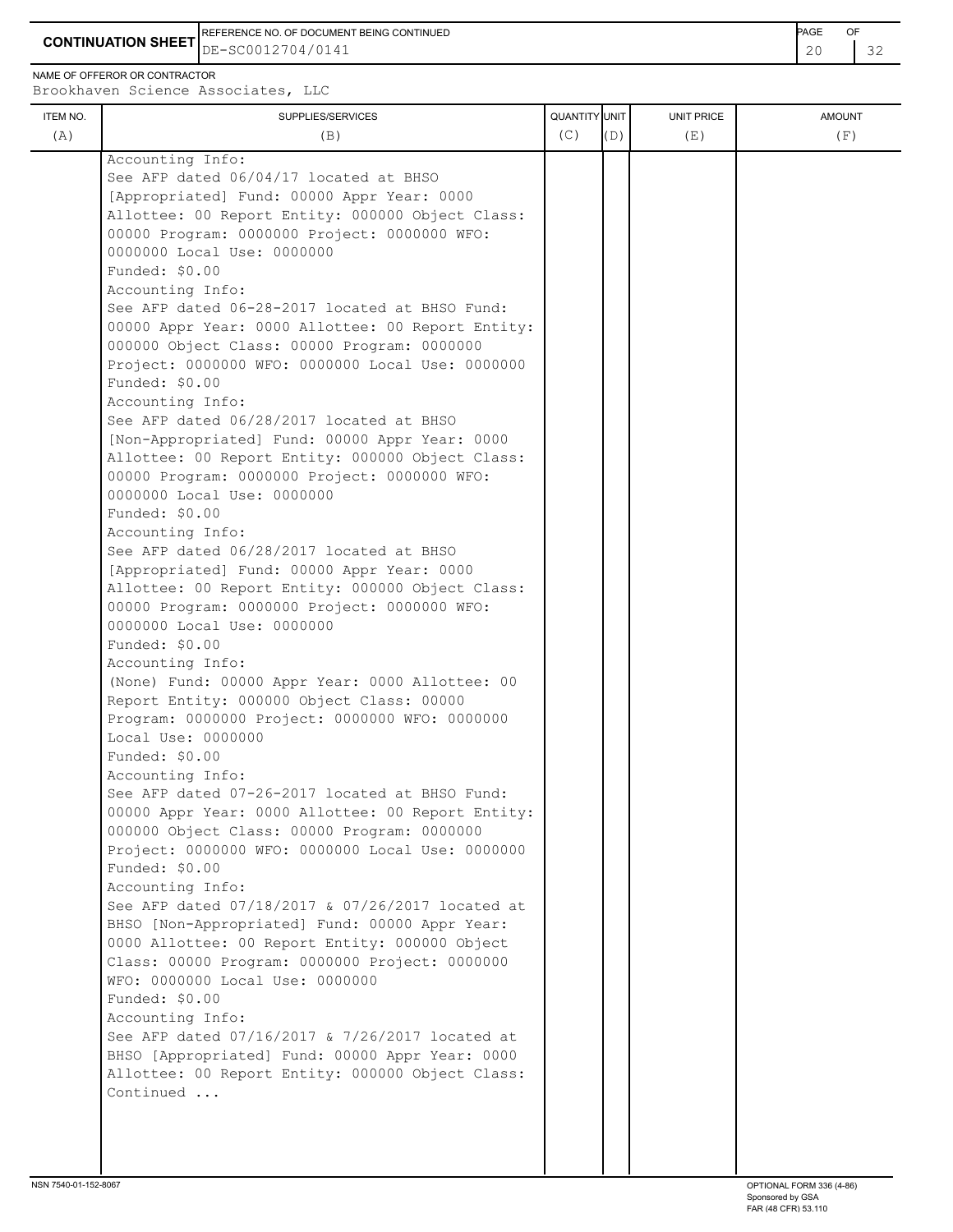REFERENCE NO. OF DOCUMENT BEING CONTINUED **Example 2008** PAGE OF

**CONTINUATION SHEET** DE-SC0012704/0141

NAME OF OFFEROR OR CONTRACTOR

| (A) |                                                                                                     |     |     |     |     |
|-----|-----------------------------------------------------------------------------------------------------|-----|-----|-----|-----|
|     | (B)                                                                                                 | (C) | (D) | (E) | (F) |
|     | Accounting Info:                                                                                    |     |     |     |     |
|     | See AFP dated 06/04/17 located at BHSO                                                              |     |     |     |     |
|     | [Appropriated] Fund: 00000 Appr Year: 0000                                                          |     |     |     |     |
|     | Allottee: 00 Report Entity: 000000 Object Class:                                                    |     |     |     |     |
|     | 00000 Program: 0000000 Project: 0000000 WFO:                                                        |     |     |     |     |
|     | 0000000 Local Use: 0000000                                                                          |     |     |     |     |
|     | Funded: $$0.00$                                                                                     |     |     |     |     |
|     | Accounting Info:                                                                                    |     |     |     |     |
|     | See AFP dated 06-28-2017 located at BHSO Fund:                                                      |     |     |     |     |
|     | 00000 Appr Year: 0000 Allottee: 00 Report Entity:                                                   |     |     |     |     |
|     | 000000 Object Class: 00000 Program: 0000000                                                         |     |     |     |     |
|     | Project: 0000000 WFO: 0000000 Local Use: 0000000                                                    |     |     |     |     |
|     | Funded: \$0.00                                                                                      |     |     |     |     |
|     | Accounting Info:                                                                                    |     |     |     |     |
|     | See AFP dated 06/28/2017 located at BHSO                                                            |     |     |     |     |
|     | [Non-Appropriated] Fund: 00000 Appr Year: 0000                                                      |     |     |     |     |
|     | Allottee: 00 Report Entity: 000000 Object Class:                                                    |     |     |     |     |
|     | 00000 Program: 0000000 Project: 0000000 WFO:                                                        |     |     |     |     |
|     | 0000000 Local Use: 0000000                                                                          |     |     |     |     |
|     | Funded: \$0.00                                                                                      |     |     |     |     |
|     | Accounting Info:                                                                                    |     |     |     |     |
|     | See AFP dated 06/28/2017 located at BHSO                                                            |     |     |     |     |
|     | [Appropriated] Fund: 00000 Appr Year: 0000                                                          |     |     |     |     |
|     | Allottee: 00 Report Entity: 000000 Object Class:                                                    |     |     |     |     |
|     | 00000 Program: 0000000 Project: 0000000 WFO:                                                        |     |     |     |     |
|     | 0000000 Local Use: 0000000                                                                          |     |     |     |     |
|     | Funded: \$0.00                                                                                      |     |     |     |     |
|     | Accounting Info:                                                                                    |     |     |     |     |
|     | (None) Fund: 00000 Appr Year: 0000 Allottee: 00                                                     |     |     |     |     |
|     | Report Entity: 000000 Object Class: 00000                                                           |     |     |     |     |
|     | Program: 0000000 Project: 0000000 WFO: 0000000                                                      |     |     |     |     |
|     | Local Use: 0000000                                                                                  |     |     |     |     |
|     | Funded: $$0.00$                                                                                     |     |     |     |     |
|     | Accounting Info:                                                                                    |     |     |     |     |
|     | See AFP dated 07-26-2017 located at BHSO Fund:                                                      |     |     |     |     |
|     | 00000 Appr Year: 0000 Allottee: 00 Report Entity:                                                   |     |     |     |     |
|     | 000000 Object Class: 00000 Program: 0000000                                                         |     |     |     |     |
|     | Project: 0000000 WFO: 0000000 Local Use: 0000000                                                    |     |     |     |     |
|     | Funded: $$0.00$                                                                                     |     |     |     |     |
|     | Accounting Info:                                                                                    |     |     |     |     |
|     | See AFP dated 07/18/2017 & 07/26/2017 located at                                                    |     |     |     |     |
|     | BHSO [Non-Appropriated] Fund: 00000 Appr Year:<br>0000 Allottee: 00 Report Entity: 000000 Object    |     |     |     |     |
|     |                                                                                                     |     |     |     |     |
|     | Class: 00000 Program: 0000000 Project: 0000000<br>WFO: 0000000 Local Use: 0000000                   |     |     |     |     |
|     | Funded: \$0.00                                                                                      |     |     |     |     |
|     |                                                                                                     |     |     |     |     |
|     | Accounting Info:<br>See AFP dated 07/16/2017 & 7/26/2017 located at                                 |     |     |     |     |
|     |                                                                                                     |     |     |     |     |
|     | BHSO [Appropriated] Fund: 00000 Appr Year: 0000<br>Allottee: 00 Report Entity: 000000 Object Class: |     |     |     |     |
|     | Continued                                                                                           |     |     |     |     |
|     |                                                                                                     |     |     |     |     |
|     |                                                                                                     |     |     |     |     |
|     |                                                                                                     |     |     |     |     |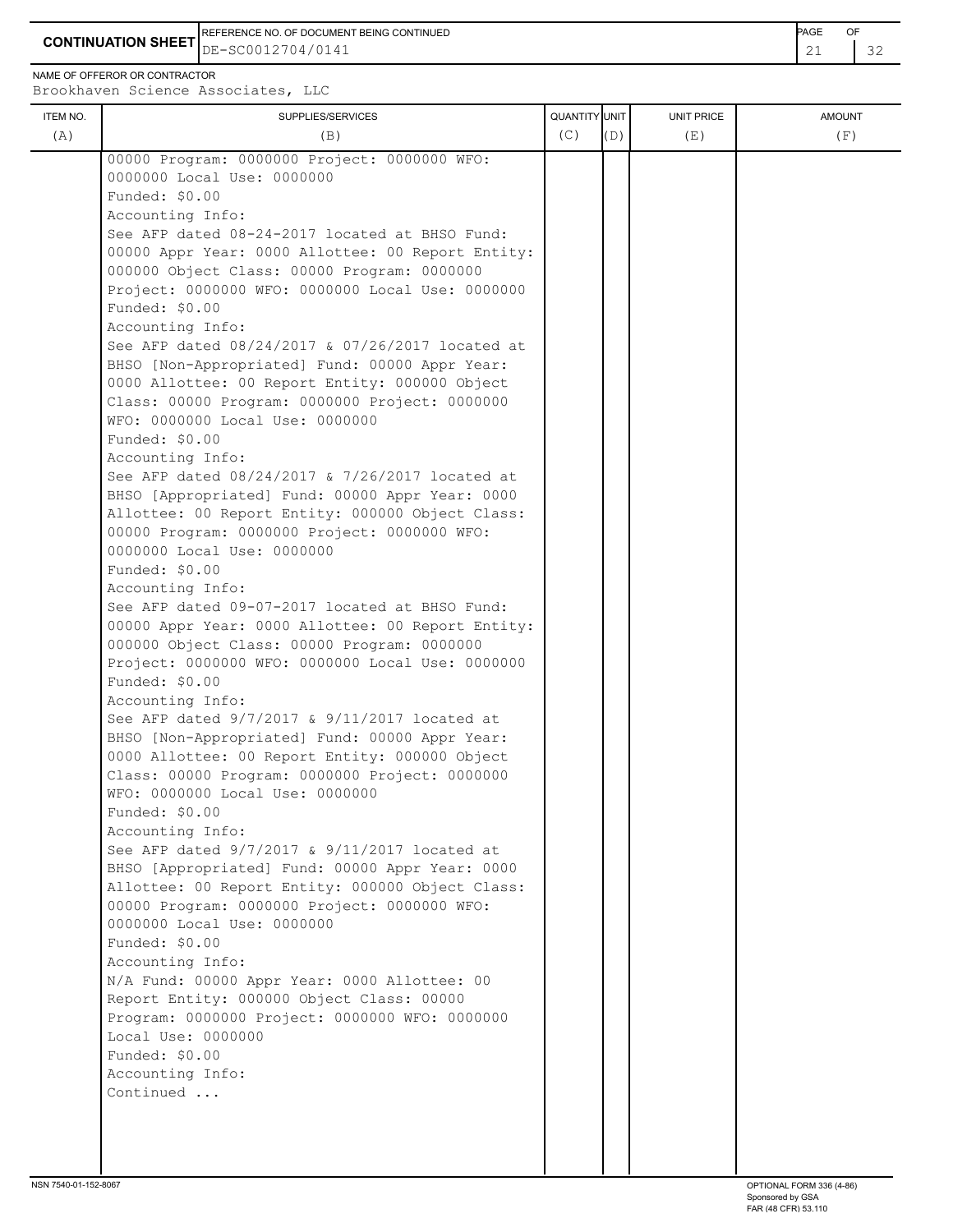**CONTINUATION SHEET**  $\left| \text{DE}-\text{SC0012704/0141} \right|$ REFERENCE NO. OF DOCUMENT BEING CONTINUED **Example 2008** PAGE OF

NAME OF OFFEROR OR CONTRACTOR

| 00000 Program: 0000000 Project: 0000000 WFO:<br>0000000 Local Use: 0000000<br>Funded: \$0.00<br>Accounting Info:<br>See AFP dated 08-24-2017 located at BHSO Fund:<br>00000 Appr Year: 0000 Allottee: 00 Report Entity:<br>000000 Object Class: 00000 Program: 0000000<br>Project: 0000000 WFO: 0000000 Local Use: 0000000<br>Funded: \$0.00<br>Accounting Info:<br>See AFP dated 08/24/2017 & 07/26/2017 located at<br>BHSO [Non-Appropriated] Fund: 00000 Appr Year:<br>0000 Allottee: 00 Report Entity: 000000 Object<br>Class: 00000 Program: 0000000 Project: 0000000<br>WFO: 0000000 Local Use: 0000000<br>Funded: \$0.00<br>Accounting Info:<br>See AFP dated 08/24/2017 & 7/26/2017 located at<br>BHSO [Appropriated] Fund: 00000 Appr Year: 0000<br>Allottee: 00 Report Entity: 000000 Object Class:<br>00000 Program: 0000000 Project: 0000000 WFO:<br>0000000 Local Use: 0000000<br>Funded: \$0.00<br>Accounting Info:<br>See AFP dated 09-07-2017 located at BHSO Fund:<br>00000 Appr Year: 0000 Allottee: 00 Report Entity:<br>000000 Object Class: 00000 Program: 0000000<br>Project: 0000000 WFO: 0000000 Local Use: 0000000<br>Funded: \$0.00<br>Accounting Info:<br>See AFP dated 9/7/2017 & 9/11/2017 located at<br>BHSO [Non-Appropriated] Fund: 00000 Appr Year:<br>0000 Allottee: 00 Report Entity: 000000 Object<br>Class: 00000 Program: 0000000 Project: 0000000<br>WFO: 0000000 Local Use: 0000000<br>Funded: \$0.00<br>Accounting Info:<br>See AFP dated 9/7/2017 & 9/11/2017 located at<br>BHSO [Appropriated] Fund: 00000 Appr Year: 0000<br>Allottee: 00 Report Entity: 000000 Object Class:<br>00000 Program: 0000000 Project: 0000000 WFO:<br>0000000 Local Use: 0000000<br>Funded: \$0.00<br>Accounting Info:<br>N/A Fund: 00000 Appr Year: 0000 Allottee: 00<br>Report Entity: 000000 Object Class: 00000<br>Program: 0000000 Project: 0000000 WFO: 0000000<br>Local Use: 0000000<br>Funded: \$0.00<br>Accounting Info:<br>Continued | ITEM NO. | SUPPLIES/SERVICES | QUANTITY UNIT |     | UNIT PRICE | <b>AMOUNT</b> |
|-----------------------------------------------------------------------------------------------------------------------------------------------------------------------------------------------------------------------------------------------------------------------------------------------------------------------------------------------------------------------------------------------------------------------------------------------------------------------------------------------------------------------------------------------------------------------------------------------------------------------------------------------------------------------------------------------------------------------------------------------------------------------------------------------------------------------------------------------------------------------------------------------------------------------------------------------------------------------------------------------------------------------------------------------------------------------------------------------------------------------------------------------------------------------------------------------------------------------------------------------------------------------------------------------------------------------------------------------------------------------------------------------------------------------------------------------------------------------------------------------------------------------------------------------------------------------------------------------------------------------------------------------------------------------------------------------------------------------------------------------------------------------------------------------------------------------------------------------------------------------------------------------------------------------------------------------------------------------|----------|-------------------|---------------|-----|------------|---------------|
|                                                                                                                                                                                                                                                                                                                                                                                                                                                                                                                                                                                                                                                                                                                                                                                                                                                                                                                                                                                                                                                                                                                                                                                                                                                                                                                                                                                                                                                                                                                                                                                                                                                                                                                                                                                                                                                                                                                                                                       | (A)      | (B)               | (C)           | (D) | (E)        | (F)           |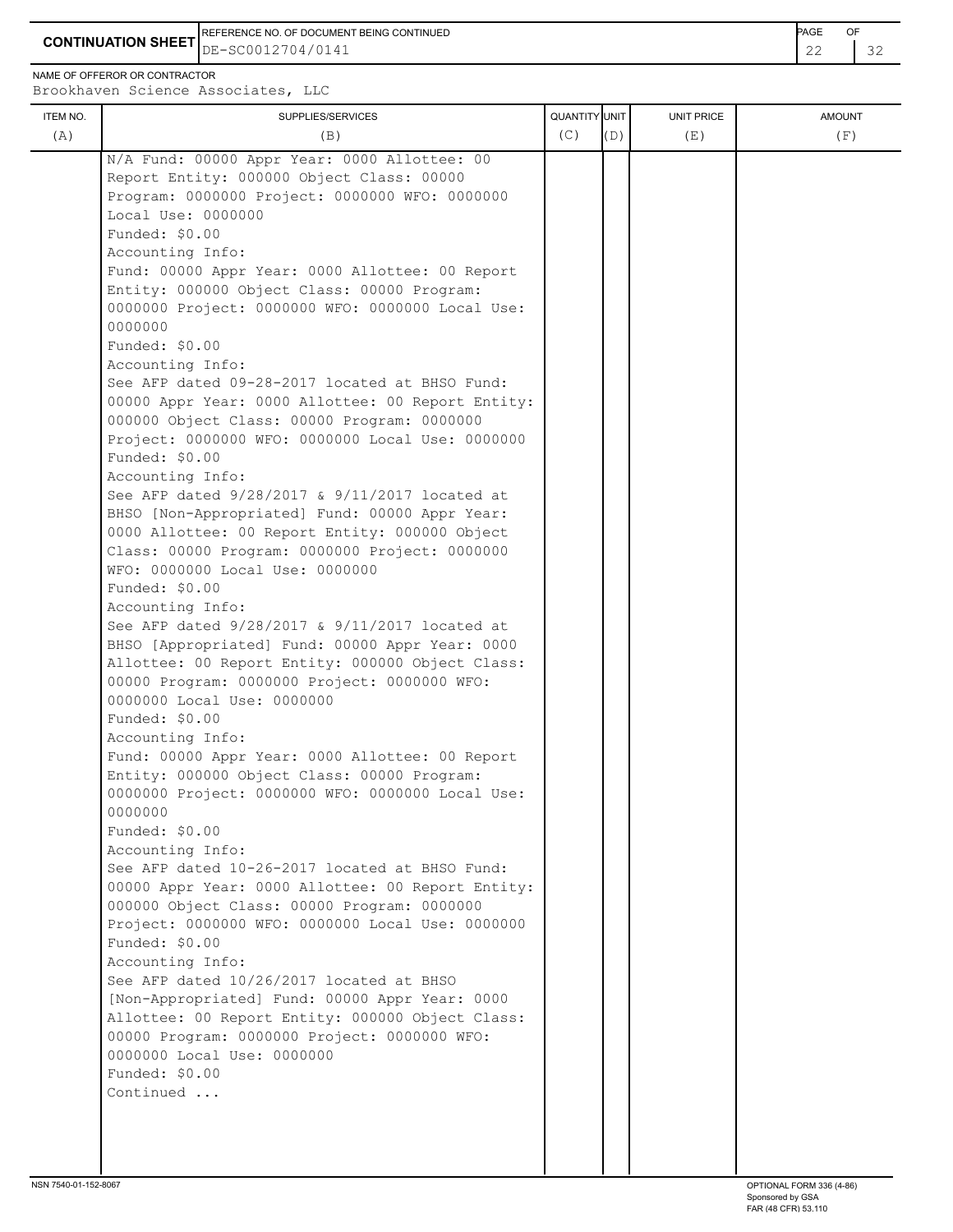REFERENCE NO. OF DOCUMENT BEING CONTINUED **Example 2008** PAGE OF

NAME OF OFFEROR OR CONTRACTOR

**CONTINUATION SHEET** DE-SC0012704/0141

| ITEM NO. | SUPPLIES/SERVICES                                                                                                                                                                                                                                                                                                                                                                                                                                                                                                                                                                                                                                                                                                                                                                                                                                                                                                                                                                                                                                                                                                                                                                                                                                                                                                                                                                                                                                                                                                                                                                                                                                                                                                                                                                                                                                                                                                                                  | QUANTITY UNIT |     | <b>UNIT PRICE</b> | <b>AMOUNT</b> |
|----------|----------------------------------------------------------------------------------------------------------------------------------------------------------------------------------------------------------------------------------------------------------------------------------------------------------------------------------------------------------------------------------------------------------------------------------------------------------------------------------------------------------------------------------------------------------------------------------------------------------------------------------------------------------------------------------------------------------------------------------------------------------------------------------------------------------------------------------------------------------------------------------------------------------------------------------------------------------------------------------------------------------------------------------------------------------------------------------------------------------------------------------------------------------------------------------------------------------------------------------------------------------------------------------------------------------------------------------------------------------------------------------------------------------------------------------------------------------------------------------------------------------------------------------------------------------------------------------------------------------------------------------------------------------------------------------------------------------------------------------------------------------------------------------------------------------------------------------------------------------------------------------------------------------------------------------------------------|---------------|-----|-------------------|---------------|
| (A)      | (B)                                                                                                                                                                                                                                                                                                                                                                                                                                                                                                                                                                                                                                                                                                                                                                                                                                                                                                                                                                                                                                                                                                                                                                                                                                                                                                                                                                                                                                                                                                                                                                                                                                                                                                                                                                                                                                                                                                                                                | (C)           | (D) | (E)               | (F)           |
|          | N/A Fund: 00000 Appr Year: 0000 Allottee: 00<br>Report Entity: 000000 Object Class: 00000<br>Program: 0000000 Project: 0000000 WFO: 0000000<br>Local Use: 0000000<br>Funded: \$0.00<br>Accounting Info:<br>Fund: 00000 Appr Year: 0000 Allottee: 00 Report<br>Entity: 000000 Object Class: 00000 Program:<br>0000000 Project: 0000000 WFO: 0000000 Local Use:<br>0000000<br>Funded: \$0.00<br>Accounting Info:<br>See AFP dated 09-28-2017 located at BHSO Fund:<br>00000 Appr Year: 0000 Allottee: 00 Report Entity:<br>000000 Object Class: 00000 Program: 0000000<br>Project: 0000000 WFO: 0000000 Local Use: 0000000<br>Funded: \$0.00<br>Accounting Info:<br>See AFP dated 9/28/2017 & 9/11/2017 located at<br>BHSO [Non-Appropriated] Fund: 00000 Appr Year:<br>0000 Allottee: 00 Report Entity: 000000 Object<br>Class: 00000 Program: 0000000 Project: 0000000<br>WFO: 0000000 Local Use: 0000000<br>Funded: \$0.00<br>Accounting Info:<br>See AFP dated 9/28/2017 & 9/11/2017 located at<br>BHSO [Appropriated] Fund: 00000 Appr Year: 0000<br>Allottee: 00 Report Entity: 000000 Object Class:<br>00000 Program: 0000000 Project: 0000000 WFO:<br>0000000 Local Use: 0000000<br>Funded: \$0.00<br>Accounting Info:<br>Fund: 00000 Appr Year: 0000 Allottee: 00 Report<br>Entity: 000000 Object Class: 00000 Program:<br>0000000 Project: 0000000 WFO: 0000000 Local Use:<br>0000000<br>Funded: \$0.00<br>Accounting Info:<br>See AFP dated 10-26-2017 located at BHSO Fund:<br>00000 Appr Year: 0000 Allottee: 00 Report Entity:<br>000000 Object Class: 00000 Program: 0000000<br>Project: 0000000 WFO: 0000000 Local Use: 0000000<br>Funded: \$0.00<br>Accounting Info:<br>See AFP dated 10/26/2017 located at BHSO<br>[Non-Appropriated] Fund: 00000 Appr Year: 0000<br>Allottee: 00 Report Entity: 000000 Object Class:<br>00000 Program: 0000000 Project: 0000000 WFO:<br>0000000 Local Use: 0000000<br>Funded: \$0.00<br>Continued |               |     |                   |               |
|          |                                                                                                                                                                                                                                                                                                                                                                                                                                                                                                                                                                                                                                                                                                                                                                                                                                                                                                                                                                                                                                                                                                                                                                                                                                                                                                                                                                                                                                                                                                                                                                                                                                                                                                                                                                                                                                                                                                                                                    |               |     |                   |               |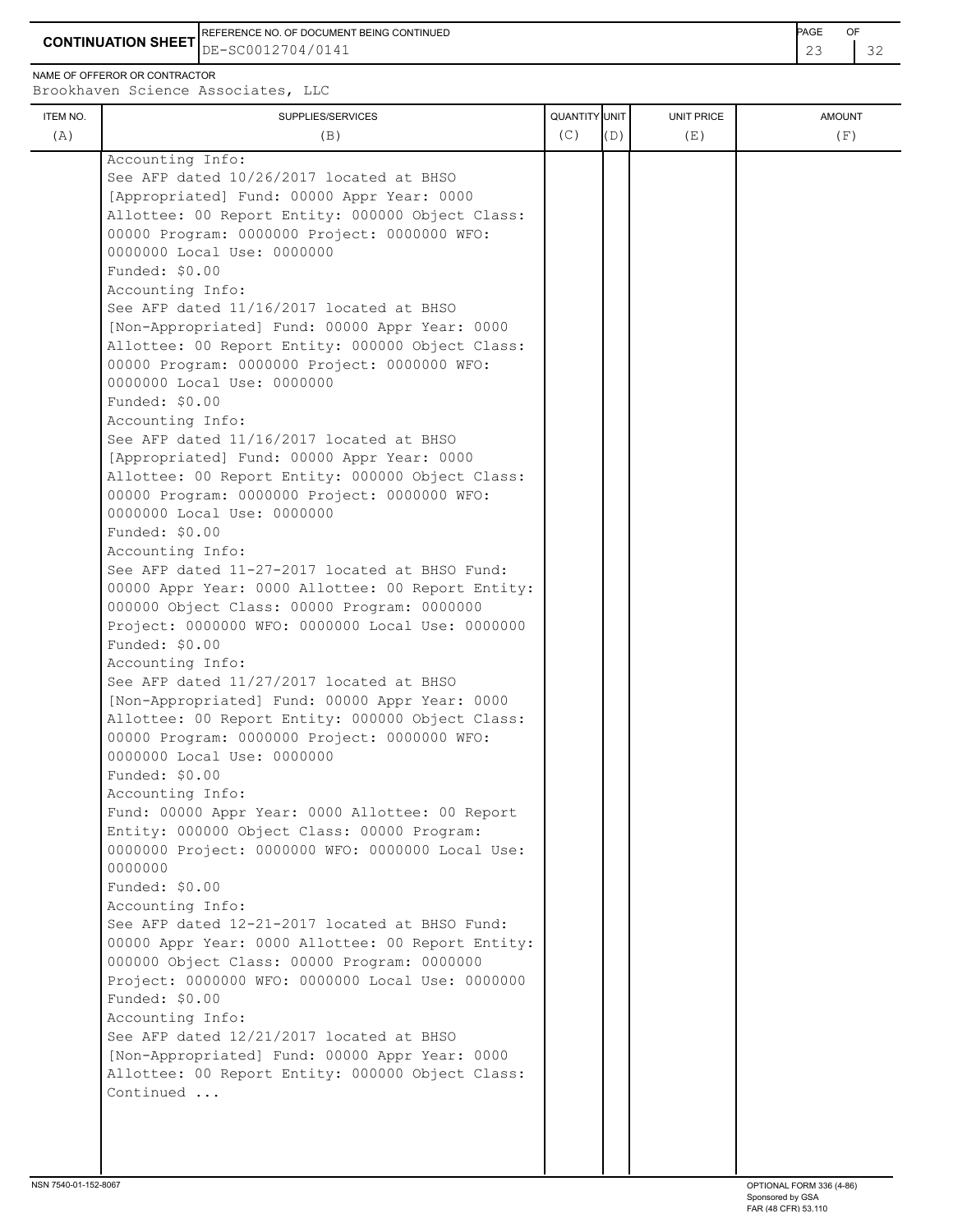**CONTINUATION SHEET** DE-SC0012704/0141 23 32 REFERENCE NO. OF DOCUMENT BEING CONTINUED **Example 20 and 20 and 20 and 20 and 20 and 20 and 20 and 20 and 20 and 20 and 20 and 20 and 20 and 20 and 20 and 20 and 20 and 20 and 20 and 20 and 20 and 20 and 20 and 20 and 20** 

NAME OF OFFEROR OR CONTRACTOR

| ITEM NO. | SUPPLIES/SERVICES                                 | QUANTITY UNIT |     | UNIT PRICE | <b>AMOUNT</b> |
|----------|---------------------------------------------------|---------------|-----|------------|---------------|
| (A)      | (B)                                               | (C)           | (D) | (E)        | (F)           |
|          | Accounting Info:                                  |               |     |            |               |
|          | See AFP dated 10/26/2017 located at BHSO          |               |     |            |               |
|          | [Appropriated] Fund: 00000 Appr Year: 0000        |               |     |            |               |
|          | Allottee: 00 Report Entity: 000000 Object Class:  |               |     |            |               |
|          | 00000 Program: 0000000 Project: 0000000 WFO:      |               |     |            |               |
|          | 0000000 Local Use: 0000000                        |               |     |            |               |
|          | Funded: \$0.00                                    |               |     |            |               |
|          | Accounting Info:                                  |               |     |            |               |
|          | See AFP dated 11/16/2017 located at BHSO          |               |     |            |               |
|          | [Non-Appropriated] Fund: 00000 Appr Year: 0000    |               |     |            |               |
|          | Allottee: 00 Report Entity: 000000 Object Class:  |               |     |            |               |
|          | 00000 Program: 0000000 Project: 0000000 WFO:      |               |     |            |               |
|          | 0000000 Local Use: 0000000                        |               |     |            |               |
|          | Funded: \$0.00                                    |               |     |            |               |
|          | Accounting Info:                                  |               |     |            |               |
|          | See AFP dated 11/16/2017 located at BHSO          |               |     |            |               |
|          | [Appropriated] Fund: 00000 Appr Year: 0000        |               |     |            |               |
|          | Allottee: 00 Report Entity: 000000 Object Class:  |               |     |            |               |
|          | 00000 Program: 0000000 Project: 0000000 WFO:      |               |     |            |               |
|          | 0000000 Local Use: 0000000                        |               |     |            |               |
|          | Funded: \$0.00                                    |               |     |            |               |
|          | Accounting Info:                                  |               |     |            |               |
|          | See AFP dated 11-27-2017 located at BHSO Fund:    |               |     |            |               |
|          | 00000 Appr Year: 0000 Allottee: 00 Report Entity: |               |     |            |               |
|          | 000000 Object Class: 00000 Program: 0000000       |               |     |            |               |
|          | Project: 0000000 WFO: 0000000 Local Use: 0000000  |               |     |            |               |
|          | Funded: \$0.00                                    |               |     |            |               |
|          | Accounting Info:                                  |               |     |            |               |
|          | See AFP dated 11/27/2017 located at BHSO          |               |     |            |               |
|          | [Non-Appropriated] Fund: 00000 Appr Year: 0000    |               |     |            |               |
|          | Allottee: 00 Report Entity: 000000 Object Class:  |               |     |            |               |
|          | 00000 Program: 0000000 Project: 0000000 WFO:      |               |     |            |               |
|          | 0000000 Local Use: 0000000                        |               |     |            |               |
|          | Funded: \$0.00                                    |               |     |            |               |
|          | Accounting Info:                                  |               |     |            |               |
|          | Fund: 00000 Appr Year: 0000 Allottee: 00 Report   |               |     |            |               |
|          | Entity: 000000 Object Class: 00000 Program:       |               |     |            |               |
|          | 0000000 Project: 0000000 WFO: 0000000 Local Use:  |               |     |            |               |
|          | 0000000                                           |               |     |            |               |
|          | Funded: \$0.00                                    |               |     |            |               |
|          | Accounting Info:                                  |               |     |            |               |
|          | See AFP dated 12-21-2017 located at BHSO Fund:    |               |     |            |               |
|          | 00000 Appr Year: 0000 Allottee: 00 Report Entity: |               |     |            |               |
|          | 000000 Object Class: 00000 Program: 0000000       |               |     |            |               |
|          | Project: 0000000 WFO: 0000000 Local Use: 0000000  |               |     |            |               |
|          | Funded: \$0.00                                    |               |     |            |               |
|          | Accounting Info:                                  |               |     |            |               |
|          | See AFP dated 12/21/2017 located at BHSO          |               |     |            |               |
|          | [Non-Appropriated] Fund: 00000 Appr Year: 0000    |               |     |            |               |
|          | Allottee: 00 Report Entity: 000000 Object Class:  |               |     |            |               |
|          | Continued                                         |               |     |            |               |
|          |                                                   |               |     |            |               |
|          |                                                   |               |     |            |               |
|          |                                                   |               |     |            |               |
|          |                                                   |               |     |            |               |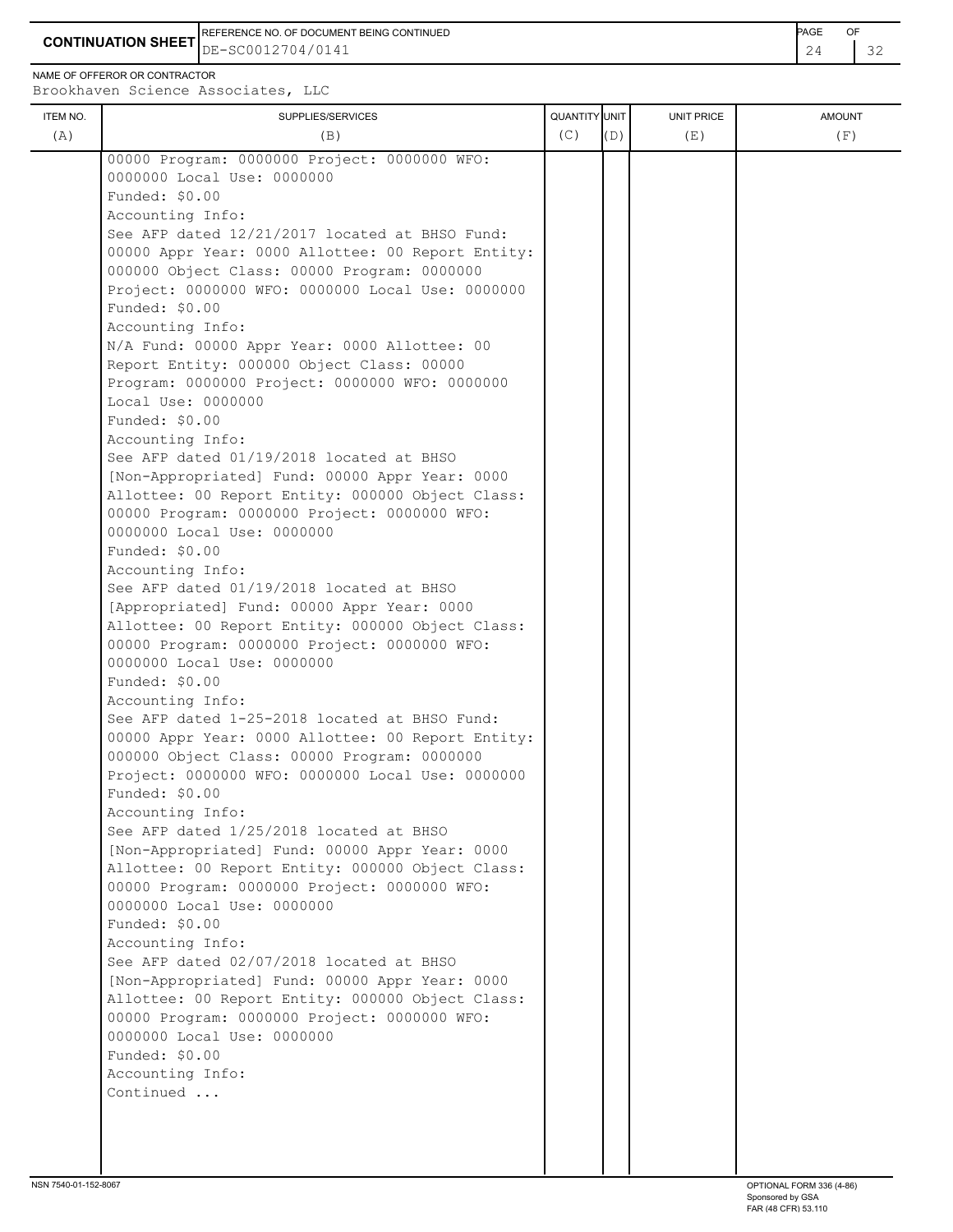**CONTINUATION SHEET** DE-SC0012704/0141 REFERENCE NO. OF DOCUMENT BEING CONTINUED **Example 2008** PAGE OF

NAME OF OFFEROR OR CONTRACTOR

| ITEM NO. | SUPPLIES/SERVICES                                            | QUANTITY UNIT |     | UNIT PRICE | <b>AMOUNT</b> |
|----------|--------------------------------------------------------------|---------------|-----|------------|---------------|
| (A)      | (B)                                                          | (C)           | (D) | (E)        | (F)           |
|          | 00000 Program: 0000000 Project: 0000000 WFO:                 |               |     |            |               |
|          | 0000000 Local Use: 0000000                                   |               |     |            |               |
|          | Funded: \$0.00                                               |               |     |            |               |
|          | Accounting Info:                                             |               |     |            |               |
|          | See AFP dated 12/21/2017 located at BHSO Fund:               |               |     |            |               |
|          | 00000 Appr Year: 0000 Allottee: 00 Report Entity:            |               |     |            |               |
|          | 000000 Object Class: 00000 Program: 0000000                  |               |     |            |               |
|          | Project: 0000000 WFO: 0000000 Local Use: 0000000             |               |     |            |               |
|          | Funded: \$0.00                                               |               |     |            |               |
|          | Accounting Info:                                             |               |     |            |               |
|          | N/A Fund: 00000 Appr Year: 0000 Allottee: 00                 |               |     |            |               |
|          | Report Entity: 000000 Object Class: 00000                    |               |     |            |               |
|          | Program: 0000000 Project: 0000000 WFO: 0000000               |               |     |            |               |
|          | Local Use: 0000000                                           |               |     |            |               |
|          | Funded: \$0.00                                               |               |     |            |               |
|          | Accounting Info:                                             |               |     |            |               |
|          | See AFP dated 01/19/2018 located at BHSO                     |               |     |            |               |
|          | [Non-Appropriated] Fund: 00000 Appr Year: 0000               |               |     |            |               |
|          | Allottee: 00 Report Entity: 000000 Object Class:             |               |     |            |               |
|          | 00000 Program: 0000000 Project: 0000000 WFO:                 |               |     |            |               |
|          | 0000000 Local Use: 0000000<br>Funded: \$0.00                 |               |     |            |               |
|          | Accounting Info:                                             |               |     |            |               |
|          | See AFP dated 01/19/2018 located at BHSO                     |               |     |            |               |
|          | [Appropriated] Fund: 00000 Appr Year: 0000                   |               |     |            |               |
|          | Allottee: 00 Report Entity: 000000 Object Class:             |               |     |            |               |
|          | 00000 Program: 0000000 Project: 0000000 WFO:                 |               |     |            |               |
|          | 0000000 Local Use: 0000000                                   |               |     |            |               |
|          | Funded: \$0.00                                               |               |     |            |               |
|          | Accounting Info:                                             |               |     |            |               |
|          | See AFP dated 1-25-2018 located at BHSO Fund:                |               |     |            |               |
|          | 00000 Appr Year: 0000 Allottee: 00 Report Entity:            |               |     |            |               |
|          | 000000 Object Class: 00000 Program: 0000000                  |               |     |            |               |
|          | Project: 0000000 WFO: 0000000 Local Use: 0000000             |               |     |            |               |
|          | Funded: $$0.00$                                              |               |     |            |               |
|          | Accounting Info:                                             |               |     |            |               |
|          | See AFP dated 1/25/2018 located at BHSO                      |               |     |            |               |
|          | [Non-Appropriated] Fund: 00000 Appr Year: 0000               |               |     |            |               |
|          | Allottee: 00 Report Entity: 000000 Object Class:             |               |     |            |               |
|          | 00000 Program: 0000000 Project: 0000000 WFO:                 |               |     |            |               |
|          | 0000000 Local Use: 0000000                                   |               |     |            |               |
|          | Funded: \$0.00                                               |               |     |            |               |
|          | Accounting Info:<br>See AFP dated 02/07/2018 located at BHSO |               |     |            |               |
|          | [Non-Appropriated] Fund: 00000 Appr Year: 0000               |               |     |            |               |
|          | Allottee: 00 Report Entity: 000000 Object Class:             |               |     |            |               |
|          | 00000 Program: 0000000 Project: 0000000 WFO:                 |               |     |            |               |
|          | 0000000 Local Use: 0000000                                   |               |     |            |               |
|          | Funded: \$0.00                                               |               |     |            |               |
|          | Accounting Info:                                             |               |     |            |               |
|          | Continued                                                    |               |     |            |               |
|          |                                                              |               |     |            |               |
|          |                                                              |               |     |            |               |
|          |                                                              |               |     |            |               |
|          |                                                              |               |     |            |               |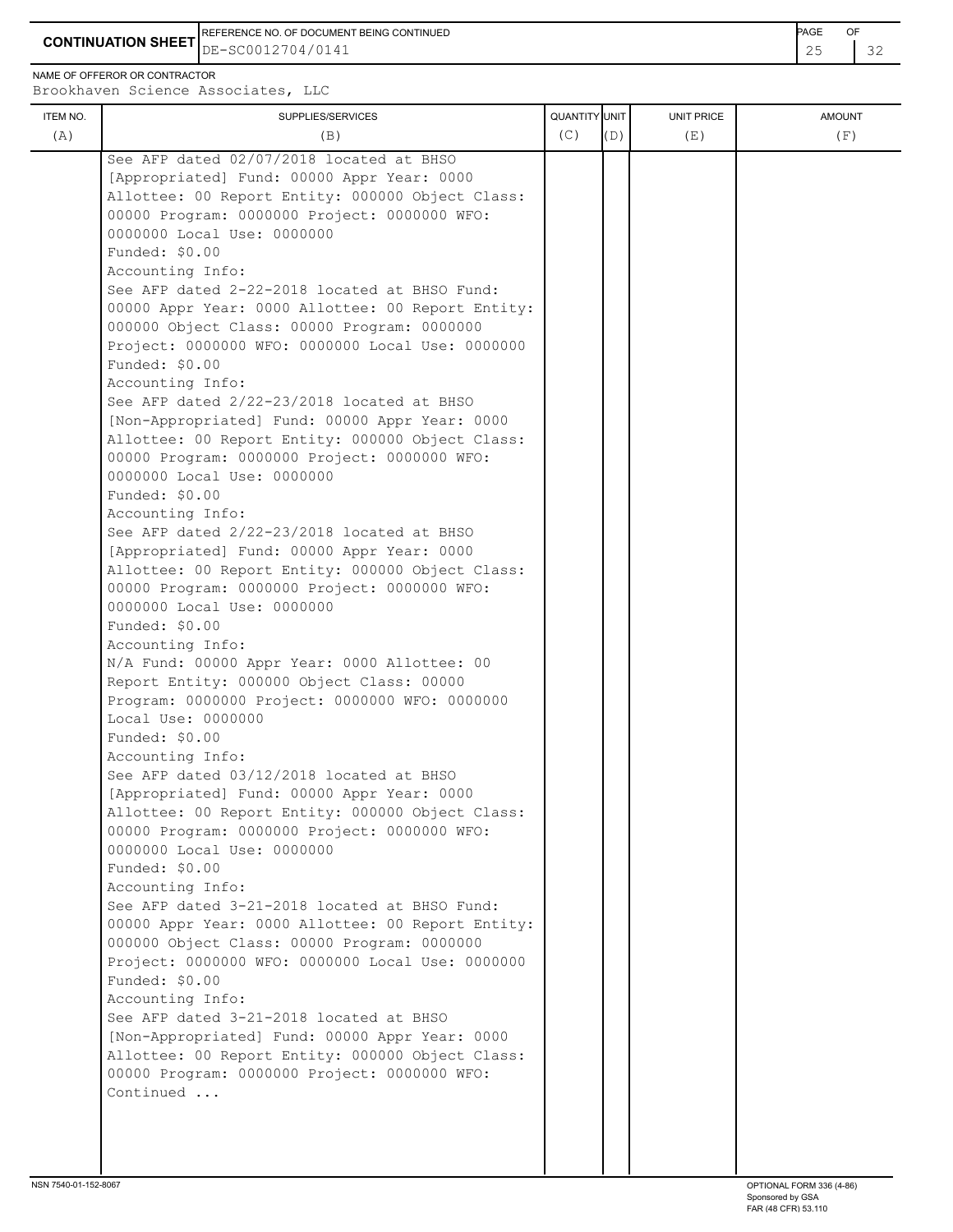**CONTINUATION SHEET** DE-SC0012704/0141 REFERENCE NO. OF DOCUMENT BEING CONTINUED **EXAMPLE 2008** PAGE OF

NAME OF OFFEROR OR CONTRACTOR

| ITEM NO.<br>(A) | SUPPLIES/SERVICES<br>(B)                                                                                                                                                                                                                                                                                                                                                                                                                                                                                                                                                                                                                                                                                                                                                                                                                                                                                                                                                                                                                                                                                                                                                                                                                                                                                                                                                                                                                                                                                                                                                                                                                                                                                                                                                                                                                                                                                                                                                                            | QUANTITY UNIT<br>(C) | (D) | UNIT PRICE<br>(E) | <b>AMOUNT</b><br>(F) |
|-----------------|-----------------------------------------------------------------------------------------------------------------------------------------------------------------------------------------------------------------------------------------------------------------------------------------------------------------------------------------------------------------------------------------------------------------------------------------------------------------------------------------------------------------------------------------------------------------------------------------------------------------------------------------------------------------------------------------------------------------------------------------------------------------------------------------------------------------------------------------------------------------------------------------------------------------------------------------------------------------------------------------------------------------------------------------------------------------------------------------------------------------------------------------------------------------------------------------------------------------------------------------------------------------------------------------------------------------------------------------------------------------------------------------------------------------------------------------------------------------------------------------------------------------------------------------------------------------------------------------------------------------------------------------------------------------------------------------------------------------------------------------------------------------------------------------------------------------------------------------------------------------------------------------------------------------------------------------------------------------------------------------------------|----------------------|-----|-------------------|----------------------|
|                 | See AFP dated 02/07/2018 located at BHSO<br>[Appropriated] Fund: 00000 Appr Year: 0000<br>Allottee: 00 Report Entity: 000000 Object Class:<br>00000 Program: 0000000 Project: 0000000 WFO:<br>0000000 Local Use: 0000000<br>Funded: \$0.00<br>Accounting Info:<br>See AFP dated 2-22-2018 located at BHSO Fund:<br>00000 Appr Year: 0000 Allottee: 00 Report Entity:<br>000000 Object Class: 00000 Program: 0000000<br>Project: 0000000 WFO: 0000000 Local Use: 0000000<br>Funded: \$0.00<br>Accounting Info:<br>See AFP dated 2/22-23/2018 located at BHSO<br>[Non-Appropriated] Fund: 00000 Appr Year: 0000<br>Allottee: 00 Report Entity: 000000 Object Class:<br>00000 Program: 0000000 Project: 0000000 WFO:<br>0000000 Local Use: 0000000<br>Funded: \$0.00<br>Accounting Info:<br>See AFP dated 2/22-23/2018 located at BHSO<br>[Appropriated] Fund: 00000 Appr Year: 0000<br>Allottee: 00 Report Entity: 000000 Object Class:<br>00000 Program: 0000000 Project: 0000000 WFO:<br>0000000 Local Use: 0000000<br>Funded: \$0.00<br>Accounting Info:<br>N/A Fund: 00000 Appr Year: 0000 Allottee: 00<br>Report Entity: 000000 Object Class: 00000<br>Program: 0000000 Project: 0000000 WFO: 0000000<br>Local Use: 0000000<br>Funded: \$0.00<br>Accounting Info:<br>See AFP dated 03/12/2018 located at BHSO<br>[Appropriated] Fund: 00000 Appr Year: 0000<br>Allottee: 00 Report Entity: 000000 Object Class:<br>00000 Program: 0000000 Project: 0000000 WFO:<br>0000000 Local Use: 0000000<br>Funded: \$0.00<br>Accounting Info:<br>See AFP dated 3-21-2018 located at BHSO Fund:<br>00000 Appr Year: 0000 Allottee: 00 Report Entity:<br>000000 Object Class: 00000 Program: 0000000<br>Project: 0000000 WFO: 0000000 Local Use: 0000000<br>Funded: \$0.00<br>Accounting Info:<br>See AFP dated 3-21-2018 located at BHSO<br>[Non-Appropriated] Fund: 00000 Appr Year: 0000<br>Allottee: 00 Report Entity: 000000 Object Class:<br>00000 Program: 0000000 Project: 0000000 WFO:<br>Continued |                      |     |                   |                      |
|                 |                                                                                                                                                                                                                                                                                                                                                                                                                                                                                                                                                                                                                                                                                                                                                                                                                                                                                                                                                                                                                                                                                                                                                                                                                                                                                                                                                                                                                                                                                                                                                                                                                                                                                                                                                                                                                                                                                                                                                                                                     |                      |     |                   |                      |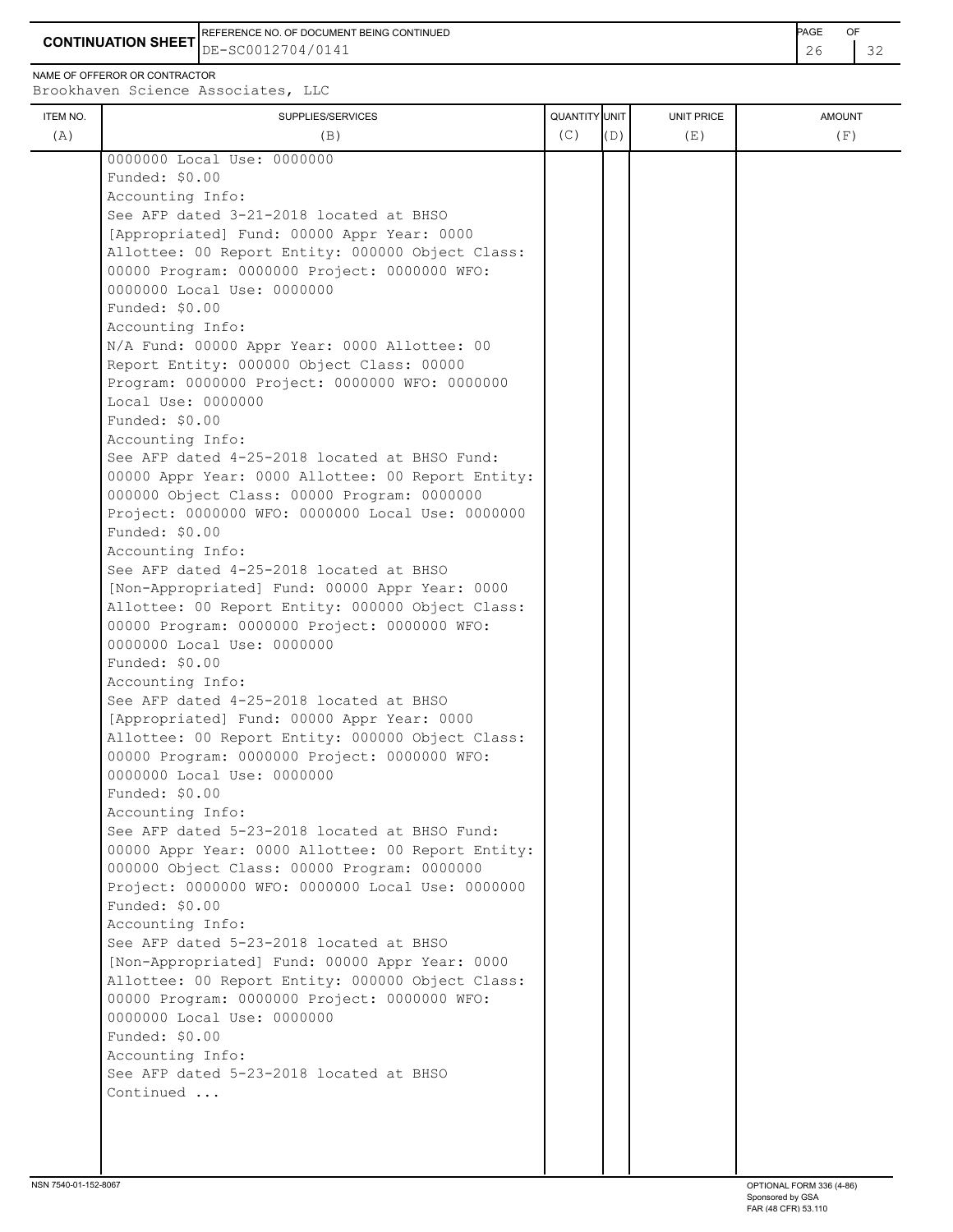**CONTINUATION SHEET** DE-SC0012704/0141 REFERENCE NO. OF DOCUMENT BEING CONTINUED **Example 2008** PAGE OF

NAME OF OFFEROR OR CONTRACTOR

|          |                                                   | QUANTITY UNIT |     |            |               |
|----------|---------------------------------------------------|---------------|-----|------------|---------------|
| ITEM NO. | SUPPLIES/SERVICES                                 | (C)           |     | UNIT PRICE | <b>AMOUNT</b> |
| (A)      | (B)                                               |               | (D) | (E)        | (F)           |
|          | 0000000 Local Use: 0000000                        |               |     |            |               |
|          | Funded: \$0.00                                    |               |     |            |               |
|          | Accounting Info:                                  |               |     |            |               |
|          | See AFP dated 3-21-2018 located at BHSO           |               |     |            |               |
|          | [Appropriated] Fund: 00000 Appr Year: 0000        |               |     |            |               |
|          | Allottee: 00 Report Entity: 000000 Object Class:  |               |     |            |               |
|          | 00000 Program: 0000000 Project: 0000000 WFO:      |               |     |            |               |
|          | 0000000 Local Use: 0000000                        |               |     |            |               |
|          | Funded: \$0.00                                    |               |     |            |               |
|          | Accounting Info:                                  |               |     |            |               |
|          | N/A Fund: 00000 Appr Year: 0000 Allottee: 00      |               |     |            |               |
|          | Report Entity: 000000 Object Class: 00000         |               |     |            |               |
|          | Program: 0000000 Project: 0000000 WFO: 0000000    |               |     |            |               |
|          | Local Use: 0000000                                |               |     |            |               |
|          | Funded: \$0.00                                    |               |     |            |               |
|          | Accounting Info:                                  |               |     |            |               |
|          | See AFP dated 4-25-2018 located at BHSO Fund:     |               |     |            |               |
|          | 00000 Appr Year: 0000 Allottee: 00 Report Entity: |               |     |            |               |
|          | 000000 Object Class: 00000 Program: 0000000       |               |     |            |               |
|          | Project: 0000000 WFO: 0000000 Local Use: 0000000  |               |     |            |               |
|          | Funded: \$0.00                                    |               |     |            |               |
|          | Accounting Info:                                  |               |     |            |               |
|          | See AFP dated 4-25-2018 located at BHSO           |               |     |            |               |
|          | [Non-Appropriated] Fund: 00000 Appr Year: 0000    |               |     |            |               |
|          | Allottee: 00 Report Entity: 000000 Object Class:  |               |     |            |               |
|          | 00000 Program: 0000000 Project: 0000000 WFO:      |               |     |            |               |
|          | 0000000 Local Use: 0000000                        |               |     |            |               |
|          | Funded: \$0.00                                    |               |     |            |               |
|          | Accounting Info:                                  |               |     |            |               |
|          | See AFP dated 4-25-2018 located at BHSO           |               |     |            |               |
|          | [Appropriated] Fund: 00000 Appr Year: 0000        |               |     |            |               |
|          | Allottee: 00 Report Entity: 000000 Object Class:  |               |     |            |               |
|          | 00000 Program: 0000000 Project: 0000000 WFO:      |               |     |            |               |
|          | 0000000 Local Use: 0000000                        |               |     |            |               |
|          | Funded: \$0.00                                    |               |     |            |               |
|          | Accounting Info:                                  |               |     |            |               |
|          | See AFP dated 5-23-2018 located at BHSO Fund:     |               |     |            |               |
|          | 00000 Appr Year: 0000 Allottee: 00 Report Entity: |               |     |            |               |
|          | 000000 Object Class: 00000 Program: 0000000       |               |     |            |               |
|          | Project: 0000000 WFO: 0000000 Local Use: 0000000  |               |     |            |               |
|          | Funded: \$0.00                                    |               |     |            |               |
|          | Accounting Info:                                  |               |     |            |               |
|          | See AFP dated 5-23-2018 located at BHSO           |               |     |            |               |
|          | [Non-Appropriated] Fund: 00000 Appr Year: 0000    |               |     |            |               |
|          | Allottee: 00 Report Entity: 000000 Object Class:  |               |     |            |               |
|          | 00000 Program: 0000000 Project: 0000000 WFO:      |               |     |            |               |
|          | 0000000 Local Use: 0000000                        |               |     |            |               |
|          | Funded: \$0.00                                    |               |     |            |               |
|          | Accounting Info:                                  |               |     |            |               |
|          | See AFP dated 5-23-2018 located at BHSO           |               |     |            |               |
|          | Continued                                         |               |     |            |               |
|          |                                                   |               |     |            |               |
|          |                                                   |               |     |            |               |
|          |                                                   |               |     |            |               |
|          |                                                   |               |     |            |               |
|          |                                                   |               |     |            |               |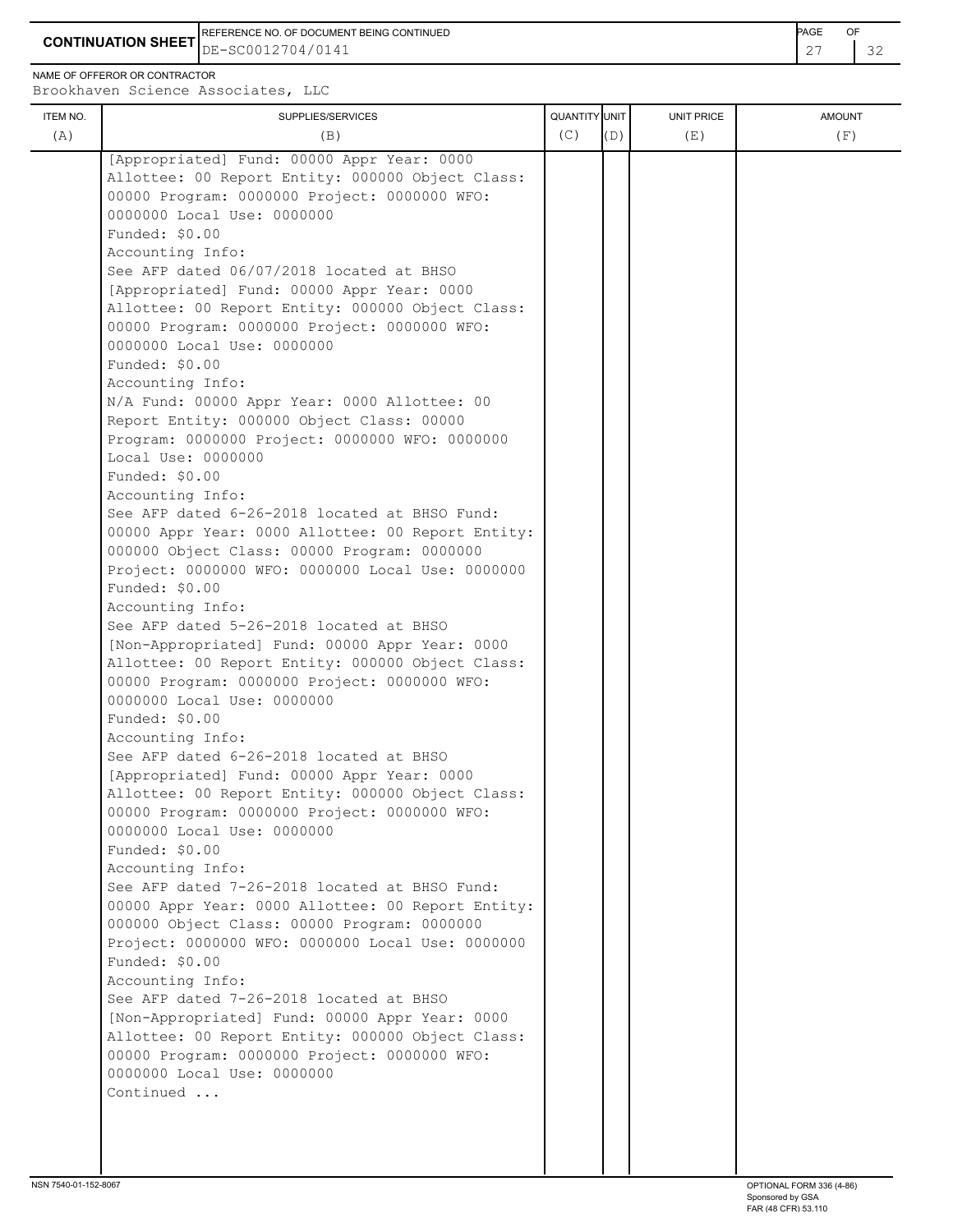**CONTINUATION SHEET** DE-SC0012704/0141 REFERENCE NO. OF DOCUMENT BEING CONTINUED **Example 2008** PAGE OF

NAME OF OFFEROR OR CONTRACTOR

| (C)<br>(A)<br>(F)<br>(B)<br>(D)<br>(E)<br>[Appropriated] Fund: 00000 Appr Year: 0000<br>Allottee: 00 Report Entity: 000000 Object Class:<br>00000 Program: 0000000 Project: 0000000 WFO:<br>0000000 Local Use: 0000000<br>Funded: \$0.00<br>Accounting Info:<br>See AFP dated 06/07/2018 located at BHSO<br>[Appropriated] Fund: 00000 Appr Year: 0000<br>Allottee: 00 Report Entity: 000000 Object Class:<br>00000 Program: 0000000 Project: 0000000 WFO:<br>0000000 Local Use: 0000000<br>Funded: \$0.00<br>Accounting Info:<br>N/A Fund: 00000 Appr Year: 0000 Allottee: 00<br>Report Entity: 000000 Object Class: 00000<br>Program: 0000000 Project: 0000000 WFO: 0000000<br>Local Use: 0000000<br>Funded: \$0.00<br>Accounting Info:<br>See AFP dated 6-26-2018 located at BHSO Fund:<br>00000 Appr Year: 0000 Allottee: 00 Report Entity:<br>000000 Object Class: 00000 Program: 0000000<br>Project: 0000000 WFO: 0000000 Local Use: 0000000<br>Funded: \$0.00<br>Accounting Info:<br>See AFP dated 5-26-2018 located at BHSO<br>[Non-Appropriated] Fund: 00000 Appr Year: 0000<br>Allottee: 00 Report Entity: 000000 Object Class:<br>00000 Program: 0000000 Project: 0000000 WFO:<br>0000000 Local Use: 0000000<br>Funded: \$0.00<br>Accounting Info:<br>See AFP dated 6-26-2018 located at BHSO<br>[Appropriated] Fund: 00000 Appr Year: 0000<br>Allottee: 00 Report Entity: 000000 Object Class:<br>00000 Program: 0000000 Project: 0000000 WFO:<br>0000000 Local Use: 0000000<br>Funded: \$0.00<br>Accounting Info:<br>See AFP dated 7-26-2018 located at BHSO Fund: |          |                                                                        |                      |            |               |
|---------------------------------------------------------------------------------------------------------------------------------------------------------------------------------------------------------------------------------------------------------------------------------------------------------------------------------------------------------------------------------------------------------------------------------------------------------------------------------------------------------------------------------------------------------------------------------------------------------------------------------------------------------------------------------------------------------------------------------------------------------------------------------------------------------------------------------------------------------------------------------------------------------------------------------------------------------------------------------------------------------------------------------------------------------------------------------------------------------------------------------------------------------------------------------------------------------------------------------------------------------------------------------------------------------------------------------------------------------------------------------------------------------------------------------------------------------------------------------------------------------------------------------------------------------------------------------|----------|------------------------------------------------------------------------|----------------------|------------|---------------|
|                                                                                                                                                                                                                                                                                                                                                                                                                                                                                                                                                                                                                                                                                                                                                                                                                                                                                                                                                                                                                                                                                                                                                                                                                                                                                                                                                                                                                                                                                                                                                                                 |          |                                                                        |                      |            |               |
| 000000 Object Class: 00000 Program: 0000000<br>Project: 0000000 WFO: 0000000 Local Use: 0000000<br>Funded: \$0.00<br>Accounting Info:<br>See AFP dated 7-26-2018 located at BHSO<br>[Non-Appropriated] Fund: 00000 Appr Year: 0000<br>Allottee: 00 Report Entity: 000000 Object Class:<br>00000 Program: 0000000 Project: 0000000 WFO:<br>0000000 Local Use: 0000000<br>Continued                                                                                                                                                                                                                                                                                                                                                                                                                                                                                                                                                                                                                                                                                                                                                                                                                                                                                                                                                                                                                                                                                                                                                                                               | ITEM NO. | SUPPLIES/SERVICES<br>00000 Appr Year: 0000 Allottee: 00 Report Entity: | <b>QUANTITY</b> UNIT | UNIT PRICE | <b>AMOUNT</b> |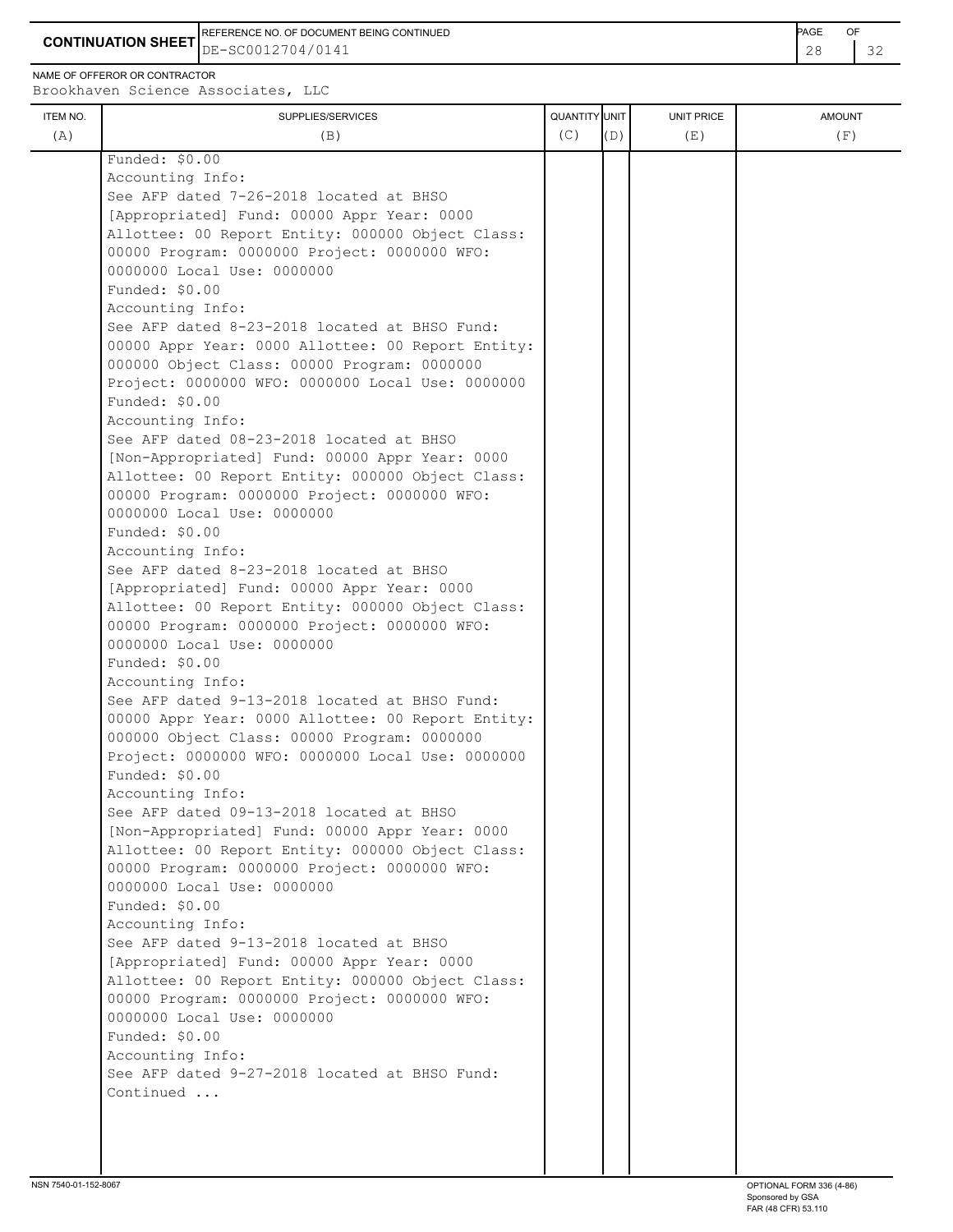REFERENCE NO. OF DOCUMENT BEING CONTINUED **Example 20 and 20 and 20 and 20 and 20 and 20 and 20 and 20 and 20 and 20 and 20 and 20 and 20 and 20 and 20 and 20 and 20 and 20 and 20 and 20 and 20 and 20 and 20 and 20 and 20** 

**CONTINUATION SHEET**  $\left| \text{DE}-\text{SC0012704/0141} \right|$  28  $\left| \text{32} \right|$ 

NAME OF OFFEROR OR CONTRACTOR

| ITEM NO. | SUPPLIES/SERVICES                                 | QUANTITY UNIT |     | <b>UNIT PRICE</b> | <b>AMOUNT</b> |
|----------|---------------------------------------------------|---------------|-----|-------------------|---------------|
| (A)      | (B)                                               | (C)           | (D) | (E)               | (F)           |
|          | Funded: \$0.00                                    |               |     |                   |               |
|          | Accounting Info:                                  |               |     |                   |               |
|          | See AFP dated 7-26-2018 located at BHSO           |               |     |                   |               |
|          | [Appropriated] Fund: 00000 Appr Year: 0000        |               |     |                   |               |
|          | Allottee: 00 Report Entity: 000000 Object Class:  |               |     |                   |               |
|          | 00000 Program: 0000000 Project: 0000000 WFO:      |               |     |                   |               |
|          | 0000000 Local Use: 0000000                        |               |     |                   |               |
|          | Funded: \$0.00                                    |               |     |                   |               |
|          | Accounting Info:                                  |               |     |                   |               |
|          | See AFP dated 8-23-2018 located at BHSO Fund:     |               |     |                   |               |
|          | 00000 Appr Year: 0000 Allottee: 00 Report Entity: |               |     |                   |               |
|          | 000000 Object Class: 00000 Program: 0000000       |               |     |                   |               |
|          | Project: 0000000 WFO: 0000000 Local Use: 0000000  |               |     |                   |               |
|          | Funded: \$0.00                                    |               |     |                   |               |
|          | Accounting Info:                                  |               |     |                   |               |
|          | See AFP dated 08-23-2018 located at BHSO          |               |     |                   |               |
|          | [Non-Appropriated] Fund: 00000 Appr Year: 0000    |               |     |                   |               |
|          | Allottee: 00 Report Entity: 000000 Object Class:  |               |     |                   |               |
|          | 00000 Program: 0000000 Project: 0000000 WFO:      |               |     |                   |               |
|          | 0000000 Local Use: 0000000                        |               |     |                   |               |
|          | Funded: \$0.00                                    |               |     |                   |               |
|          | Accounting Info:                                  |               |     |                   |               |
|          | See AFP dated 8-23-2018 located at BHSO           |               |     |                   |               |
|          | [Appropriated] Fund: 00000 Appr Year: 0000        |               |     |                   |               |
|          | Allottee: 00 Report Entity: 000000 Object Class:  |               |     |                   |               |
|          | 00000 Program: 0000000 Project: 0000000 WFO:      |               |     |                   |               |
|          | 0000000 Local Use: 0000000                        |               |     |                   |               |
|          | Funded: \$0.00                                    |               |     |                   |               |
|          | Accounting Info:                                  |               |     |                   |               |
|          | See AFP dated 9-13-2018 located at BHSO Fund:     |               |     |                   |               |
|          | 00000 Appr Year: 0000 Allottee: 00 Report Entity: |               |     |                   |               |
|          | 000000 Object Class: 00000 Program: 0000000       |               |     |                   |               |
|          | Project: 0000000 WFO: 0000000 Local Use: 0000000  |               |     |                   |               |
|          | Funded: \$0.00                                    |               |     |                   |               |
|          | Accounting Info:                                  |               |     |                   |               |
|          | See AFP dated 09-13-2018 located at BHSO          |               |     |                   |               |
|          | [Non-Appropriated] Fund: 00000 Appr Year: 0000    |               |     |                   |               |
|          | Allottee: 00 Report Entity: 000000 Object Class:  |               |     |                   |               |
|          | 00000 Program: 0000000 Project: 0000000 WFO:      |               |     |                   |               |
|          | 0000000 Local Use: 0000000                        |               |     |                   |               |
|          | Funded: \$0.00                                    |               |     |                   |               |
|          |                                                   |               |     |                   |               |
|          | Accounting Info:                                  |               |     |                   |               |
|          | See AFP dated 9-13-2018 located at BHSO           |               |     |                   |               |
|          | [Appropriated] Fund: 00000 Appr Year: 0000        |               |     |                   |               |
|          | Allottee: 00 Report Entity: 000000 Object Class:  |               |     |                   |               |
|          | 00000 Program: 0000000 Project: 0000000 WFO:      |               |     |                   |               |
|          | 0000000 Local Use: 0000000                        |               |     |                   |               |
|          | Funded: \$0.00                                    |               |     |                   |               |
|          | Accounting Info:                                  |               |     |                   |               |
|          | See AFP dated 9-27-2018 located at BHSO Fund:     |               |     |                   |               |
|          | Continued                                         |               |     |                   |               |
|          |                                                   |               |     |                   |               |
|          |                                                   |               |     |                   |               |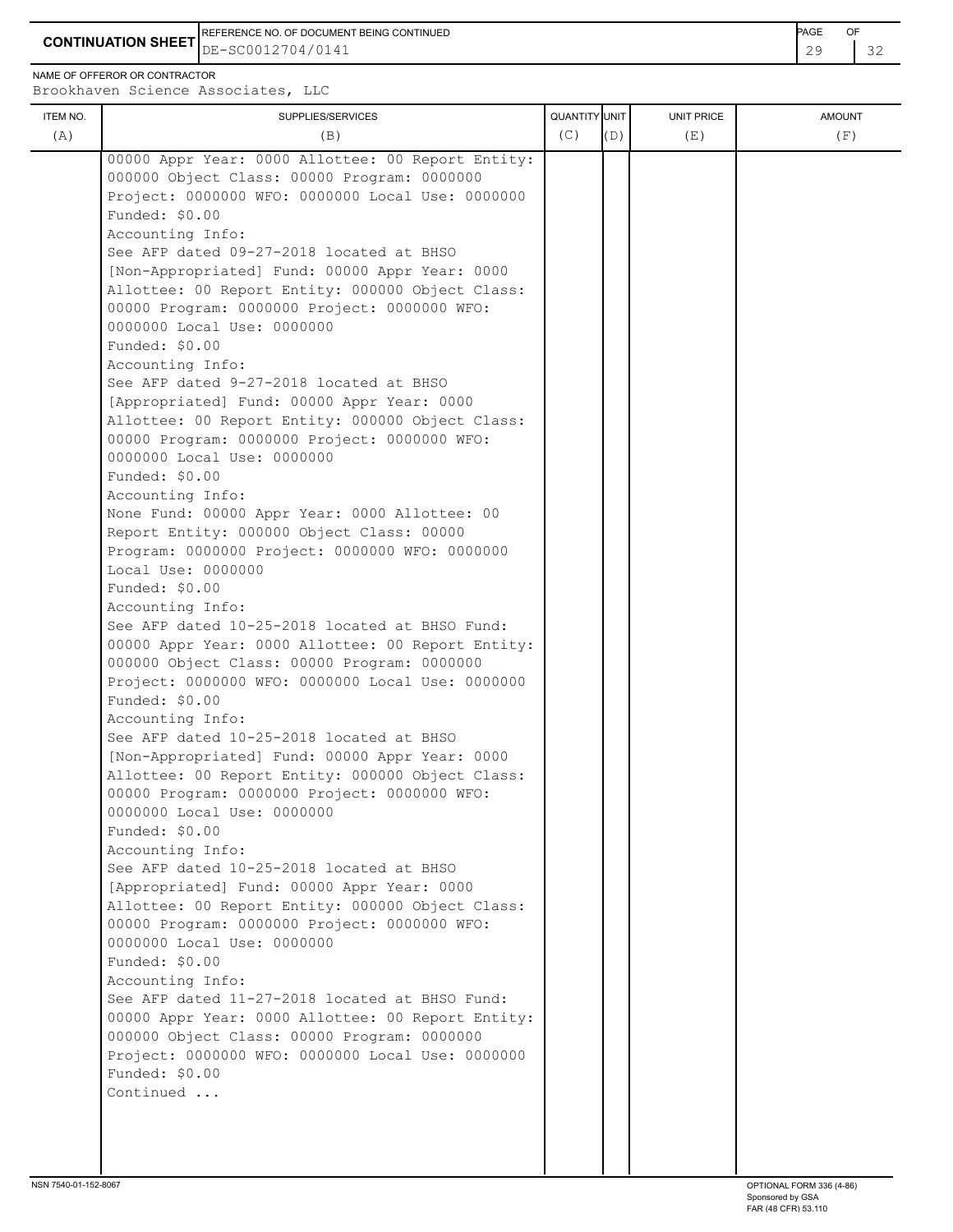**CONTINUATION SHEET** DE-SC0012704/0141 29 32 REFERENCE NO. OF DOCUMENT BEING CONTINUED **AGE ACCUMENT ACCUMENT OF A CONTINUED** 

NAME OF OFFEROR OR CONTRACTOR

| ITEM NO.<br>(A) | SUPPLIES/SERVICES<br>(B)                                                                            | QUANTITY UNIT<br>(C) | (D) | UNIT PRICE<br>(E) | <b>AMOUNT</b><br>(F) |
|-----------------|-----------------------------------------------------------------------------------------------------|----------------------|-----|-------------------|----------------------|
|                 | 00000 Appr Year: 0000 Allottee: 00 Report Entity:                                                   |                      |     |                   |                      |
|                 | 000000 Object Class: 00000 Program: 0000000                                                         |                      |     |                   |                      |
|                 | Project: 0000000 WFO: 0000000 Local Use: 0000000                                                    |                      |     |                   |                      |
|                 | Funded: \$0.00                                                                                      |                      |     |                   |                      |
|                 | Accounting Info:                                                                                    |                      |     |                   |                      |
|                 | See AFP dated 09-27-2018 located at BHSO                                                            |                      |     |                   |                      |
|                 | [Non-Appropriated] Fund: 00000 Appr Year: 0000                                                      |                      |     |                   |                      |
|                 | Allottee: 00 Report Entity: 000000 Object Class:                                                    |                      |     |                   |                      |
|                 | 00000 Program: 0000000 Project: 0000000 WFO:                                                        |                      |     |                   |                      |
|                 | 0000000 Local Use: 0000000                                                                          |                      |     |                   |                      |
|                 | Funded: \$0.00                                                                                      |                      |     |                   |                      |
|                 | Accounting Info:                                                                                    |                      |     |                   |                      |
|                 | See AFP dated 9-27-2018 located at BHSO                                                             |                      |     |                   |                      |
|                 | [Appropriated] Fund: 00000 Appr Year: 0000                                                          |                      |     |                   |                      |
|                 | Allottee: 00 Report Entity: 000000 Object Class:                                                    |                      |     |                   |                      |
|                 | 00000 Program: 0000000 Project: 0000000 WFO:                                                        |                      |     |                   |                      |
|                 | 0000000 Local Use: 0000000                                                                          |                      |     |                   |                      |
|                 | Funded: \$0.00                                                                                      |                      |     |                   |                      |
|                 | Accounting Info:<br>None Fund: 00000 Appr Year: 0000 Allottee: 00                                   |                      |     |                   |                      |
|                 | Report Entity: 000000 Object Class: 00000                                                           |                      |     |                   |                      |
|                 | Program: 0000000 Project: 0000000 WFO: 0000000                                                      |                      |     |                   |                      |
|                 | Local Use: 0000000                                                                                  |                      |     |                   |                      |
|                 | Funded: \$0.00                                                                                      |                      |     |                   |                      |
|                 | Accounting Info:                                                                                    |                      |     |                   |                      |
|                 | See AFP dated 10-25-2018 located at BHSO Fund:                                                      |                      |     |                   |                      |
|                 | 00000 Appr Year: 0000 Allottee: 00 Report Entity:                                                   |                      |     |                   |                      |
|                 | 000000 Object Class: 00000 Program: 0000000                                                         |                      |     |                   |                      |
|                 | Project: 0000000 WFO: 0000000 Local Use: 0000000                                                    |                      |     |                   |                      |
|                 | Funded: \$0.00                                                                                      |                      |     |                   |                      |
|                 | Accounting Info:                                                                                    |                      |     |                   |                      |
|                 | See AFP dated 10-25-2018 located at BHSO                                                            |                      |     |                   |                      |
|                 | [Non-Appropriated] Fund: 00000 Appr Year: 0000<br>Allottee: 00 Report Entity: 000000 Object Class:  |                      |     |                   |                      |
|                 | 00000 Program: 0000000 Project: 0000000 WFO:                                                        |                      |     |                   |                      |
|                 | 0000000 Local Use: 0000000                                                                          |                      |     |                   |                      |
|                 | Funded: \$0.00                                                                                      |                      |     |                   |                      |
|                 | Accounting Info:                                                                                    |                      |     |                   |                      |
|                 | See AFP dated 10-25-2018 located at BHSO                                                            |                      |     |                   |                      |
|                 | [Appropriated] Fund: 00000 Appr Year: 0000                                                          |                      |     |                   |                      |
|                 | Allottee: 00 Report Entity: 000000 Object Class:                                                    |                      |     |                   |                      |
|                 | 00000 Program: 0000000 Project: 0000000 WFO:                                                        |                      |     |                   |                      |
|                 | 0000000 Local Use: 0000000                                                                          |                      |     |                   |                      |
|                 | Funded: \$0.00                                                                                      |                      |     |                   |                      |
|                 | Accounting Info:                                                                                    |                      |     |                   |                      |
|                 | See AFP dated 11-27-2018 located at BHSO Fund:<br>00000 Appr Year: 0000 Allottee: 00 Report Entity: |                      |     |                   |                      |
|                 | 000000 Object Class: 00000 Program: 0000000                                                         |                      |     |                   |                      |
|                 | Project: 0000000 WFO: 0000000 Local Use: 0000000                                                    |                      |     |                   |                      |
|                 | Funded: \$0.00                                                                                      |                      |     |                   |                      |
|                 | Continued                                                                                           |                      |     |                   |                      |
|                 |                                                                                                     |                      |     |                   |                      |
|                 |                                                                                                     |                      |     |                   |                      |
|                 |                                                                                                     |                      |     |                   |                      |
|                 |                                                                                                     |                      |     |                   |                      |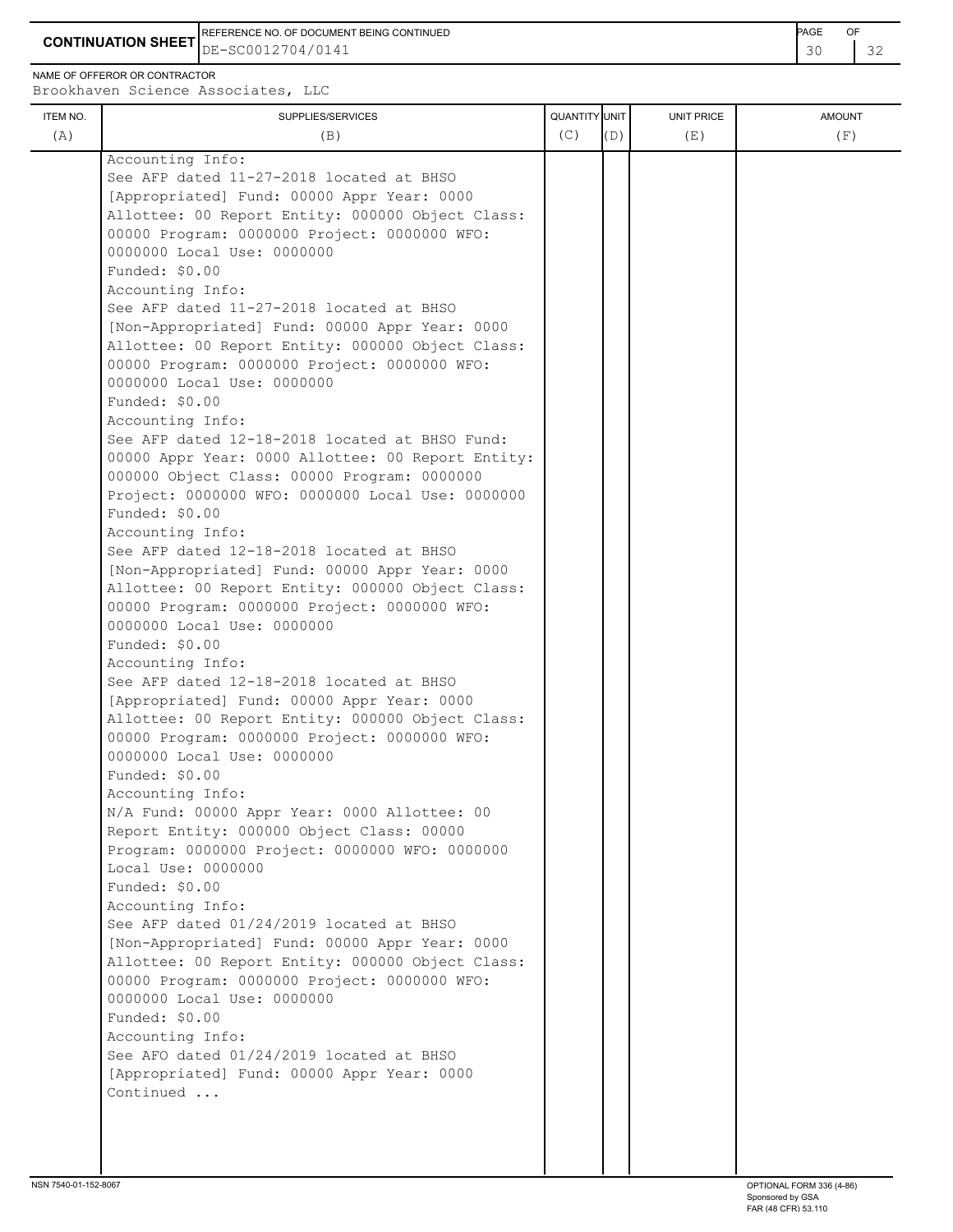**CONTINUATION SHEET** DE-SC0012704/0141 REFERENCE NO. OF DOCUMENT BEING CONTINUED **AGE ACCUMENT ACCUMENT OF A CONTINUED** 

NAME OF OFFEROR OR CONTRACTOR

| ITEM NO.<br>(A) | SUPPLIES/SERVICES<br>(B)                                                                         | QUANTITY UNIT<br>(C) | (D) | UNIT PRICE<br>(E) | <b>AMOUNT</b><br>(F) |
|-----------------|--------------------------------------------------------------------------------------------------|----------------------|-----|-------------------|----------------------|
|                 | Accounting Info:                                                                                 |                      |     |                   |                      |
|                 | See AFP dated 11-27-2018 located at BHSO                                                         |                      |     |                   |                      |
|                 | [Appropriated] Fund: 00000 Appr Year: 0000                                                       |                      |     |                   |                      |
|                 | Allottee: 00 Report Entity: 000000 Object Class:                                                 |                      |     |                   |                      |
|                 | 00000 Program: 0000000 Project: 0000000 WFO:                                                     |                      |     |                   |                      |
|                 | 0000000 Local Use: 0000000                                                                       |                      |     |                   |                      |
|                 | Funded: \$0.00                                                                                   |                      |     |                   |                      |
|                 | Accounting Info:                                                                                 |                      |     |                   |                      |
|                 | See AFP dated 11-27-2018 located at BHSO                                                         |                      |     |                   |                      |
|                 | [Non-Appropriated] Fund: 00000 Appr Year: 0000                                                   |                      |     |                   |                      |
|                 | Allottee: 00 Report Entity: 000000 Object Class:<br>00000 Program: 0000000 Project: 0000000 WFO: |                      |     |                   |                      |
|                 | 0000000 Local Use: 0000000                                                                       |                      |     |                   |                      |
|                 | Funded: \$0.00                                                                                   |                      |     |                   |                      |
|                 | Accounting Info:                                                                                 |                      |     |                   |                      |
|                 | See AFP dated 12-18-2018 located at BHSO Fund:                                                   |                      |     |                   |                      |
|                 | 00000 Appr Year: 0000 Allottee: 00 Report Entity:                                                |                      |     |                   |                      |
|                 | 000000 Object Class: 00000 Program: 0000000                                                      |                      |     |                   |                      |
|                 | Project: 0000000 WFO: 0000000 Local Use: 0000000                                                 |                      |     |                   |                      |
|                 | Funded: \$0.00                                                                                   |                      |     |                   |                      |
|                 | Accounting Info:                                                                                 |                      |     |                   |                      |
|                 | See AFP dated 12-18-2018 located at BHSO                                                         |                      |     |                   |                      |
|                 | [Non-Appropriated] Fund: 00000 Appr Year: 0000                                                   |                      |     |                   |                      |
|                 | Allottee: 00 Report Entity: 000000 Object Class:                                                 |                      |     |                   |                      |
|                 | 00000 Program: 0000000 Project: 0000000 WFO:<br>0000000 Local Use: 0000000                       |                      |     |                   |                      |
|                 | Funded: \$0.00                                                                                   |                      |     |                   |                      |
|                 | Accounting Info:                                                                                 |                      |     |                   |                      |
|                 | See AFP dated 12-18-2018 located at BHSO                                                         |                      |     |                   |                      |
|                 | [Appropriated] Fund: 00000 Appr Year: 0000                                                       |                      |     |                   |                      |
|                 | Allottee: 00 Report Entity: 000000 Object Class:                                                 |                      |     |                   |                      |
|                 | 00000 Program: 0000000 Project: 0000000 WFO:                                                     |                      |     |                   |                      |
|                 | 0000000 Local Use: 0000000                                                                       |                      |     |                   |                      |
|                 | Funded: \$0.00                                                                                   |                      |     |                   |                      |
|                 | Accounting Info:                                                                                 |                      |     |                   |                      |
|                 | N/A Fund: 00000 Appr Year: 0000 Allottee: 00                                                     |                      |     |                   |                      |
|                 | Report Entity: 000000 Object Class: 00000<br>Program: 0000000 Project: 0000000 WFO: 0000000      |                      |     |                   |                      |
|                 | Local Use: 0000000                                                                               |                      |     |                   |                      |
|                 | Funded: \$0.00                                                                                   |                      |     |                   |                      |
|                 | Accounting Info:                                                                                 |                      |     |                   |                      |
|                 | See AFP dated 01/24/2019 located at BHSO                                                         |                      |     |                   |                      |
|                 | [Non-Appropriated] Fund: 00000 Appr Year: 0000                                                   |                      |     |                   |                      |
|                 | Allottee: 00 Report Entity: 000000 Object Class:                                                 |                      |     |                   |                      |
|                 | 00000 Program: 0000000 Project: 0000000 WFO:                                                     |                      |     |                   |                      |
|                 | 0000000 Local Use: 0000000                                                                       |                      |     |                   |                      |
|                 | Funded: \$0.00                                                                                   |                      |     |                   |                      |
|                 | Accounting Info:                                                                                 |                      |     |                   |                      |
|                 | See AFO dated 01/24/2019 located at BHSO                                                         |                      |     |                   |                      |
|                 | [Appropriated] Fund: 00000 Appr Year: 0000<br>Continued                                          |                      |     |                   |                      |
|                 |                                                                                                  |                      |     |                   |                      |
|                 |                                                                                                  |                      |     |                   |                      |
|                 |                                                                                                  |                      |     |                   |                      |
|                 |                                                                                                  |                      |     |                   |                      |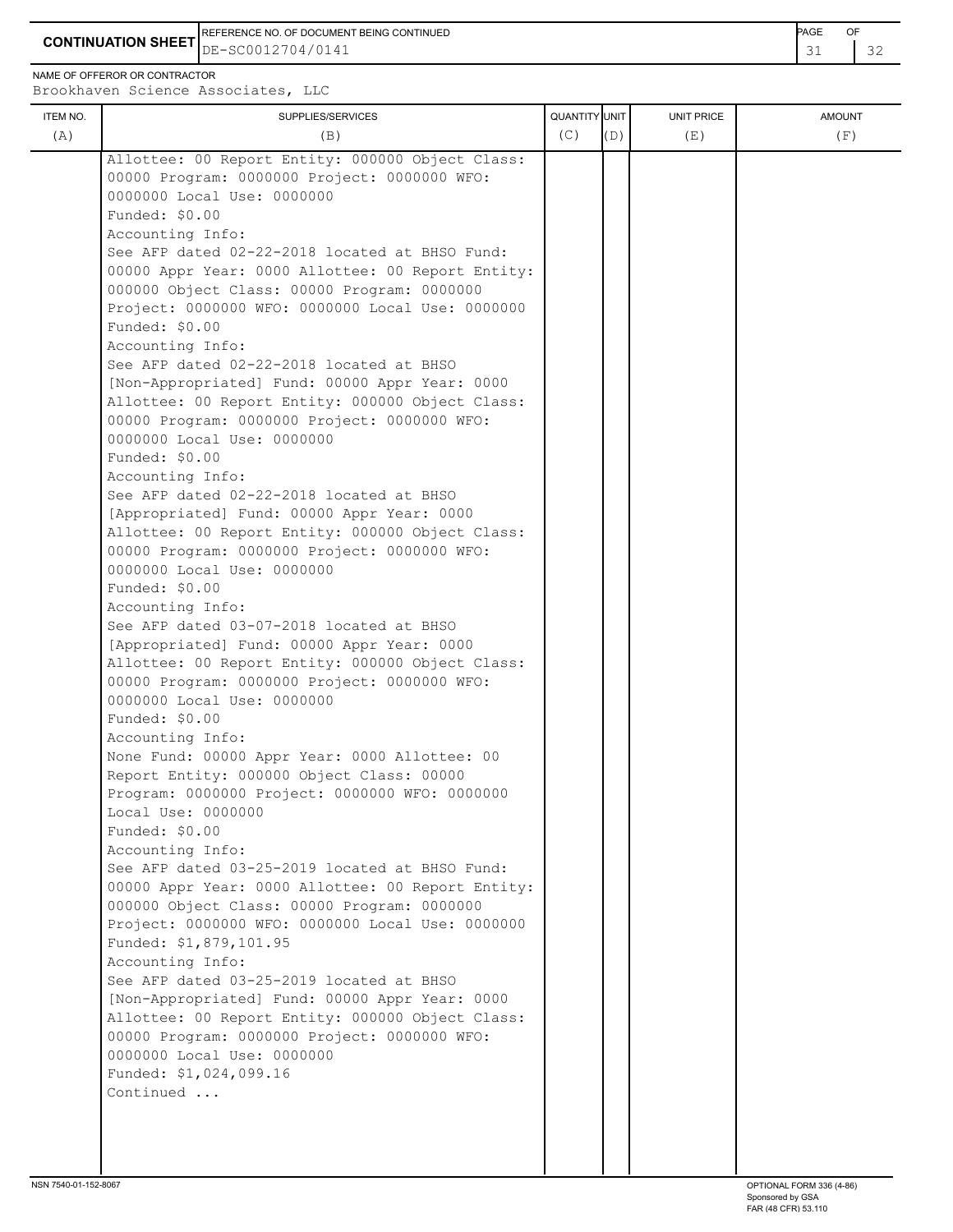**CONTINUATION SHEET** DE-SC0012704/0141 REFERENCE NO. OF DOCUMENT BEING CONTINUED **Example 2008** PAGE OF

NAME OF OFFEROR OR CONTRACTOR

| ITEM NO. | SUPPLIES/SERVICES                                            | QUANTITY UNIT |     | <b>UNIT PRICE</b> | <b>AMOUNT</b> |
|----------|--------------------------------------------------------------|---------------|-----|-------------------|---------------|
| (A)      | (B)                                                          | (C)           | (D) | (E)               | (F)           |
|          | Allottee: 00 Report Entity: 000000 Object Class:             |               |     |                   |               |
|          | 00000 Program: 0000000 Project: 0000000 WFO:                 |               |     |                   |               |
|          | 0000000 Local Use: 0000000                                   |               |     |                   |               |
|          | Funded: $$0.00$                                              |               |     |                   |               |
|          | Accounting Info:                                             |               |     |                   |               |
|          | See AFP dated 02-22-2018 located at BHSO Fund:               |               |     |                   |               |
|          | 00000 Appr Year: 0000 Allottee: 00 Report Entity:            |               |     |                   |               |
|          | 000000 Object Class: 00000 Program: 0000000                  |               |     |                   |               |
|          | Project: 0000000 WFO: 0000000 Local Use: 0000000             |               |     |                   |               |
|          | Funded: \$0.00                                               |               |     |                   |               |
|          | Accounting Info:                                             |               |     |                   |               |
|          | See AFP dated 02-22-2018 located at BHSO                     |               |     |                   |               |
|          | [Non-Appropriated] Fund: 00000 Appr Year: 0000               |               |     |                   |               |
|          | Allottee: 00 Report Entity: 000000 Object Class:             |               |     |                   |               |
|          | 00000 Program: 0000000 Project: 0000000 WFO:                 |               |     |                   |               |
|          | 0000000 Local Use: 0000000                                   |               |     |                   |               |
|          | Funded: $$0.00$                                              |               |     |                   |               |
|          | Accounting Info:                                             |               |     |                   |               |
|          | See AFP dated 02-22-2018 located at BHSO                     |               |     |                   |               |
|          | [Appropriated] Fund: 00000 Appr Year: 0000                   |               |     |                   |               |
|          | Allottee: 00 Report Entity: 000000 Object Class:             |               |     |                   |               |
|          | 00000 Program: 0000000 Project: 0000000 WFO:                 |               |     |                   |               |
|          | 0000000 Local Use: 0000000                                   |               |     |                   |               |
|          | Funded: $$0.00$                                              |               |     |                   |               |
|          | Accounting Info:<br>See AFP dated 03-07-2018 located at BHSO |               |     |                   |               |
|          | [Appropriated] Fund: 00000 Appr Year: 0000                   |               |     |                   |               |
|          | Allottee: 00 Report Entity: 000000 Object Class:             |               |     |                   |               |
|          | 00000 Program: 0000000 Project: 0000000 WFO:                 |               |     |                   |               |
|          | 0000000 Local Use: 0000000                                   |               |     |                   |               |
|          | Funded: \$0.00                                               |               |     |                   |               |
|          | Accounting Info:                                             |               |     |                   |               |
|          | None Fund: 00000 Appr Year: 0000 Allottee: 00                |               |     |                   |               |
|          | Report Entity: 000000 Object Class: 00000                    |               |     |                   |               |
|          | Program: 0000000 Project: 0000000 WFO: 0000000               |               |     |                   |               |
|          | Local Use: 0000000                                           |               |     |                   |               |
|          | Funded: \$0.00                                               |               |     |                   |               |
|          | Accounting Info:                                             |               |     |                   |               |
|          | See AFP dated 03-25-2019 located at BHSO Fund:               |               |     |                   |               |
|          | 00000 Appr Year: 0000 Allottee: 00 Report Entity:            |               |     |                   |               |
|          | 000000 Object Class: 00000 Program: 0000000                  |               |     |                   |               |
|          | Project: 0000000 WFO: 0000000 Local Use: 0000000             |               |     |                   |               |
|          | Funded: \$1,879,101.95                                       |               |     |                   |               |
|          | Accounting Info:                                             |               |     |                   |               |
|          | See AFP dated 03-25-2019 located at BHSO                     |               |     |                   |               |
|          | [Non-Appropriated] Fund: 00000 Appr Year: 0000               |               |     |                   |               |
|          | Allottee: 00 Report Entity: 000000 Object Class:             |               |     |                   |               |
|          | 00000 Program: 0000000 Project: 0000000 WFO:                 |               |     |                   |               |
|          | 0000000 Local Use: 0000000                                   |               |     |                   |               |
|          | Funded: \$1,024,099.16                                       |               |     |                   |               |
|          | Continued                                                    |               |     |                   |               |
|          |                                                              |               |     |                   |               |
|          |                                                              |               |     |                   |               |
|          |                                                              |               |     |                   |               |
|          |                                                              |               |     |                   |               |